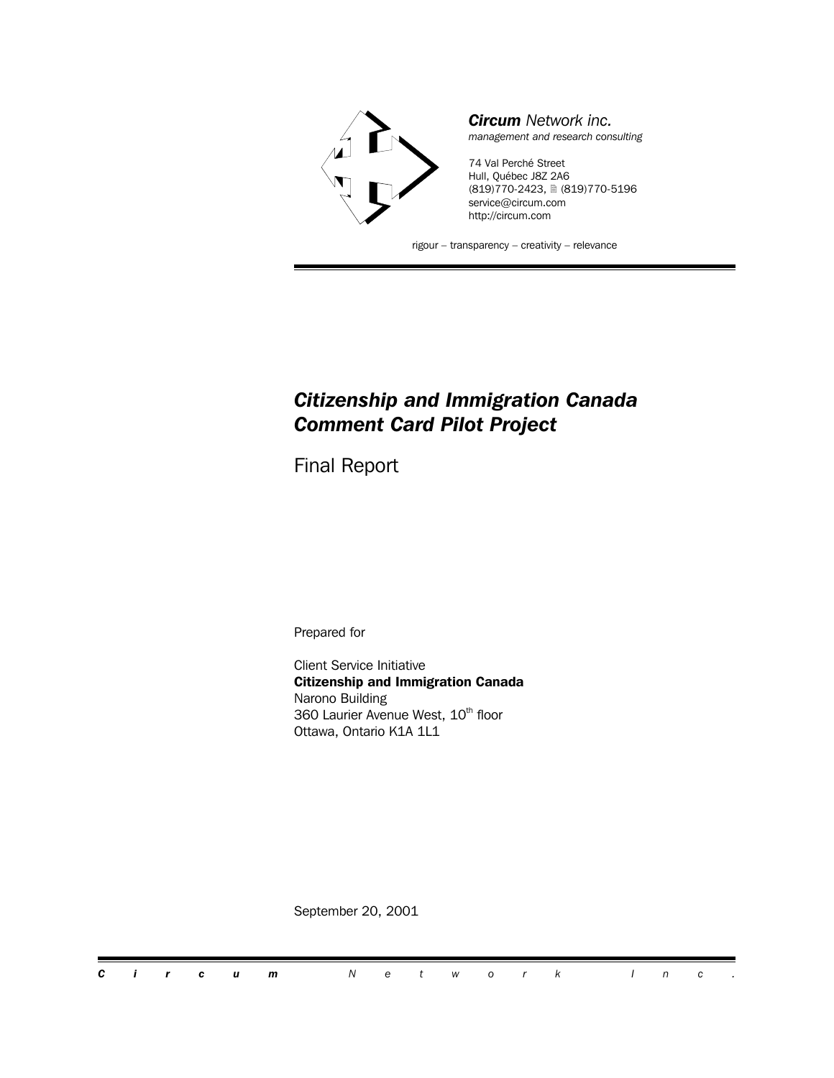

### *Citizenship and Immigration Canada Comment Card Pilot Project*

Final Report

Prepared for

Client Service Initiative **Citizenship and Immigration Canada** Narono Building 360 Laurier Avenue West, 10<sup>th</sup> floor Ottawa, Ontario K1A 1L1

September 20, 2001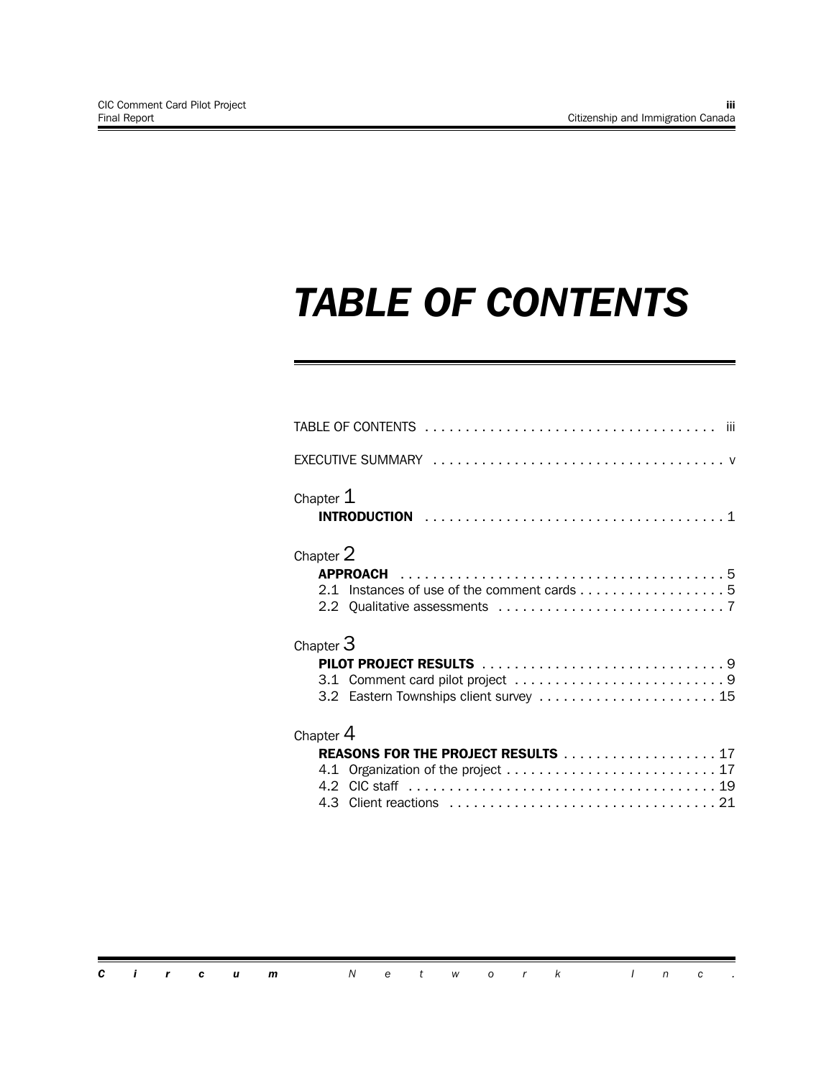# *TABLE OF CONTENTS*

| iii                                                      |
|----------------------------------------------------------|
|                                                          |
| Chapter $1$                                              |
| Chapter 2<br>2.1 Instances of use of the comment cards 5 |
| Chapter $3$<br>3.2 Eastern Townships client survey  15   |
| Chapter 4<br><b>REASONS FOR THE PROJECT RESULTS</b> 17   |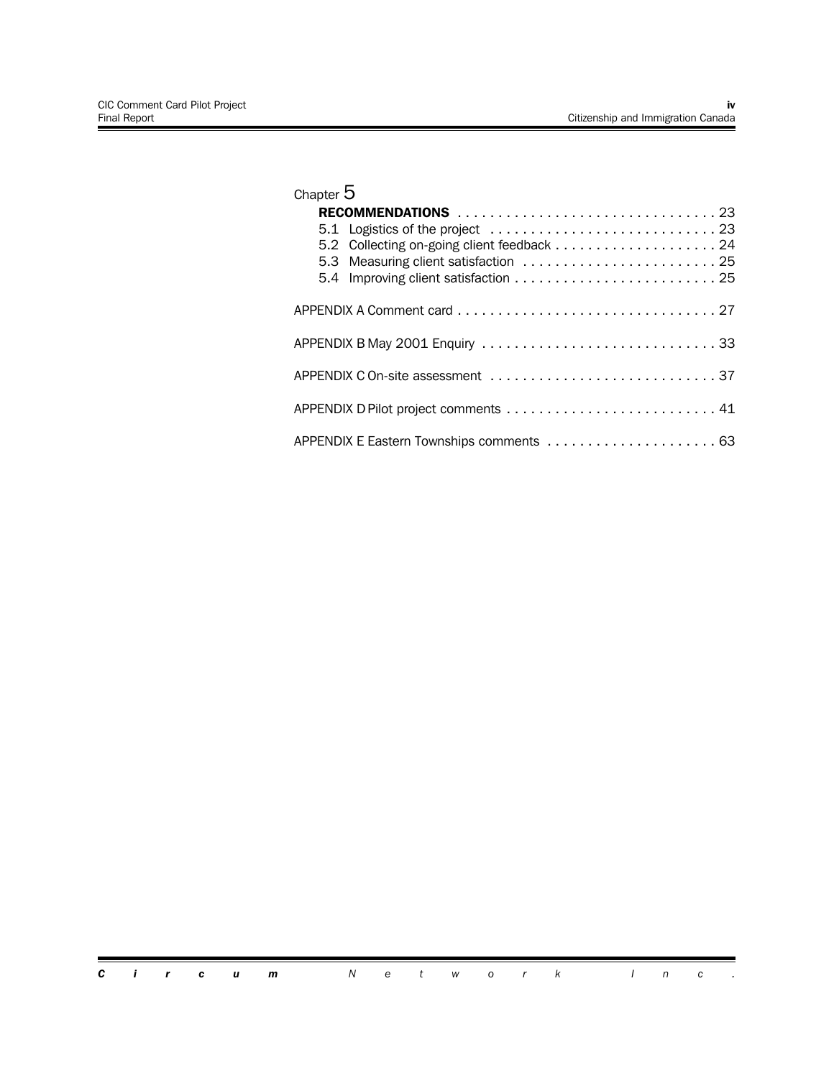| Chapter $5$                           |
|---------------------------------------|
|                                       |
|                                       |
|                                       |
| 5.3 Measuring client satisfaction  25 |
|                                       |
|                                       |
| APPENDIX B May 2001 Enquiry 33        |
| APPENDIX C On-site assessment 37      |
|                                       |
|                                       |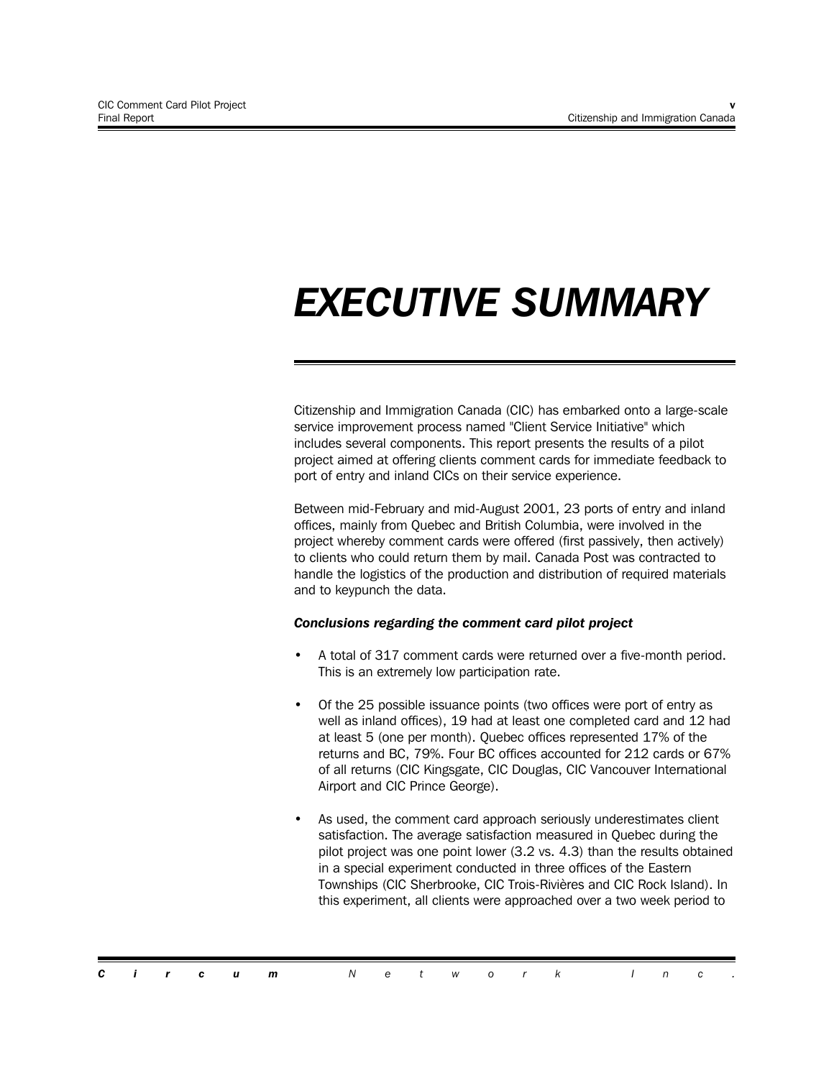# *EXECUTIVE SUMMARY*

Citizenship and Immigration Canada (CIC) has embarked onto a large-scale service improvement process named "Client Service Initiative" which includes several components. This report presents the results of a pilot project aimed at offering clients comment cards for immediate feedback to port of entry and inland CICs on their service experience.

Between mid-February and mid-August 2001, 23 ports of entry and inland offices, mainly from Quebec and British Columbia, were involved in the project whereby comment cards were offered (first passively, then actively) to clients who could return them by mail. Canada Post was contracted to handle the logistics of the production and distribution of required materials and to keypunch the data.

#### *Conclusions regarding the comment card pilot project*

- A total of 317 comment cards were returned over a five-month period. This is an extremely low participation rate.
- Of the 25 possible issuance points (two offices were port of entry as well as inland offices), 19 had at least one completed card and 12 had at least 5 (one per month). Quebec offices represented 17% of the returns and BC, 79%. Four BC offices accounted for 212 cards or 67% of all returns (CIC Kingsgate, CIC Douglas, CIC Vancouver International Airport and CIC Prince George).
- As used, the comment card approach seriously underestimates client satisfaction. The average satisfaction measured in Quebec during the pilot project was one point lower (3.2 vs. 4.3) than the results obtained in a special experiment conducted in three offices of the Eastern Townships (CIC Sherbrooke, CIC Trois-Rivières and CIC Rock Island). In this experiment, all clients were approached over a two week period to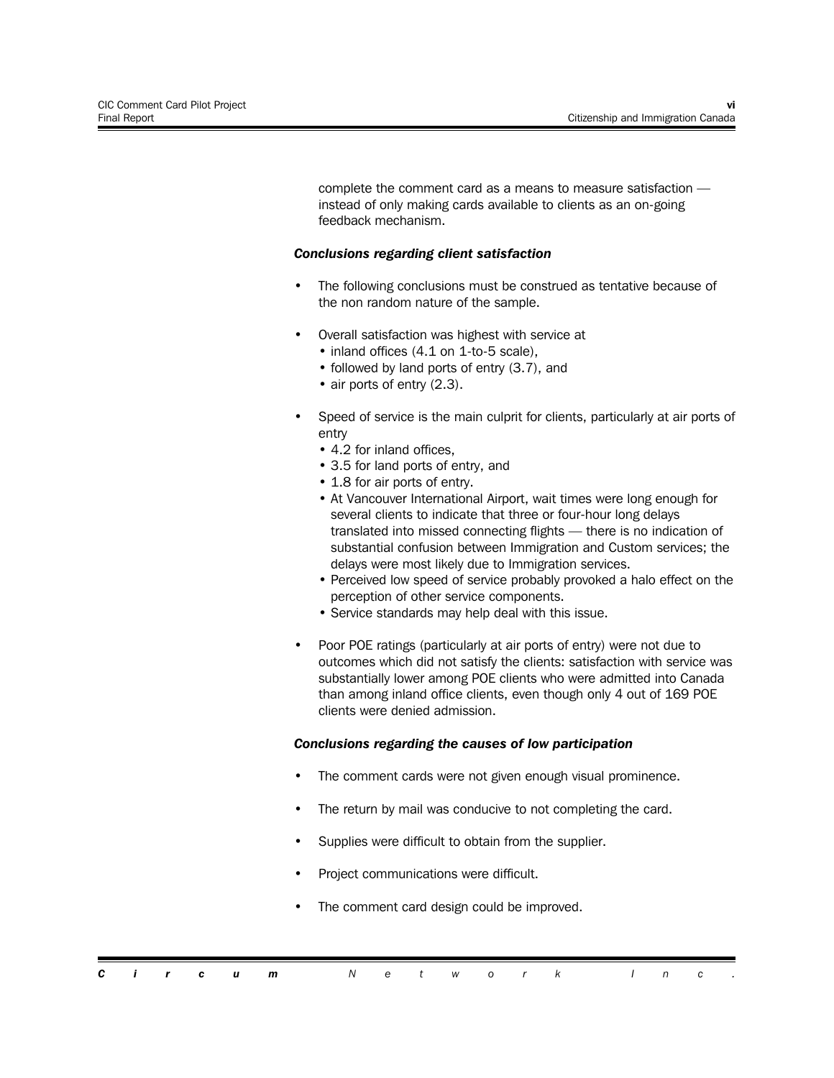complete the comment card as a means to measure satisfaction instead of only making cards available to clients as an on-going feedback mechanism.

#### *Conclusions regarding client satisfaction*

- The following conclusions must be construed as tentative because of the non random nature of the sample.
- Overall satisfaction was highest with service at
	- inland offices (4.1 on 1-to-5 scale),
	- followed by land ports of entry (3.7), and
	- air ports of entry (2.3).
- Speed of service is the main culprit for clients, particularly at air ports of entry
	- 4.2 for inland offices,
	- 3.5 for land ports of entry, and
	- 1.8 for air ports of entry.
	- At Vancouver International Airport, wait times were long enough for several clients to indicate that three or four-hour long delays translated into missed connecting flights — there is no indication of substantial confusion between Immigration and Custom services; the delays were most likely due to Immigration services.
	- Perceived low speed of service probably provoked a halo effect on the perception of other service components.
	- Service standards may help deal with this issue.
- Poor POE ratings (particularly at air ports of entry) were not due to outcomes which did not satisfy the clients: satisfaction with service was substantially lower among POE clients who were admitted into Canada than among inland office clients, even though only 4 out of 169 POE clients were denied admission.

#### *Conclusions regarding the causes of low participation*

- The comment cards were not given enough visual prominence.
- The return by mail was conducive to not completing the card.
- Supplies were difficult to obtain from the supplier.
- Project communications were difficult.
- The comment card design could be improved.

|  |  | <b>Circum</b> Network Inc. |  |  |  |  |  |  |
|--|--|----------------------------|--|--|--|--|--|--|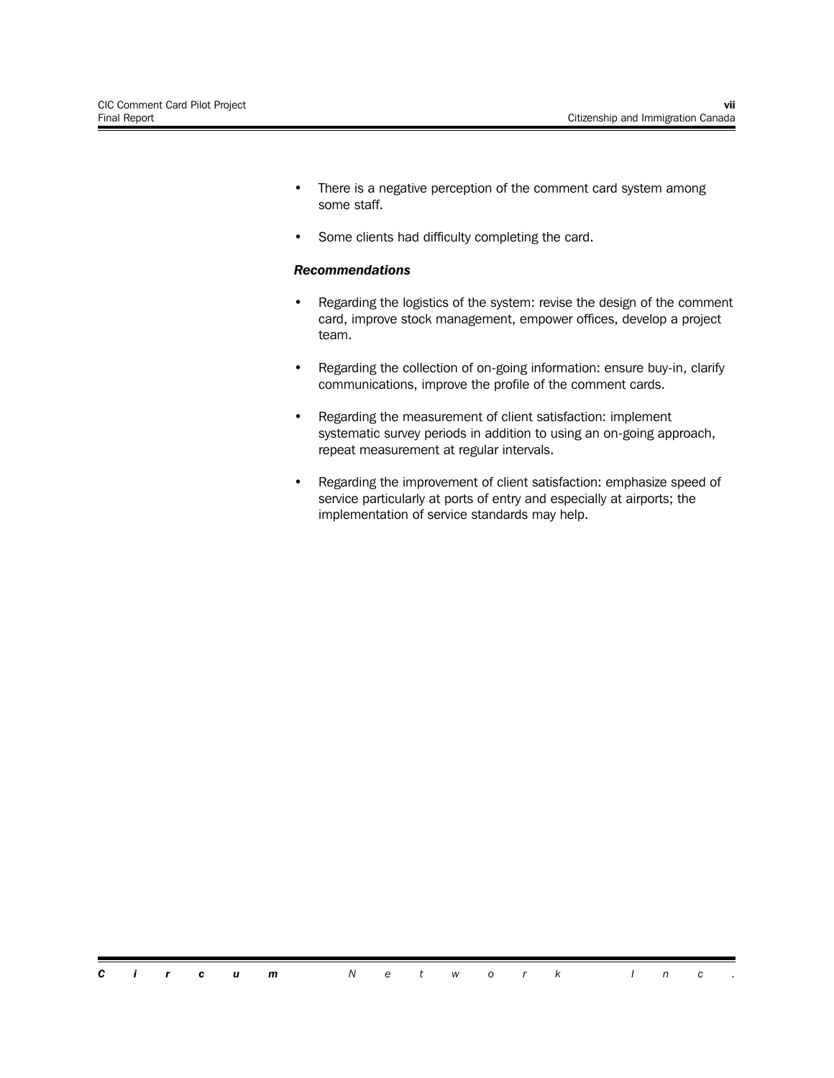- There is a negative perception of the comment card system among some staff.
- Some clients had difficulty completing the card.

#### *Recommendations*

- Regarding the logistics of the system: revise the design of the comment card, improve stock management, empower offices, develop a project team.
- Regarding the collection of on-going information: ensure buy-in, clarify communications, improve the profile of the comment cards.
- Regarding the measurement of client satisfaction: implement systematic survey periods in addition to using an on-going approach, repeat measurement at regular intervals.
- Regarding the improvement of client satisfaction: emphasize speed of service particularly at ports of entry and especially at airports; the implementation of service standards may help.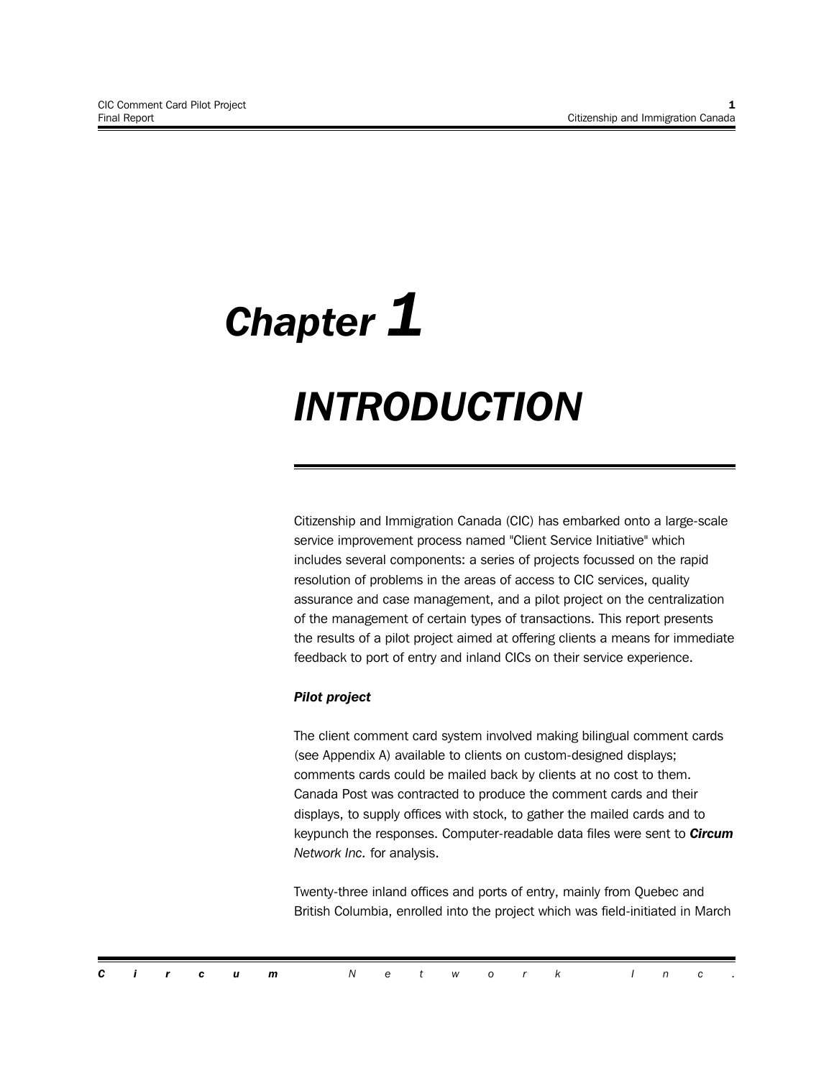# *Chapter 1 INTRODUCTION*

Citizenship and Immigration Canada (CIC) has embarked onto a large-scale service improvement process named "Client Service Initiative" which includes several components: a series of projects focussed on the rapid resolution of problems in the areas of access to CIC services, quality assurance and case management, and a pilot project on the centralization of the management of certain types of transactions. This report presents the results of a pilot project aimed at offering clients a means for immediate feedback to port of entry and inland CICs on their service experience.

#### *Pilot project*

The client comment card system involved making bilingual comment cards (see Appendix A) available to clients on custom-designed displays; comments cards could be mailed back by clients at no cost to them. Canada Post was contracted to produce the comment cards and their displays, to supply offices with stock, to gather the mailed cards and to keypunch the responses. Computer-readable data files were sent to *Circum Network Inc.* for analysis.

Twenty-three inland offices and ports of entry, mainly from Quebec and British Columbia, enrolled into the project which was field-initiated in March

|  |  | <b>Circum</b> Network Inc. |  |  |  |  |  |  |
|--|--|----------------------------|--|--|--|--|--|--|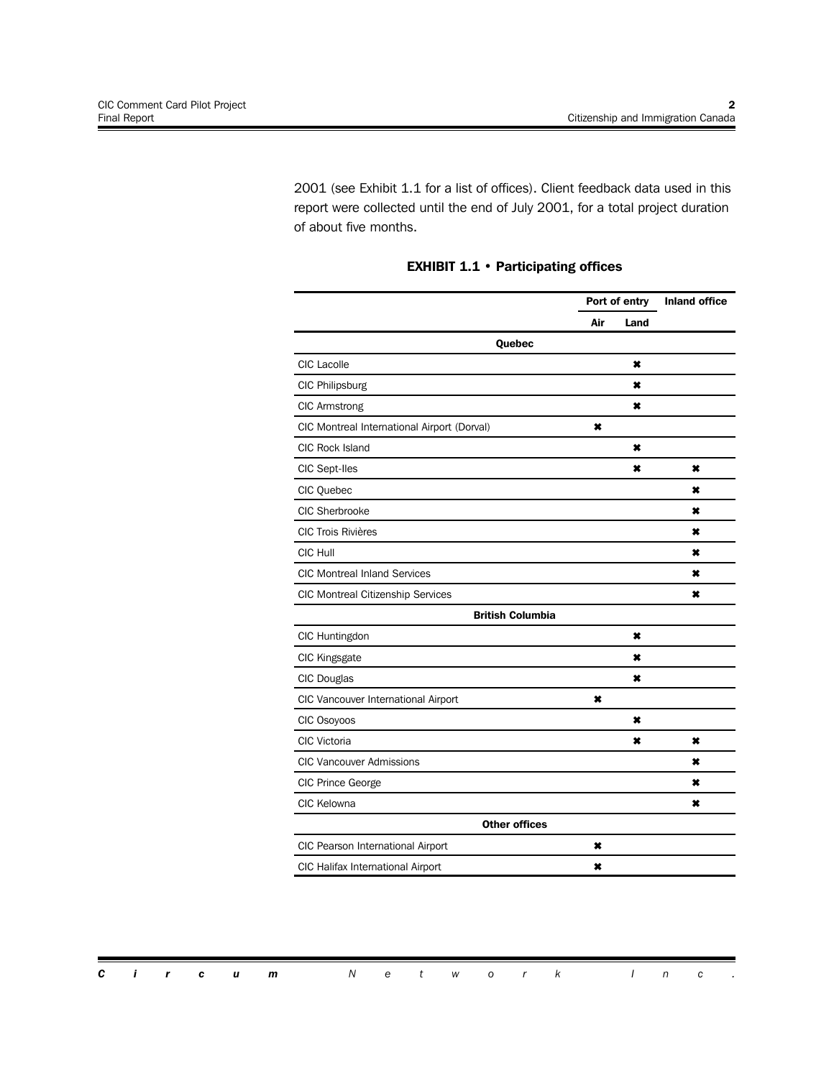2001 (see Exhibit 1.1 for a list of offices). Client feedback data used in this report were collected until the end of July 2001, for a total project duration of about five months.

|                                             | Port of entry |      | <b>Inland office</b> |
|---------------------------------------------|---------------|------|----------------------|
|                                             | Air           | Land |                      |
| Quebec                                      |               |      |                      |
| <b>CIC</b> Lacolle                          |               | ×    |                      |
| CIC Philipsburg                             |               | ×    |                      |
| <b>CIC Armstrong</b>                        |               | ×    |                      |
| CIC Montreal International Airport (Dorval) | ×             |      |                      |
| <b>CIC Rock Island</b>                      |               | ×    |                      |
| CIC Sept-Iles                               |               | ×    | ×                    |
| CIC Quebec                                  |               |      | ×                    |
| CIC Sherbrooke                              |               |      | ×                    |
| <b>CIC Trois Rivières</b>                   |               |      | ×                    |
| CIC Hull                                    |               |      | ×                    |
| <b>CIC Montreal Inland Services</b>         |               |      | ×                    |
| <b>CIC Montreal Citizenship Services</b>    |               |      | ×                    |
| <b>British Columbia</b>                     |               |      |                      |
| CIC Huntingdon                              |               | ×    |                      |
| CIC Kingsgate                               |               | ×    |                      |
| CIC Douglas                                 |               | ×    |                      |
| CIC Vancouver International Airport         | ×             |      |                      |
| CIC Osoyoos                                 |               | ×    |                      |
| <b>CIC Victoria</b>                         |               | ×    | ×                    |
| <b>CIC Vancouver Admissions</b>             |               |      | ×                    |
| CIC Prince George                           |               |      | ×                    |
| CIC Kelowna                                 |               |      | ×                    |
| <b>Other offices</b>                        |               |      |                      |
| CIC Pearson International Airport           | ×             |      |                      |
| CIC Halifax International Airport           | ×             |      |                      |

#### **EXHIBIT 1.1 • Participating offices**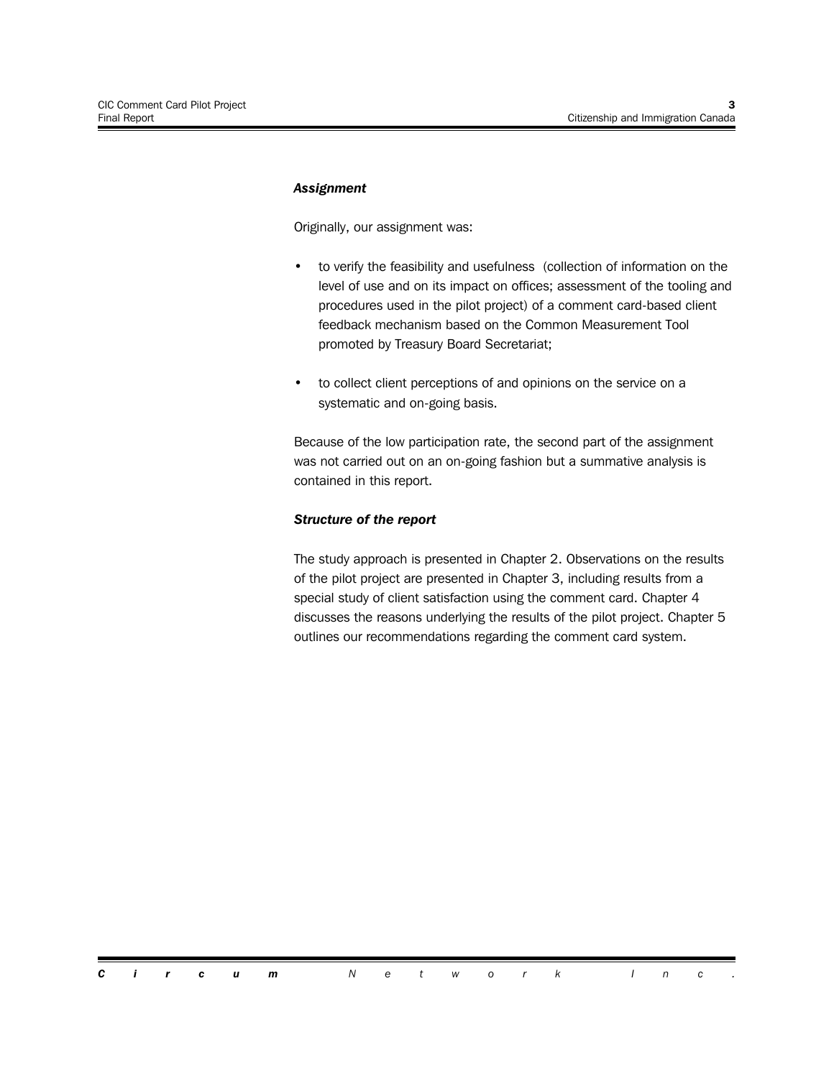#### *Assignment*

Originally, our assignment was:

- to verify the feasibility and usefulness (collection of information on the level of use and on its impact on offices; assessment of the tooling and procedures used in the pilot project) of a comment card-based client feedback mechanism based on the Common Measurement Tool promoted by Treasury Board Secretariat;
- to collect client perceptions of and opinions on the service on a systematic and on-going basis.

Because of the low participation rate, the second part of the assignment was not carried out on an on-going fashion but a summative analysis is contained in this report.

#### *Structure of the report*

The study approach is presented in Chapter 2. Observations on the results of the pilot project are presented in Chapter 3, including results from a special study of client satisfaction using the comment card. Chapter 4 discusses the reasons underlying the results of the pilot project. Chapter 5 outlines our recommendations regarding the comment card system.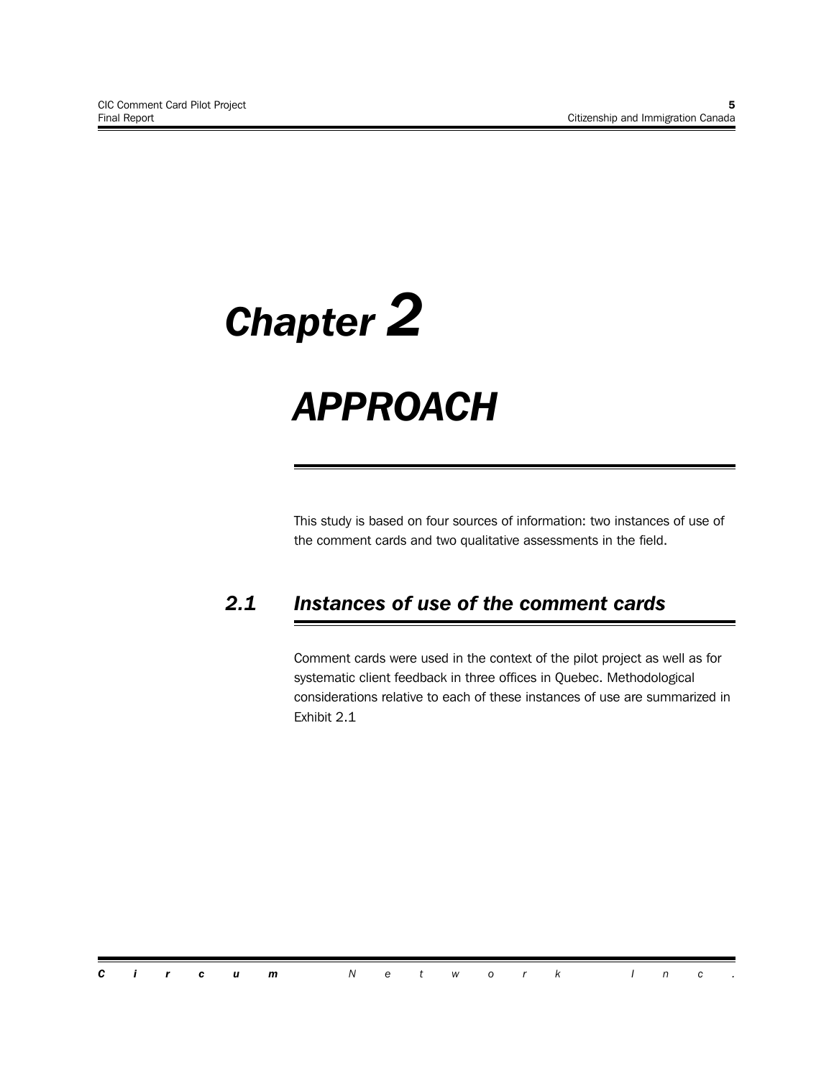# *Chapter 2*

# *APPROACH*

This study is based on four sources of information: two instances of use of the comment cards and two qualitative assessments in the field.

## *2.1 Instances of use of the comment cards*

Comment cards were used in the context of the pilot project as well as for systematic client feedback in three offices in Quebec. Methodological considerations relative to each of these instances of use are summarized in Exhibit 2.1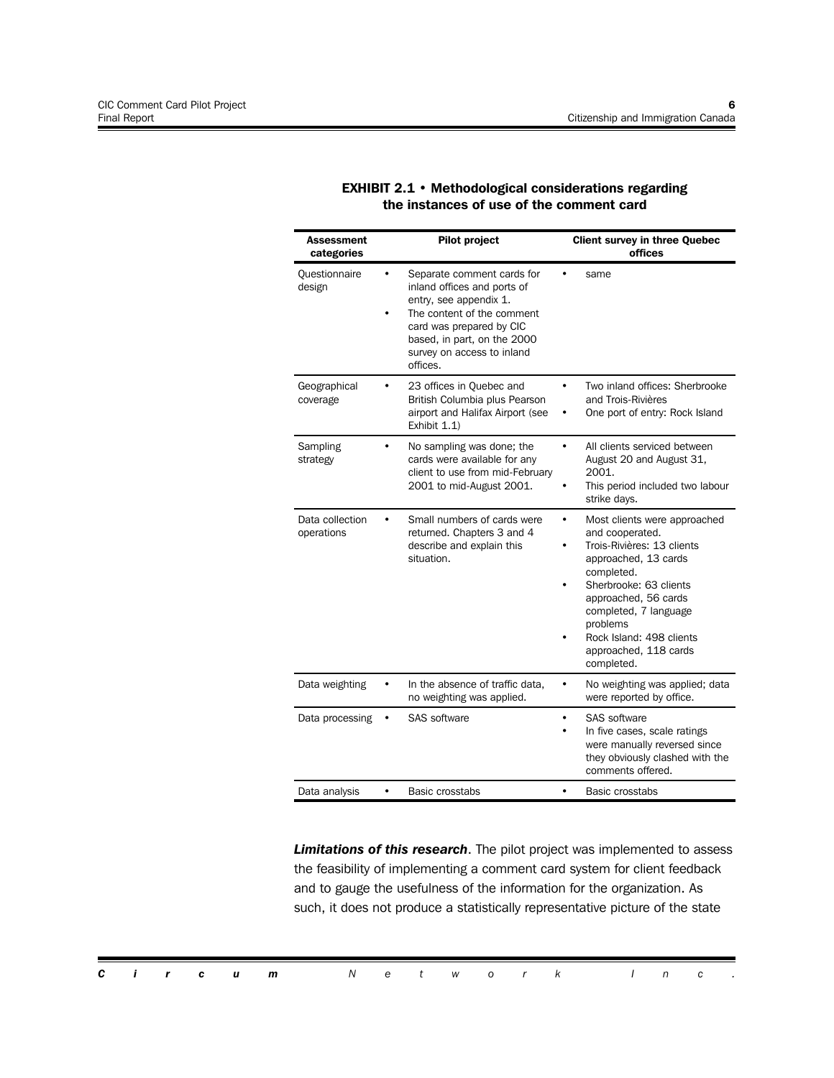| Assessment<br>categories      | <b>Pilot project</b>                                                                                                                                                                                                        | <b>Client survey in three Quebec</b><br>offices                                                                                                                                                                                                                                    |
|-------------------------------|-----------------------------------------------------------------------------------------------------------------------------------------------------------------------------------------------------------------------------|------------------------------------------------------------------------------------------------------------------------------------------------------------------------------------------------------------------------------------------------------------------------------------|
| Questionnaire<br>design       | Separate comment cards for<br>٠<br>inland offices and ports of<br>entry, see appendix 1.<br>The content of the comment<br>card was prepared by CIC<br>based, in part, on the 2000<br>survey on access to inland<br>offices. | same                                                                                                                                                                                                                                                                               |
| Geographical<br>coverage      | 23 offices in Quebec and<br>British Columbia plus Pearson<br>airport and Halifax Airport (see<br>Exhibit 1.1)                                                                                                               | Two inland offices: Sherbrooke<br>$\bullet$<br>and Trois-Rivières<br>One port of entry: Rock Island                                                                                                                                                                                |
| Sampling<br>strategy          | No sampling was done; the<br>cards were available for any<br>client to use from mid-February<br>2001 to mid-August 2001.                                                                                                    | All clients serviced between<br>٠<br>August 20 and August 31,<br>2001.<br>This period included two labour<br>strike days.                                                                                                                                                          |
| Data collection<br>operations | Small numbers of cards were<br>returned. Chapters 3 and 4<br>describe and explain this<br>situation.                                                                                                                        | Most clients were approached<br>٠<br>and cooperated.<br>Trois-Rivières: 13 clients<br>approached, 13 cards<br>completed.<br>Sherbrooke: 63 clients<br>approached, 56 cards<br>completed, 7 language<br>problems<br>Rock Island: 498 clients<br>approached, 118 cards<br>completed. |
| Data weighting                | In the absence of traffic data,<br>no weighting was applied.                                                                                                                                                                | No weighting was applied; data<br>$\bullet$<br>were reported by office.                                                                                                                                                                                                            |
| Data processing               | <b>SAS software</b>                                                                                                                                                                                                         | <b>SAS software</b><br>$\bullet$<br>In five cases, scale ratings<br>were manually reversed since<br>they obviously clashed with the<br>comments offered.                                                                                                                           |
| Data analysis                 | Basic crosstabs<br>$\bullet$                                                                                                                                                                                                | $\bullet$<br>Basic crosstabs                                                                                                                                                                                                                                                       |

#### **EXHIBIT 2.1 • Methodological considerations regarding the instances of use of the comment card**

*Limitations of this research*. The pilot project was implemented to assess the feasibility of implementing a comment card system for client feedback and to gauge the usefulness of the information for the organization. As such, it does not produce a statistically representative picture of the state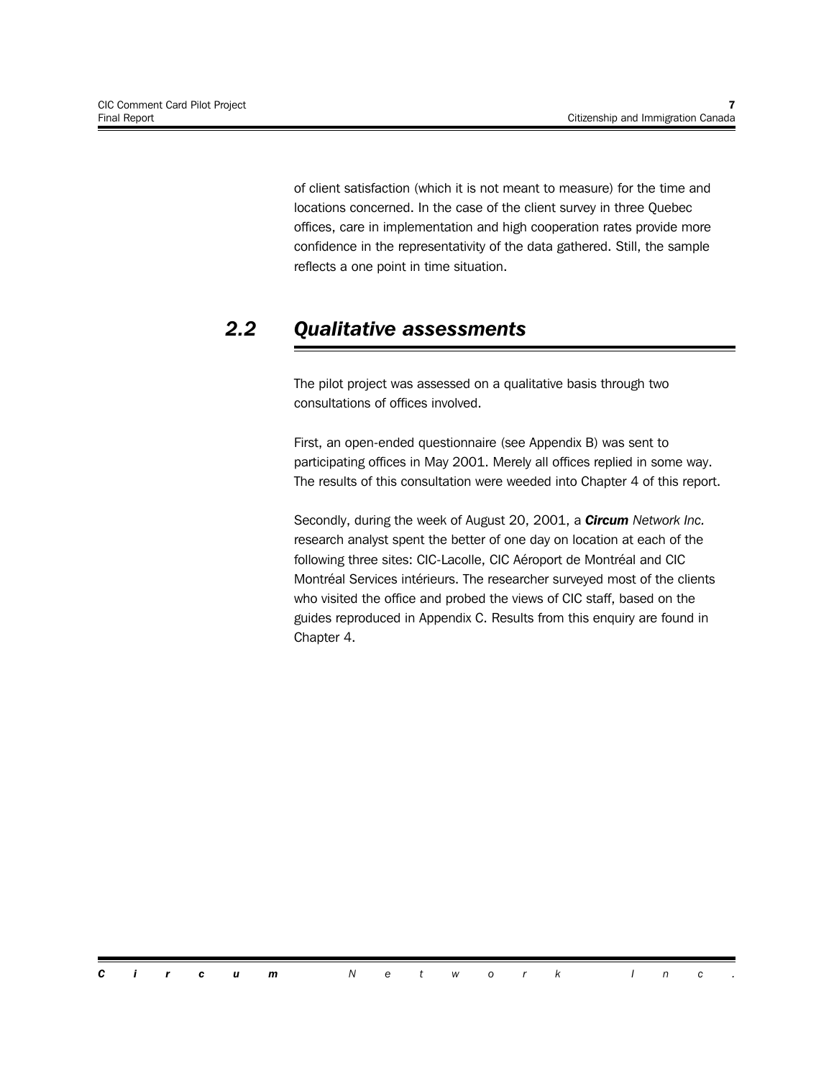of client satisfaction (which it is not meant to measure) for the time and locations concerned. In the case of the client survey in three Quebec offices, care in implementation and high cooperation rates provide more confidence in the representativity of the data gathered. Still, the sample reflects a one point in time situation.

### *2.2 Qualitative assessments*

The pilot project was assessed on a qualitative basis through two consultations of offices involved.

First, an open-ended questionnaire (see Appendix B) was sent to participating offices in May 2001. Merely all offices replied in some way. The results of this consultation were weeded into Chapter 4 of this report.

Secondly, during the week of August 20, 2001, a *Circum Network Inc.* research analyst spent the better of one day on location at each of the following three sites: CIC-Lacolle, CIC Aéroport de Montréal and CIC Montréal Services intérieurs. The researcher surveyed most of the clients who visited the office and probed the views of CIC staff, based on the guides reproduced in Appendix C. Results from this enquiry are found in Chapter 4.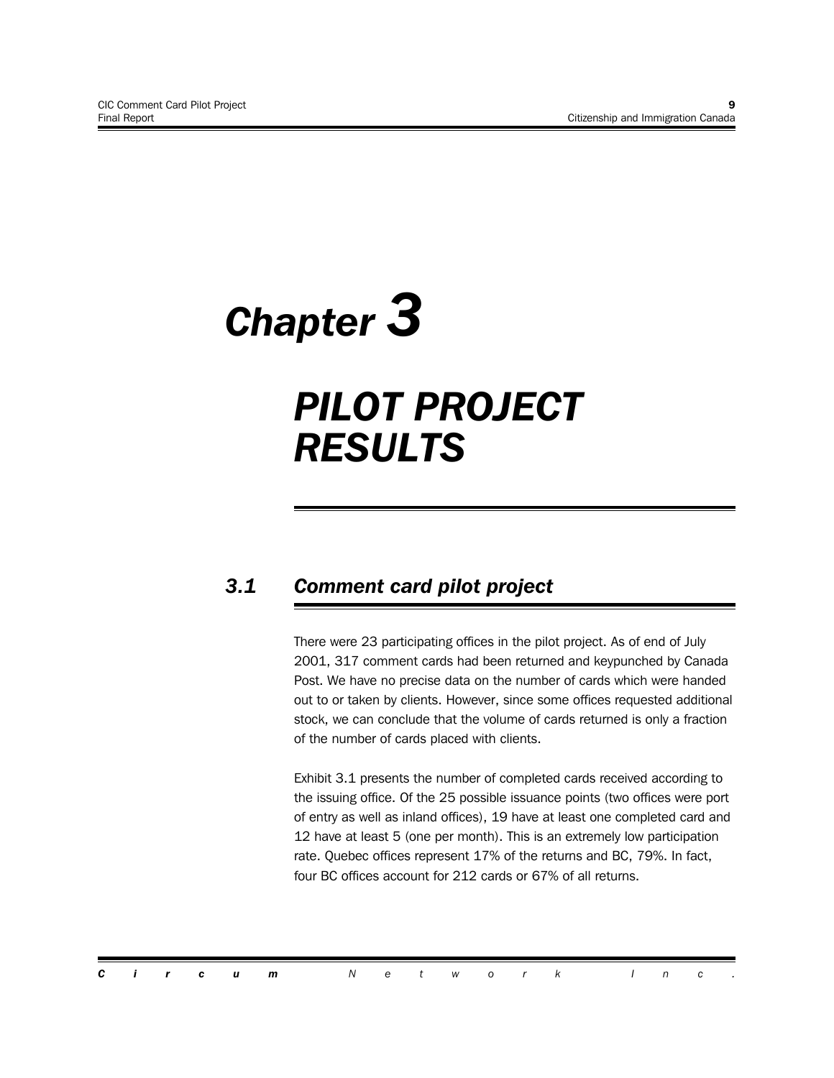# *Chapter 3*

# *PILOT PROJECT RESULTS*

## *3.1 Comment card pilot project*

There were 23 participating offices in the pilot project. As of end of July 2001, 317 comment cards had been returned and keypunched by Canada Post. We have no precise data on the number of cards which were handed out to or taken by clients. However, since some offices requested additional stock, we can conclude that the volume of cards returned is only a fraction of the number of cards placed with clients.

Exhibit 3.1 presents the number of completed cards received according to the issuing office. Of the 25 possible issuance points (two offices were port of entry as well as inland offices), 19 have at least one completed card and 12 have at least 5 (one per month). This is an extremely low participation rate. Quebec offices represent 17% of the returns and BC, 79%. In fact, four BC offices account for 212 cards or 67% of all returns.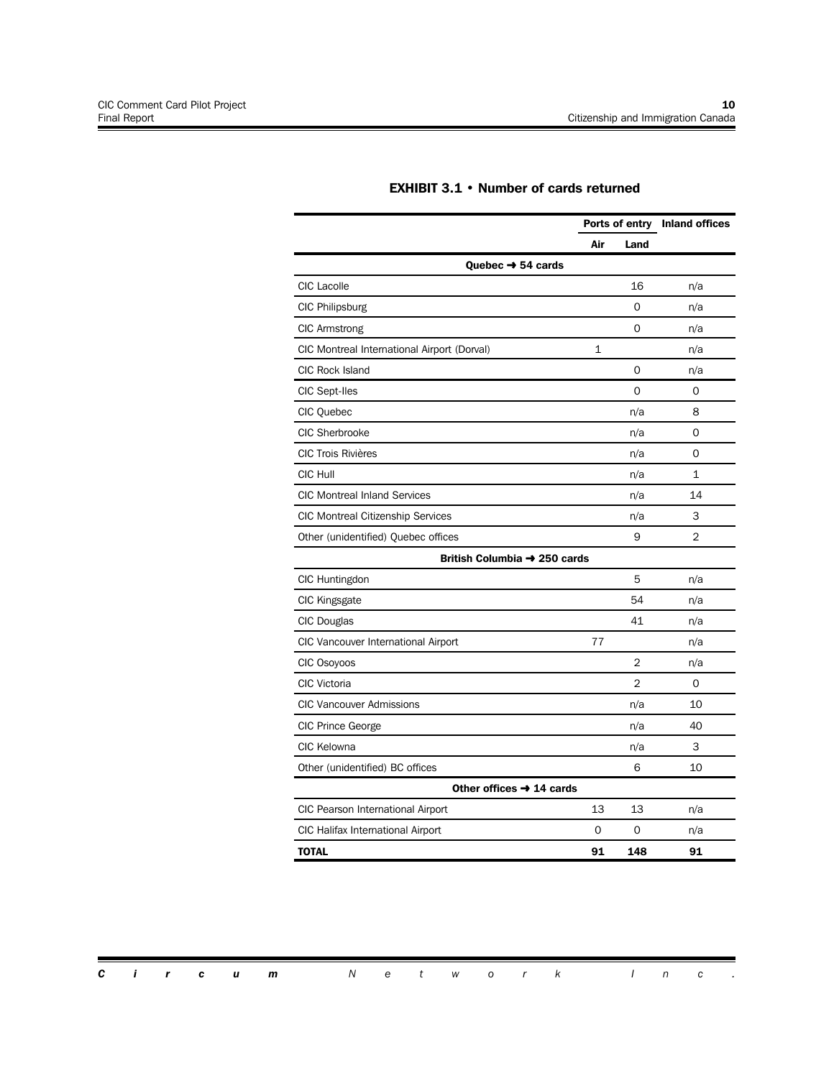|                                             |              |                | Ports of entry Inland offices |  |  |
|---------------------------------------------|--------------|----------------|-------------------------------|--|--|
|                                             | Air          | Land           |                               |  |  |
| Quebec → 54 cards                           |              |                |                               |  |  |
| CIC Lacolle                                 |              | 16             | n/a                           |  |  |
| CIC Philipsburg                             |              | 0              | n/a                           |  |  |
| <b>CIC Armstrong</b>                        |              | $\Omega$       | n/a                           |  |  |
| CIC Montreal International Airport (Dorval) | $\mathbf{1}$ |                | n/a                           |  |  |
| CIC Rock Island                             |              | $\Omega$       | n/a                           |  |  |
| CIC Sept-Iles                               |              | $\Omega$       | 0                             |  |  |
| CIC Quebec                                  |              | n/a            | 8                             |  |  |
| <b>CIC Sherbrooke</b>                       |              | n/a            | 0                             |  |  |
| <b>CIC Trois Rivières</b>                   |              | n/a            | 0                             |  |  |
| CIC Hull                                    |              | n/a            | 1                             |  |  |
| <b>CIC Montreal Inland Services</b>         |              | n/a            | 14                            |  |  |
| <b>CIC Montreal Citizenship Services</b>    |              | n/a            | 3                             |  |  |
| Other (unidentified) Quebec offices         |              | 9              | 2                             |  |  |
| British Columbia → 250 cards                |              |                |                               |  |  |
| CIC Huntingdon                              |              | 5              | n/a                           |  |  |
| <b>CIC Kingsgate</b>                        |              | 54             | n/a                           |  |  |
| CIC Douglas                                 |              | 41             | n/a                           |  |  |
| CIC Vancouver International Airport         | 77           |                | n/a                           |  |  |
| CIC Osoyoos                                 |              | $\overline{2}$ | n/a                           |  |  |
| CIC Victoria                                |              | $\overline{2}$ | 0                             |  |  |
| <b>CIC Vancouver Admissions</b>             |              | n/a            | 10                            |  |  |
| CIC Prince George                           |              | n/a            | 40                            |  |  |
| CIC Kelowna                                 |              | n/a            | 3                             |  |  |
| Other (unidentified) BC offices             |              | 6              | 10                            |  |  |
| Other offices $\rightarrow$ 14 cards        |              |                |                               |  |  |
| CIC Pearson International Airport           | 13           | 13             | n/a                           |  |  |
| CIC Halifax International Airport           | 0            | O              | n/a                           |  |  |
| TOTAL                                       | 91           | 148            | 91                            |  |  |

#### **EXHIBIT 3.1 • Number of cards returned**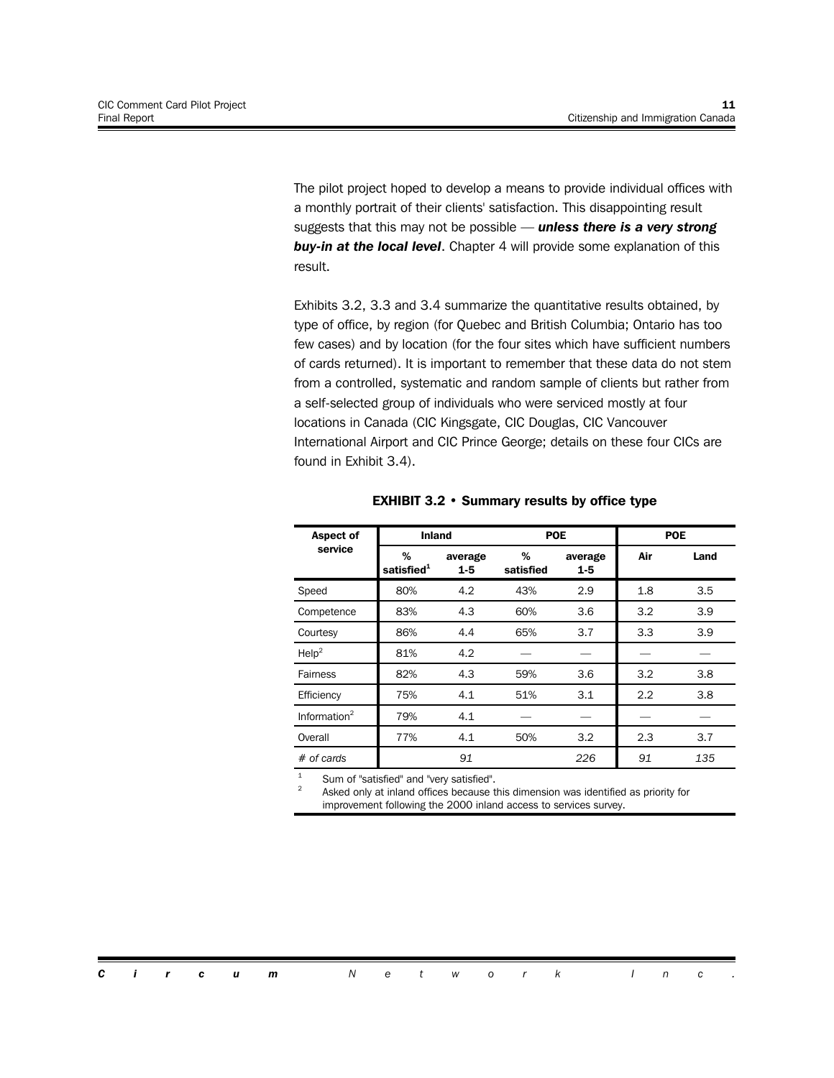The pilot project hoped to develop a means to provide individual offices with a monthly portrait of their clients' satisfaction. This disappointing result suggests that this may not be possible — *unless there is a very strong buy-in at the local level*. Chapter 4 will provide some explanation of this result.

Exhibits 3.2, 3.3 and 3.4 summarize the quantitative results obtained, by type of office, by region (for Quebec and British Columbia; Ontario has too few cases) and by location (for the four sites which have sufficient numbers of cards returned). It is important to remember that these data do not stem from a controlled, systematic and random sample of clients but rather from a self-selected group of individuals who were serviced mostly at four locations in Canada (CIC Kingsgate, CIC Douglas, CIC Vancouver International Airport and CIC Prince George; details on these four CICs are found in Exhibit 3.4).

| Aspect of                | <b>Inland</b>               |                    | <b>POE</b>     |                    | <b>POE</b> |      |  |
|--------------------------|-----------------------------|--------------------|----------------|--------------------|------------|------|--|
| service                  | %<br>satisfied <sup>1</sup> | average<br>$1 - 5$ | %<br>satisfied | average<br>$1 - 5$ | Air        | Land |  |
| Speed                    | 80%                         | 4.2                | 43%            | 2.9                | 1.8        | 3.5  |  |
| Competence               | 83%                         | 4.3                | 60%            | 3.6                | 3.2        | 3.9  |  |
| Courtesy                 | 86%                         | 4.4                | 65%            | 3.7                | 3.3        | 3.9  |  |
| $\text{Help}^2$          | 81%                         | 4.2                |                |                    |            |      |  |
| Fairness                 | 82%                         | 4.3                | 59%            | 3.6                | 3.2        | 3.8  |  |
| Efficiency               | 75%                         | 4.1                | 51%            | 3.1                | 2.2        | 3.8  |  |
| Information <sup>2</sup> | 79%                         | 4.1                |                |                    |            |      |  |
| Overall                  | 77%                         | 4.1                | 50%            | 3.2                | 2.3        | 3.7  |  |
| # of cards               |                             | 91                 |                | 226                | 91         | 135  |  |

#### **EXHIBIT 3.2 • Summary results by office type**

Sum of "satisfied" and "very satisfied".

2 Asked only at inland offices because this dimension was identified as priority for improvement following the 2000 inland access to services survey.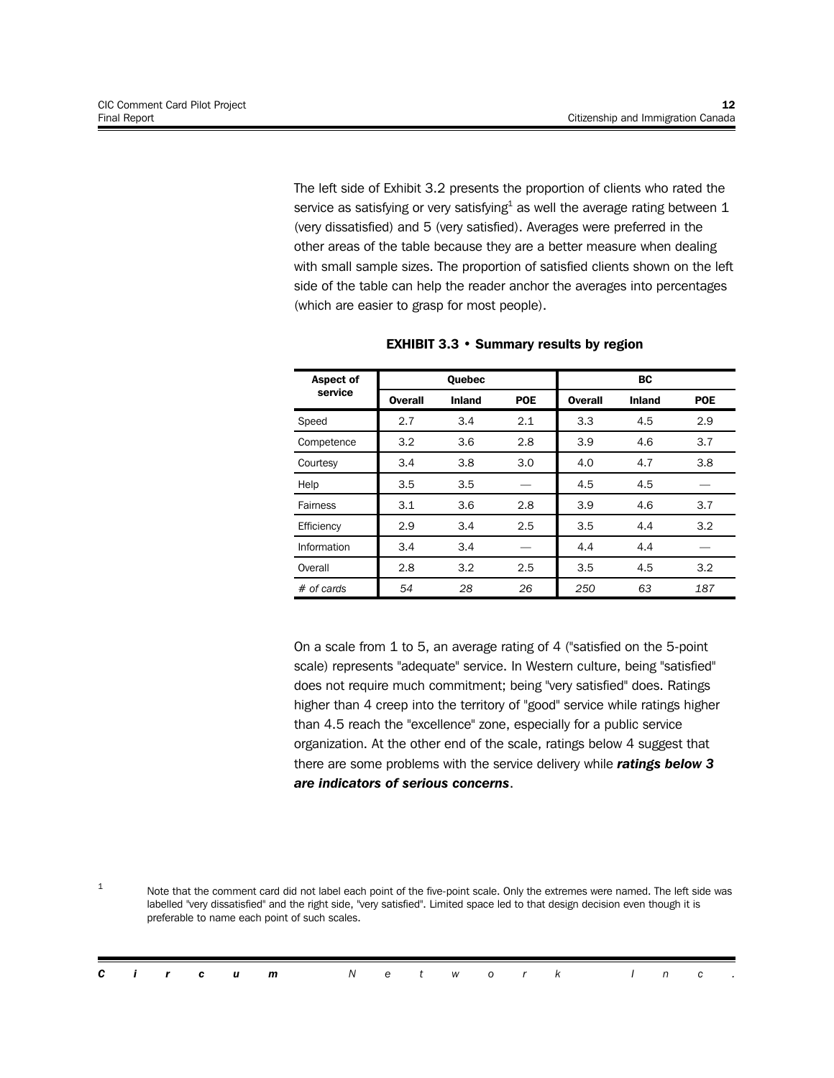The left side of Exhibit 3.2 presents the proportion of clients who rated the service as satisfying or very satisfying $^{\rm 1}$  as well the average rating between  ${\rm 1}$ (very dissatisfied) and 5 (very satisfied). Averages were preferred in the other areas of the table because they are a better measure when dealing with small sample sizes. The proportion of satisfied clients shown on the left side of the table can help the reader anchor the averages into percentages (which are easier to grasp for most people).

| <b>Aspect of</b> |                | <b>Ouebec</b> |            | <b>BC</b> |               |            |  |
|------------------|----------------|---------------|------------|-----------|---------------|------------|--|
| service          | <b>Overall</b> | <b>Inland</b> | <b>POE</b> | Overall   | <b>Inland</b> | <b>POE</b> |  |
| Speed            | 2.7            | 3.4           | 2.1        | 3.3       | 4.5           | 2.9        |  |
| Competence       | 3.2            | 3.6           | 2.8        | 3.9       | 4.6           | 3.7        |  |
| Courtesy         | 3.4            | 3.8           | 3.0        | 4.0       | 4.7           | 3.8        |  |
| Help             | 3.5            | 3.5           |            | 4.5       | 4.5           |            |  |
| Fairness         | 3.1            | 3.6           | 2.8        | 3.9       | 4.6           | 3.7        |  |
| Efficiency       | 2.9            | 3.4           | 2.5        | 3.5       | 4.4           | 3.2        |  |
| Information      | 3.4            | 3.4           |            | 4.4       | 4.4           |            |  |
| Overall          | 2.8            | 3.2           | 2.5        | 3.5       | 4.5           | 3.2        |  |
| $#$ of cards     | 54             | 28            | 26         | 250       | 63            | 187        |  |

| <b>EXHIBIT 3.3 • Summary results by region</b> |  |  |  |
|------------------------------------------------|--|--|--|
|------------------------------------------------|--|--|--|

On a scale from 1 to 5, an average rating of 4 ("satisfied on the 5-point scale) represents "adequate" service. In Western culture, being "satisfied" does not require much commitment; being "very satisfied" does. Ratings higher than 4 creep into the territory of "good" service while ratings higher than 4.5 reach the "excellence" zone, especially for a public service organization. At the other end of the scale, ratings below 4 suggest that there are some problems with the service delivery while *ratings below 3 are indicators of serious concerns*.

1 Note that the comment card did not label each point of the five-point scale. Only the extremes were named. The left side was labelled "very dissatisfied" and the right side, "very satisfied". Limited space led to that design decision even though it is preferable to name each point of such scales.

|  |  | <b>Circum</b> Network Inc. |  |  |  |  |  |  |
|--|--|----------------------------|--|--|--|--|--|--|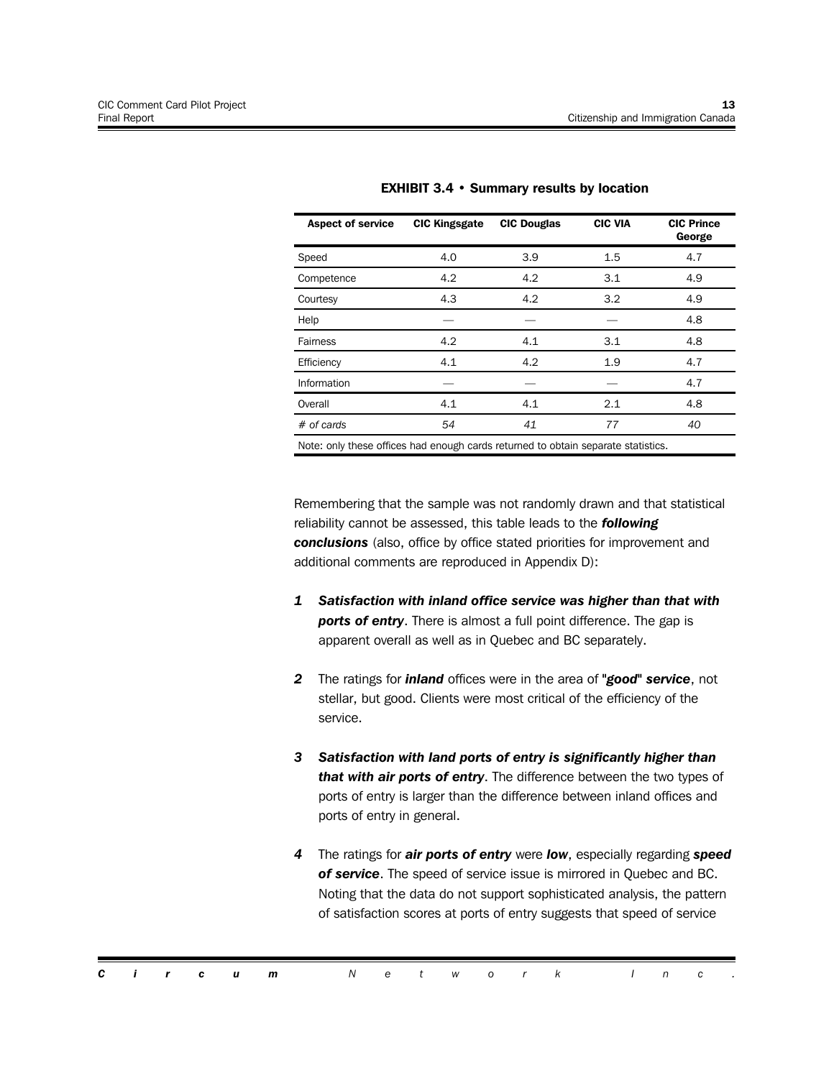| <b>Aspect of service</b>                                                          | <b>CIC Kingsgate</b> | <b>CIC Douglas</b> | <b>CIC VIA</b> | <b>CIC Prince</b><br>George |  |  |  |  |  |
|-----------------------------------------------------------------------------------|----------------------|--------------------|----------------|-----------------------------|--|--|--|--|--|
| Speed                                                                             | 4.0                  | 3.9                | 1.5            | 4.7                         |  |  |  |  |  |
| Competence                                                                        | 4.2                  | 4.2                | 3.1            | 4.9                         |  |  |  |  |  |
| Courtesy                                                                          | 4.3                  | 4.2                | 3.2            | 4.9                         |  |  |  |  |  |
| Help                                                                              |                      |                    |                | 4.8                         |  |  |  |  |  |
| Fairness                                                                          | 4.2                  | 4.1                | 3.1            | 4.8                         |  |  |  |  |  |
| Efficiency                                                                        | 4.1                  | 4.2                | 1.9            | 4.7                         |  |  |  |  |  |
| Information                                                                       |                      |                    |                | 4.7                         |  |  |  |  |  |
| Overall                                                                           | 4.1                  | 4.1                | 2.1            | 4.8                         |  |  |  |  |  |
| $#$ of cards                                                                      | 54                   | 41                 | 77             | 40                          |  |  |  |  |  |
| Note: only these offices had enough cards returned to obtain separate statistics. |                      |                    |                |                             |  |  |  |  |  |

#### **EXHIBIT 3.4 • Summary results by location**

Remembering that the sample was not randomly drawn and that statistical reliability cannot be assessed, this table leads to the *following conclusions* (also, office by office stated priorities for improvement and additional comments are reproduced in Appendix D):

- *1 Satisfaction with inland office service was higher than that with ports of entry*. There is almost a full point difference. The gap is apparent overall as well as in Quebec and BC separately.
- *2* The ratings for *inland* offices were in the area of *"good" service*, not stellar, but good. Clients were most critical of the efficiency of the service.
- *3 Satisfaction with land ports of entry is significantly higher than that with air ports of entry*. The difference between the two types of ports of entry is larger than the difference between inland offices and ports of entry in general.
- *4* The ratings for *air ports of entry* were *low*, especially regarding *speed of service*. The speed of service issue is mirrored in Quebec and BC. Noting that the data do not support sophisticated analysis, the pattern of satisfaction scores at ports of entry suggests that speed of service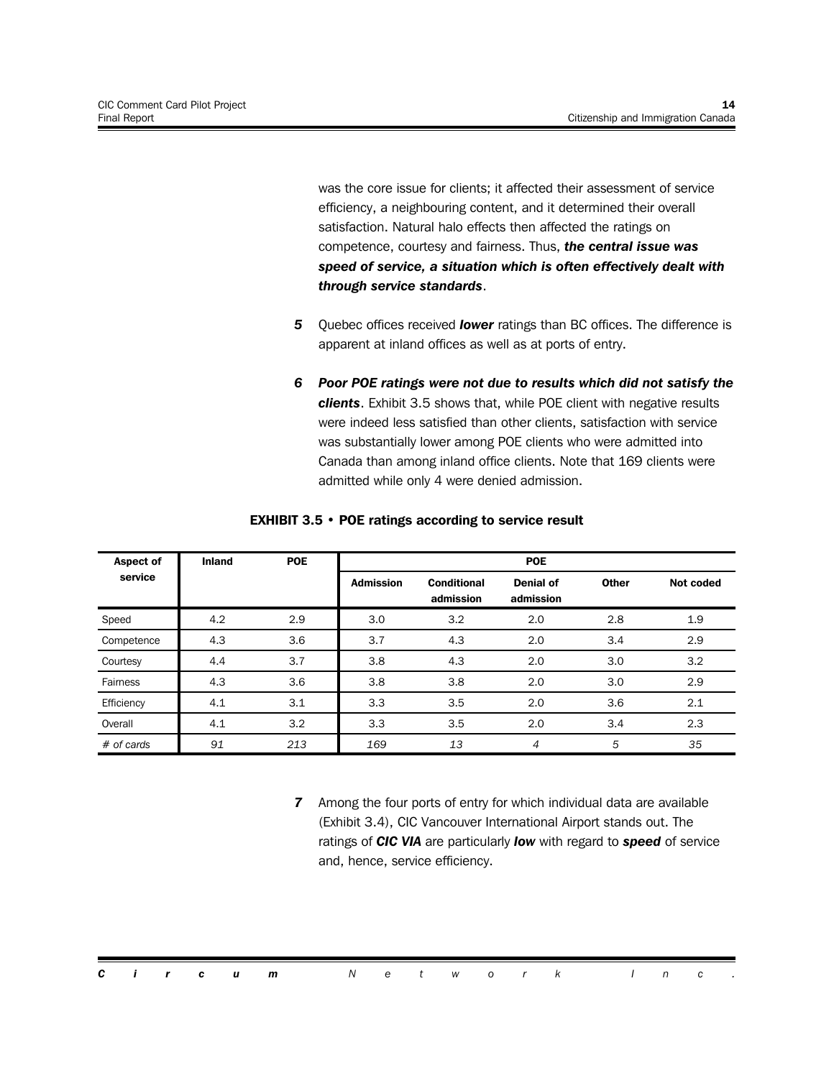was the core issue for clients; it affected their assessment of service efficiency, a neighbouring content, and it determined their overall satisfaction. Natural halo effects then affected the ratings on competence, courtesy and fairness. Thus, *the central issue was speed of service, a situation which is often effectively dealt with through service standards*.

- *5* Quebec offices received *lower* ratings than BC offices. The difference is apparent at inland offices as well as at ports of entry.
- *6 Poor POE ratings were not due to results which did not satisfy the clients*. Exhibit 3.5 shows that, while POE client with negative results were indeed less satisfied than other clients, satisfaction with service was substantially lower among POE clients who were admitted into Canada than among inland office clients. Note that 169 clients were admitted while only 4 were denied admission.

| <b>Aspect of</b> | <b>Inland</b> | <b>POE</b> |                  |                                 | <b>POE</b>                    |              |           |
|------------------|---------------|------------|------------------|---------------------------------|-------------------------------|--------------|-----------|
| service          |               |            | <b>Admission</b> | <b>Conditional</b><br>admission | <b>Denial of</b><br>admission | <b>Other</b> | Not coded |
| Speed            | 4.2           | 2.9        | 3.0              | 3.2                             | 2.0                           | 2.8          | 1.9       |
| Competence       | 4.3           | 3.6        | 3.7              | 4.3                             | 2.0                           | 3.4          | 2.9       |
| Courtesy         | 4.4           | 3.7        | 3.8              | 4.3                             | 2.0                           | 3.0          | 3.2       |
| Fairness         | 4.3           | 3.6        | 3.8              | 3.8                             | 2.0                           | 3.0          | 2.9       |
| Efficiency       | 4.1           | 3.1        | 3.3              | 3.5                             | 2.0                           | 3.6          | 2.1       |
| Overall          | 4.1           | 3.2        | 3.3              | 3.5                             | 2.0                           | 3.4          | 2.3       |
| $#$ of cards     | 91            | 213        | 169              | 13                              | 4                             | 5            | 35        |

#### **EXHIBIT 3.5 • POE ratings according to service result**

*7* Among the four ports of entry for which individual data are available (Exhibit 3.4), CIC Vancouver International Airport stands out. The ratings of *CIC VIA* are particularly *low* with regard to *speed* of service and, hence, service efficiency.

|  |  | <b>Circum</b> Network Inc. |  |  |  |  |  |  |
|--|--|----------------------------|--|--|--|--|--|--|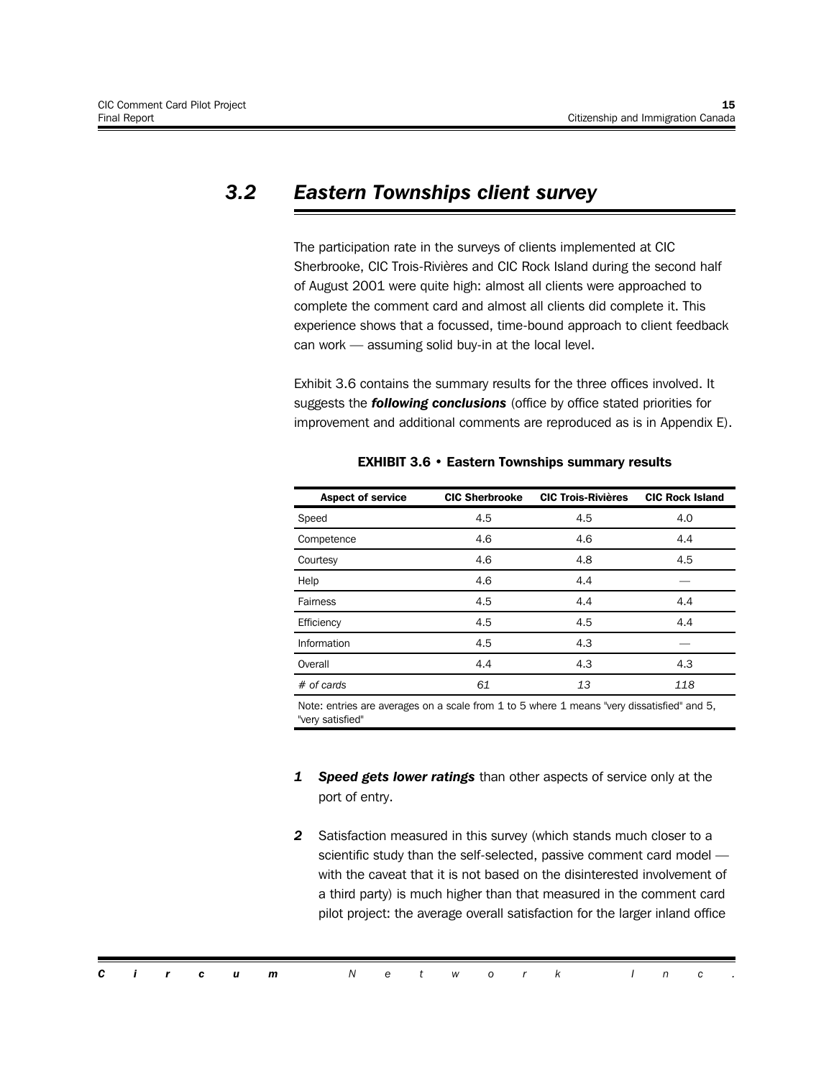### *3.2 Eastern Townships client survey*

The participation rate in the surveys of clients implemented at CIC Sherbrooke, CIC Trois-Rivières and CIC Rock Island during the second half of August 2001 were quite high: almost all clients were approached to complete the comment card and almost all clients did complete it. This experience shows that a focussed, time-bound approach to client feedback can work — assuming solid buy-in at the local level.

Exhibit 3.6 contains the summary results for the three offices involved. It suggests the *following conclusions* (office by office stated priorities for improvement and additional comments are reproduced as is in Appendix E).

| <b>Aspect of service</b> | <b>CIC Sherbrooke</b> | <b>CIC Trois-Rivières</b> | <b>CIC Rock Island</b> |
|--------------------------|-----------------------|---------------------------|------------------------|
| Speed                    | 4.5                   | 4.5                       | 4.0                    |
| Competence               | 4.6                   | 4.6                       | 4.4                    |
| Courtesy                 | 4.6                   | 4.8                       | 4.5                    |
| Help                     | 4.6                   | 4.4                       |                        |
| Fairness                 | 4.5                   | 4.4                       | 4.4                    |
| Efficiency               | 4.5                   | 4.5                       | 4.4                    |
| Information              | 4.5                   | 4.3                       |                        |
| Overall                  | 4.4                   | 4.3                       | 4.3                    |
| $#$ of cards             | 61                    | 13                        | 118                    |

#### **EXHIBIT 3.6 • Eastern Townships summary results**

Note: entries are averages on a scale from 1 to 5 where 1 means "very dissatisfied" and 5, "very satisfied"

- *1 Speed gets lower ratings* than other aspects of service only at the port of entry.
- *2* Satisfaction measured in this survey (which stands much closer to a scientific study than the self-selected, passive comment card model with the caveat that it is not based on the disinterested involvement of a third party) is much higher than that measured in the comment card pilot project: the average overall satisfaction for the larger inland office

|  |  | <b>Circum</b> Network Inc. |  |  |  |  |  |  |
|--|--|----------------------------|--|--|--|--|--|--|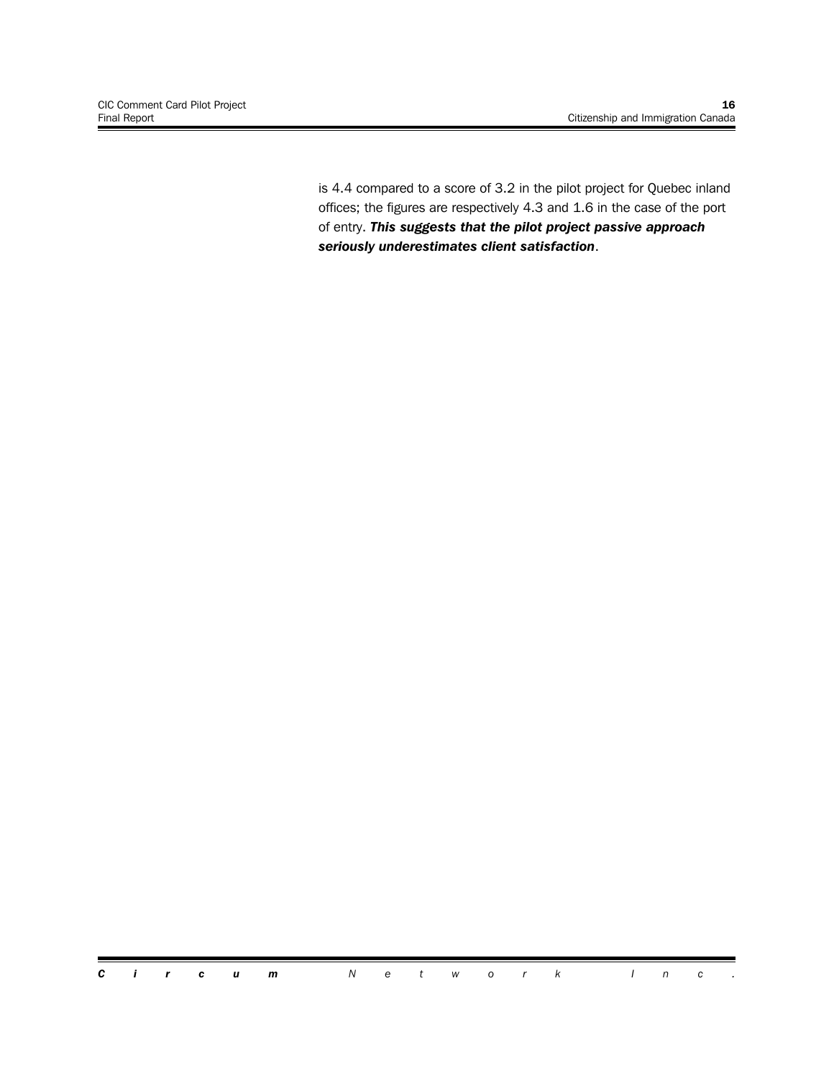is 4.4 compared to a score of 3.2 in the pilot project for Quebec inland offices; the figures are respectively 4.3 and 1.6 in the case of the port of entry. *This suggests that the pilot project passive approach seriously underestimates client satisfaction*.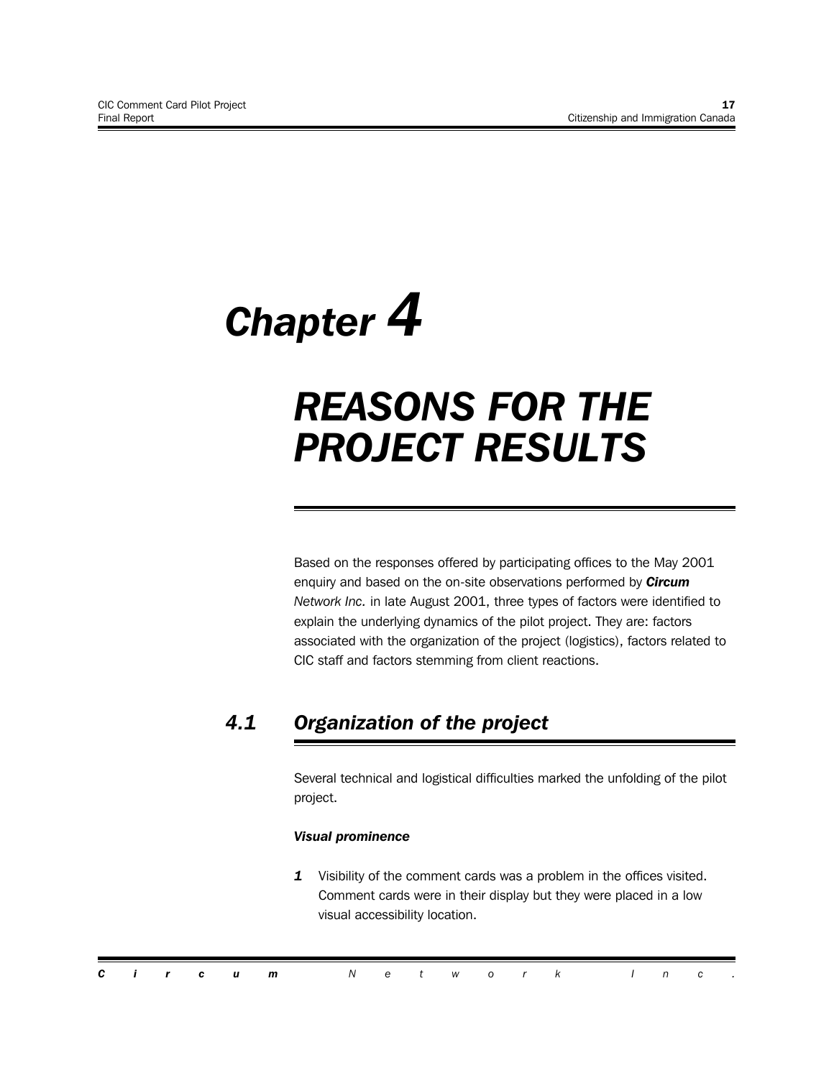# *Chapter 4*

# *REASONS FOR THE PROJECT RESULTS*

Based on the responses offered by participating offices to the May 2001 enquiry and based on the on-site observations performed by *Circum Network Inc.* in late August 2001, three types of factors were identified to explain the underlying dynamics of the pilot project. They are: factors associated with the organization of the project (logistics), factors related to CIC staff and factors stemming from client reactions.

## *4.1 Organization of the project*

Several technical and logistical difficulties marked the unfolding of the pilot project.

#### *Visual prominence*

*1* Visibility of the comment cards was a problem in the offices visited. Comment cards were in their display but they were placed in a low visual accessibility location.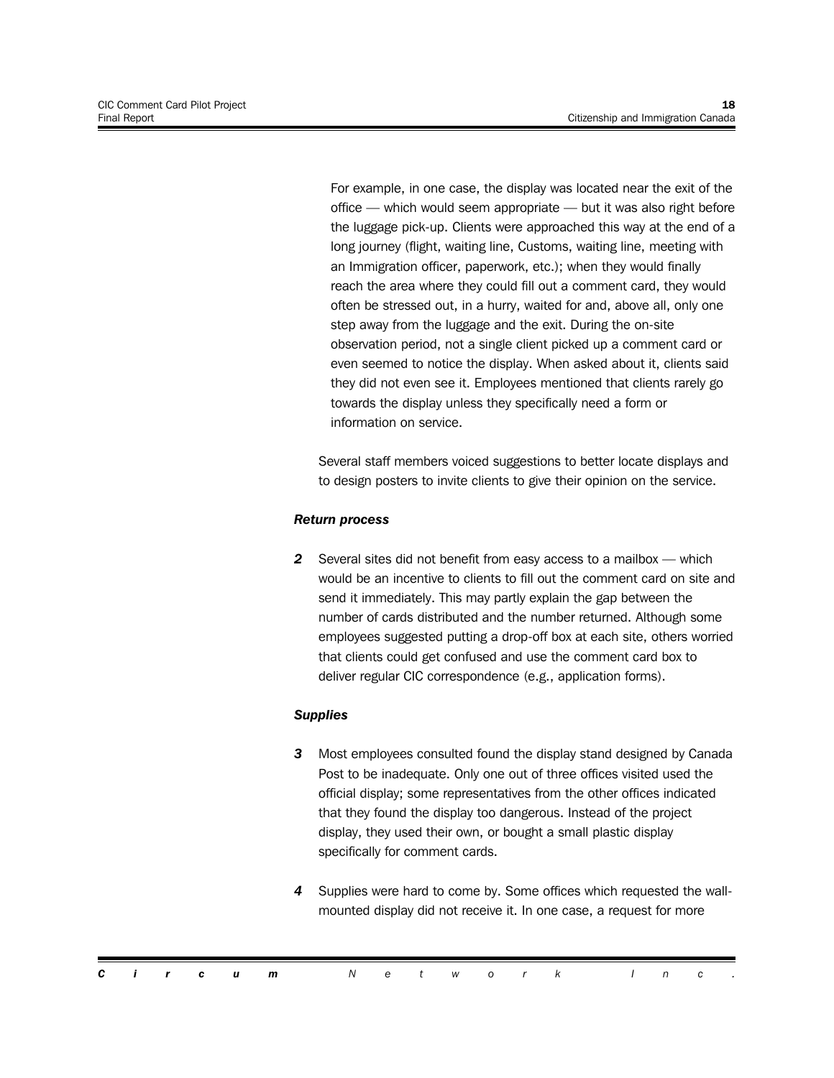For example, in one case, the display was located near the exit of the office — which would seem appropriate — but it was also right before the luggage pick-up. Clients were approached this way at the end of a long journey (flight, waiting line, Customs, waiting line, meeting with an Immigration officer, paperwork, etc.); when they would finally reach the area where they could fill out a comment card, they would often be stressed out, in a hurry, waited for and, above all, only one step away from the luggage and the exit. During the on-site observation period, not a single client picked up a comment card or even seemed to notice the display. When asked about it, clients said they did not even see it. Employees mentioned that clients rarely go towards the display unless they specifically need a form or information on service.

Several staff members voiced suggestions to better locate displays and to design posters to invite clients to give their opinion on the service.

#### *Return process*

*2* Several sites did not benefit from easy access to a mailbox — which would be an incentive to clients to fill out the comment card on site and send it immediately. This may partly explain the gap between the number of cards distributed and the number returned. Although some employees suggested putting a drop-off box at each site, others worried that clients could get confused and use the comment card box to deliver regular CIC correspondence (e.g., application forms).

#### *Supplies*

- *3* Most employees consulted found the display stand designed by Canada Post to be inadequate. Only one out of three offices visited used the official display; some representatives from the other offices indicated that they found the display too dangerous. Instead of the project display, they used their own, or bought a small plastic display specifically for comment cards.
- *4* Supplies were hard to come by. Some offices which requested the wallmounted display did not receive it. In one case, a request for more

|  |  | <b>Circum</b> Network Inc. |  |  |  |  |  |  |
|--|--|----------------------------|--|--|--|--|--|--|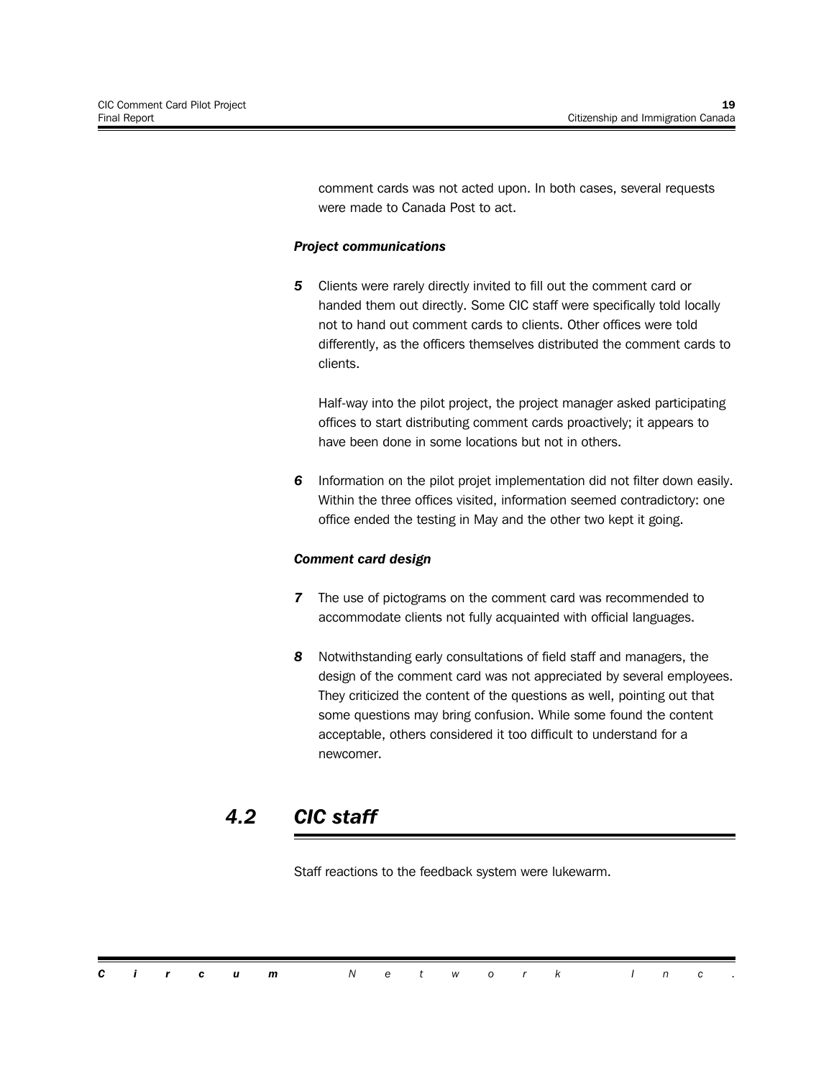comment cards was not acted upon. In both cases, several requests were made to Canada Post to act.

#### *Project communications*

*5* Clients were rarely directly invited to fill out the comment card or handed them out directly. Some CIC staff were specifically told locally not to hand out comment cards to clients. Other offices were told differently, as the officers themselves distributed the comment cards to clients.

Half-way into the pilot project, the project manager asked participating offices to start distributing comment cards proactively; it appears to have been done in some locations but not in others.

*6* Information on the pilot projet implementation did not filter down easily. Within the three offices visited, information seemed contradictory: one office ended the testing in May and the other two kept it going.

#### *Comment card design*

- *7* The use of pictograms on the comment card was recommended to accommodate clients not fully acquainted with official languages.
- *8* Notwithstanding early consultations of field staff and managers, the design of the comment card was not appreciated by several employees. They criticized the content of the questions as well, pointing out that some questions may bring confusion. While some found the content acceptable, others considered it too difficult to understand for a newcomer.

### *4.2 CIC staff*

Staff reactions to the feedback system were lukewarm.

|  |  | <b>Circum</b> Network Inc. |  |  |  |  |  |  |
|--|--|----------------------------|--|--|--|--|--|--|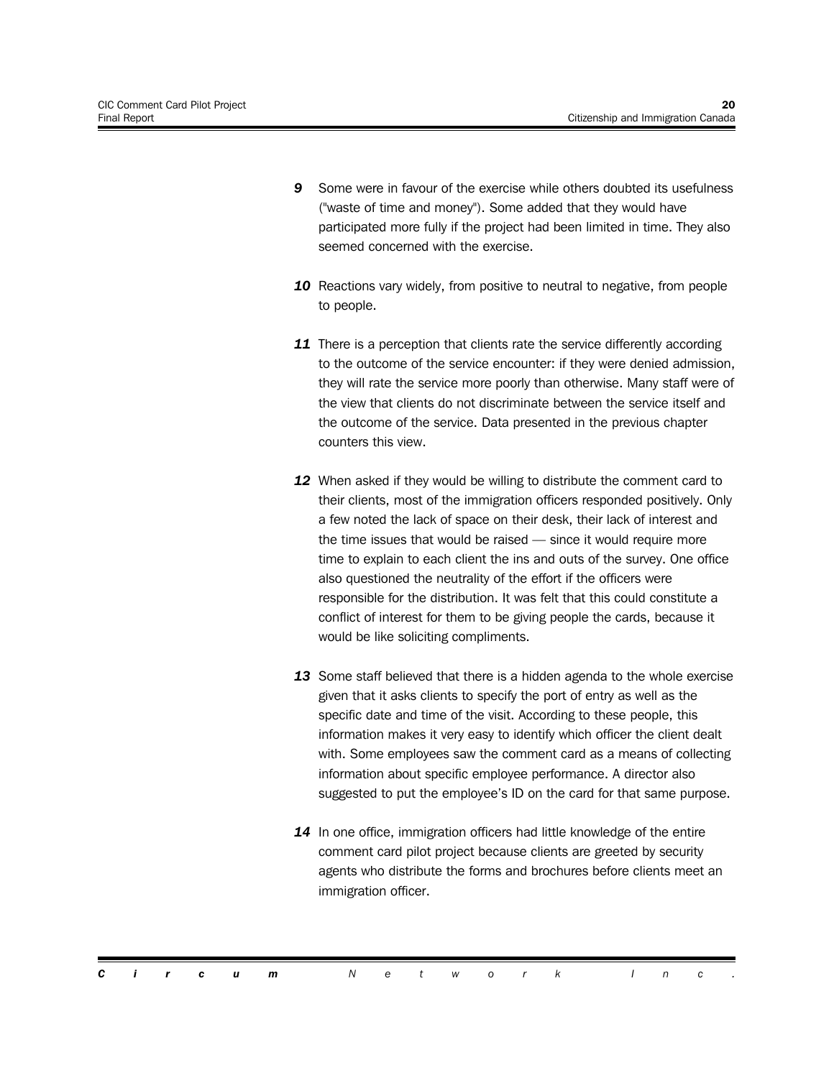- *9* Some were in favour of the exercise while others doubted its usefulness ("waste of time and money"). Some added that they would have participated more fully if the project had been limited in time. They also seemed concerned with the exercise.
- 10 Reactions vary widely, from positive to neutral to negative, from people to people.
- *11* There is a perception that clients rate the service differently according to the outcome of the service encounter: if they were denied admission, they will rate the service more poorly than otherwise. Many staff were of the view that clients do not discriminate between the service itself and the outcome of the service. Data presented in the previous chapter counters this view.
- *12* When asked if they would be willing to distribute the comment card to their clients, most of the immigration officers responded positively. Only a few noted the lack of space on their desk, their lack of interest and the time issues that would be raised — since it would require more time to explain to each client the ins and outs of the survey. One office also questioned the neutrality of the effort if the officers were responsible for the distribution. It was felt that this could constitute a conflict of interest for them to be giving people the cards, because it would be like soliciting compliments.
- *13* Some staff believed that there is a hidden agenda to the whole exercise given that it asks clients to specify the port of entry as well as the specific date and time of the visit. According to these people, this information makes it very easy to identify which officer the client dealt with. Some employees saw the comment card as a means of collecting information about specific employee performance. A director also suggested to put the employee's ID on the card for that same purpose.
- *14* In one office, immigration officers had little knowledge of the entire comment card pilot project because clients are greeted by security agents who distribute the forms and brochures before clients meet an immigration officer.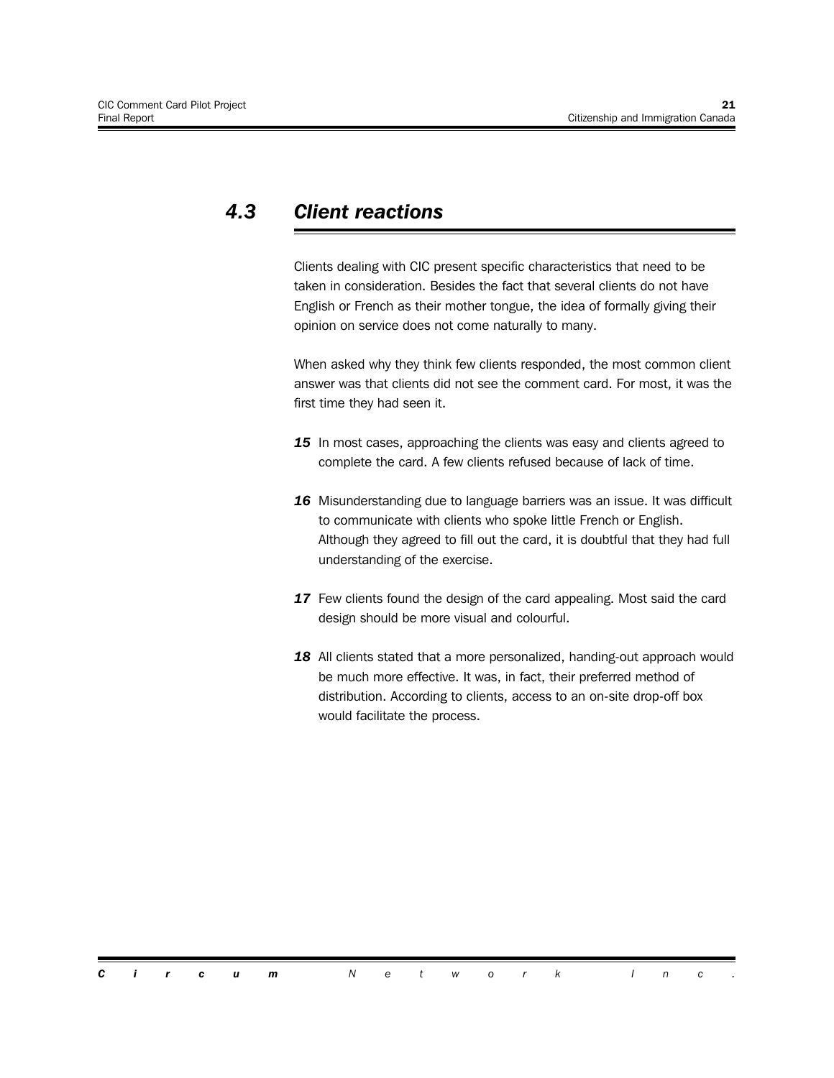### *4.3 Client reactions*

Clients dealing with CIC present specific characteristics that need to be taken in consideration. Besides the fact that several clients do not have English or French as their mother tongue, the idea of formally giving their opinion on service does not come naturally to many.

When asked why they think few clients responded, the most common client answer was that clients did not see the comment card. For most, it was the first time they had seen it.

- 15 In most cases, approaching the clients was easy and clients agreed to complete the card. A few clients refused because of lack of time.
- 16 Misunderstanding due to language barriers was an issue. It was difficult to communicate with clients who spoke little French or English. Although they agreed to fill out the card, it is doubtful that they had full understanding of the exercise.
- *17* Few clients found the design of the card appealing. Most said the card design should be more visual and colourful.
- 18 All clients stated that a more personalized, handing-out approach would be much more effective. It was, in fact, their preferred method of distribution. According to clients, access to an on-site drop-off box would facilitate the process.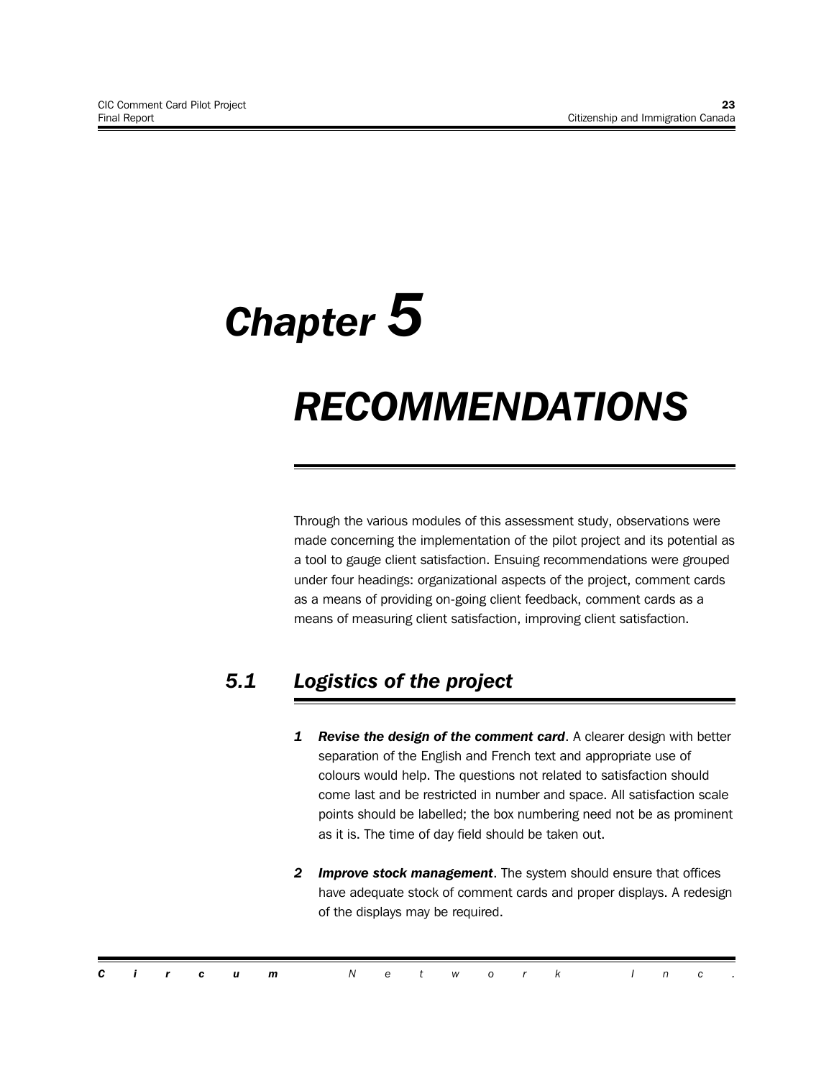# *Chapter 5*

# *RECOMMENDATIONS*

Through the various modules of this assessment study, observations were made concerning the implementation of the pilot project and its potential as a tool to gauge client satisfaction. Ensuing recommendations were grouped under four headings: organizational aspects of the project, comment cards as a means of providing on-going client feedback, comment cards as a means of measuring client satisfaction, improving client satisfaction.

## *5.1 Logistics of the project*

- *1 Revise the design of the comment card*. A clearer design with better separation of the English and French text and appropriate use of colours would help. The questions not related to satisfaction should come last and be restricted in number and space. All satisfaction scale points should be labelled; the box numbering need not be as prominent as it is. The time of day field should be taken out.
- *2 Improve stock management*. The system should ensure that offices have adequate stock of comment cards and proper displays. A redesign of the displays may be required.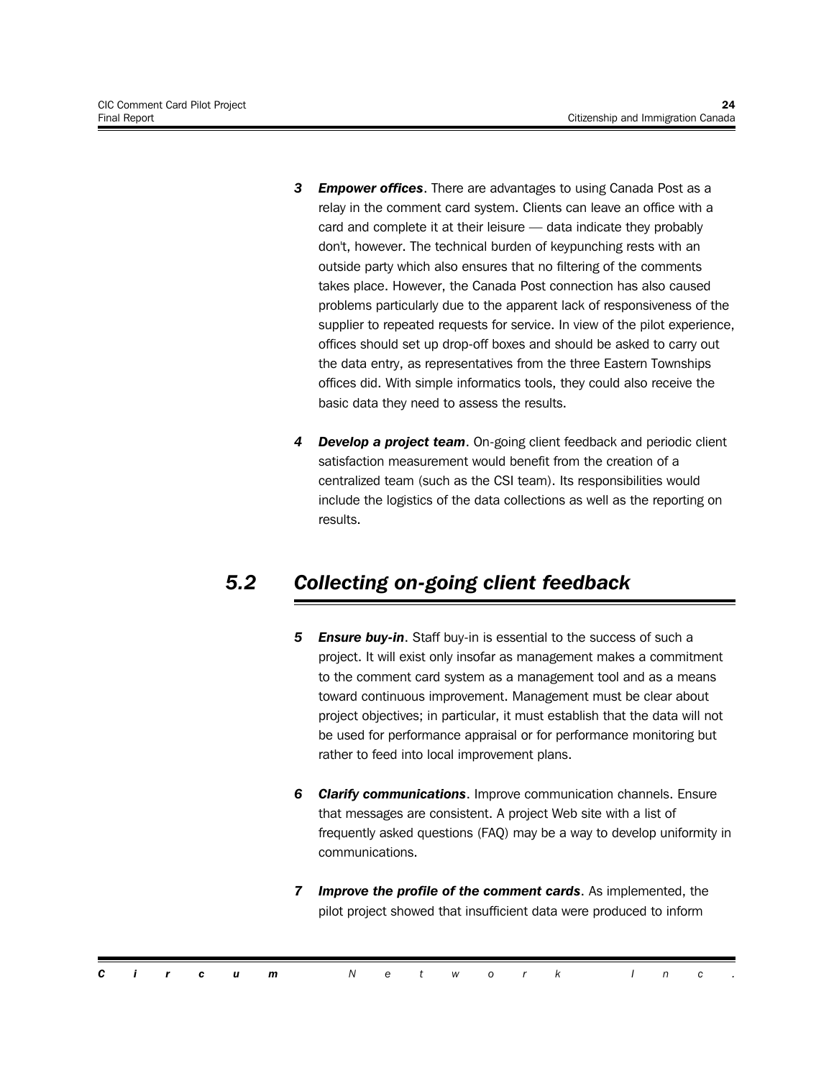- *3 Empower offices*. There are advantages to using Canada Post as a relay in the comment card system. Clients can leave an office with a card and complete it at their leisure — data indicate they probably don't, however. The technical burden of keypunching rests with an outside party which also ensures that no filtering of the comments takes place. However, the Canada Post connection has also caused problems particularly due to the apparent lack of responsiveness of the supplier to repeated requests for service. In view of the pilot experience, offices should set up drop-off boxes and should be asked to carry out the data entry, as representatives from the three Eastern Townships offices did. With simple informatics tools, they could also receive the basic data they need to assess the results.
- *4 Develop a project team*. On-going client feedback and periodic client satisfaction measurement would benefit from the creation of a centralized team (such as the CSI team). Its responsibilities would include the logistics of the data collections as well as the reporting on results.

## *5.2 Collecting on-going client feedback*

- *5 Ensure buy-in*. Staff buy-in is essential to the success of such a project. It will exist only insofar as management makes a commitment to the comment card system as a management tool and as a means toward continuous improvement. Management must be clear about project objectives; in particular, it must establish that the data will not be used for performance appraisal or for performance monitoring but rather to feed into local improvement plans.
- *6 Clarify communications*. Improve communication channels. Ensure that messages are consistent. A project Web site with a list of frequently asked questions (FAQ) may be a way to develop uniformity in communications.
- *7 Improve the profile of the comment cards*. As implemented, the pilot project showed that insufficient data were produced to inform

|  |  | <b>Circum</b> Network Inc. |  |  |  |  |  |  |
|--|--|----------------------------|--|--|--|--|--|--|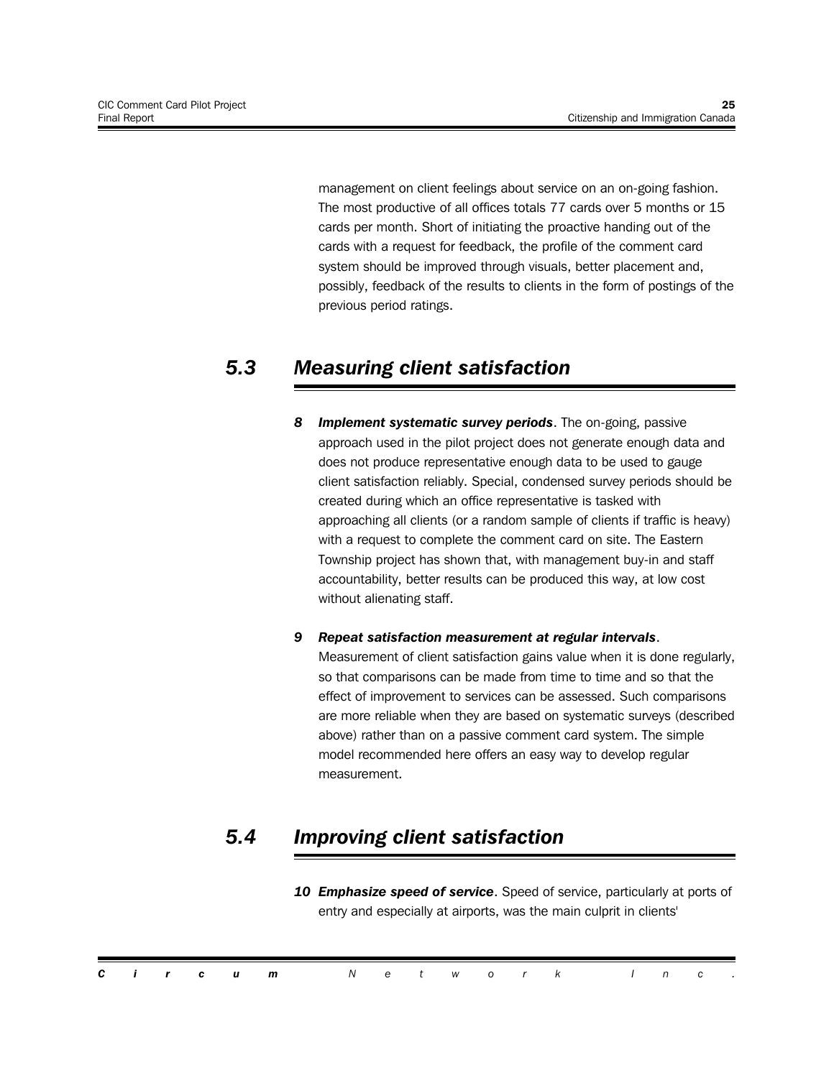management on client feelings about service on an on-going fashion. The most productive of all offices totals 77 cards over 5 months or 15 cards per month. Short of initiating the proactive handing out of the cards with a request for feedback, the profile of the comment card system should be improved through visuals, better placement and, possibly, feedback of the results to clients in the form of postings of the previous period ratings.

### *5.3 Measuring client satisfaction*

*8 Implement systematic survey periods*. The on-going, passive approach used in the pilot project does not generate enough data and does not produce representative enough data to be used to gauge client satisfaction reliably. Special, condensed survey periods should be created during which an office representative is tasked with approaching all clients (or a random sample of clients if traffic is heavy) with a request to complete the comment card on site. The Eastern Township project has shown that, with management buy-in and staff accountability, better results can be produced this way, at low cost without alienating staff.

#### *9 Repeat satisfaction measurement at regular intervals*.

Measurement of client satisfaction gains value when it is done regularly, so that comparisons can be made from time to time and so that the effect of improvement to services can be assessed. Such comparisons are more reliable when they are based on systematic surveys (described above) rather than on a passive comment card system. The simple model recommended here offers an easy way to develop regular measurement.

### *5.4 Improving client satisfaction*

*10 Emphasize speed of service*. Speed of service, particularly at ports of entry and especially at airports, was the main culprit in clients'

|  |  | <b>Circum</b> Network Inc. |  |  |  |  |  |  |
|--|--|----------------------------|--|--|--|--|--|--|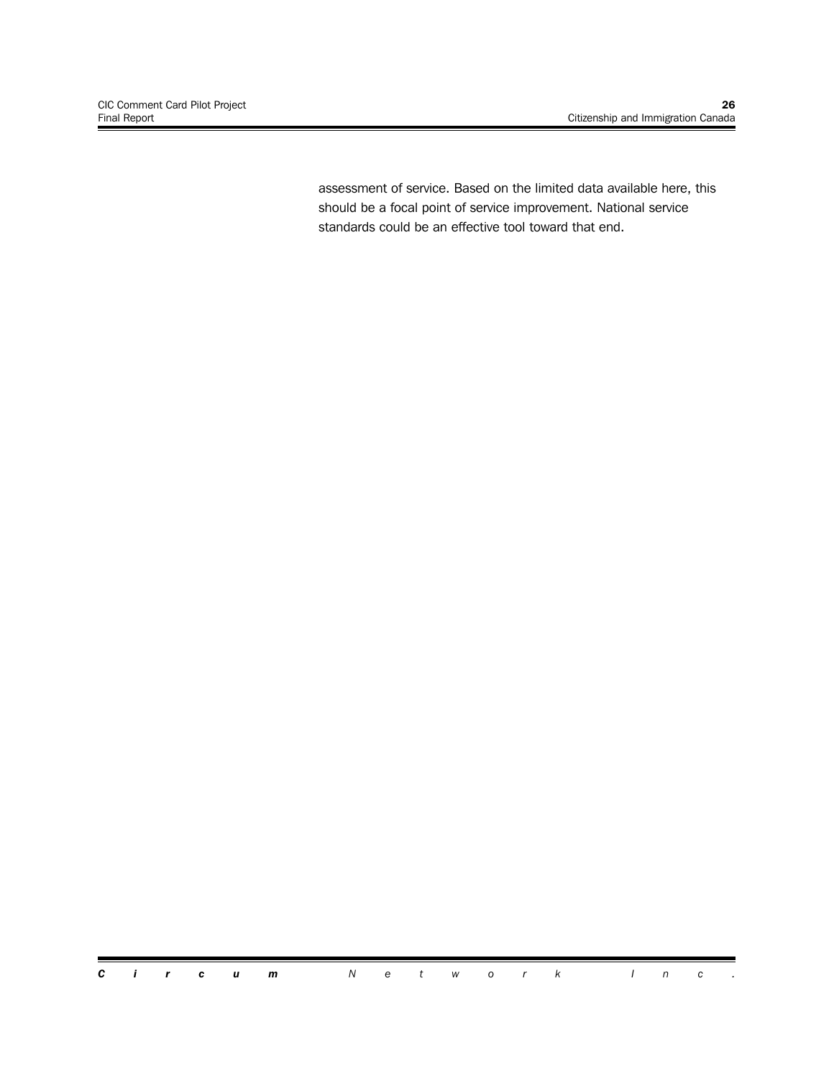assessment of service. Based on the limited data available here, this should be a focal point of service improvement. National service standards could be an effective tool toward that end.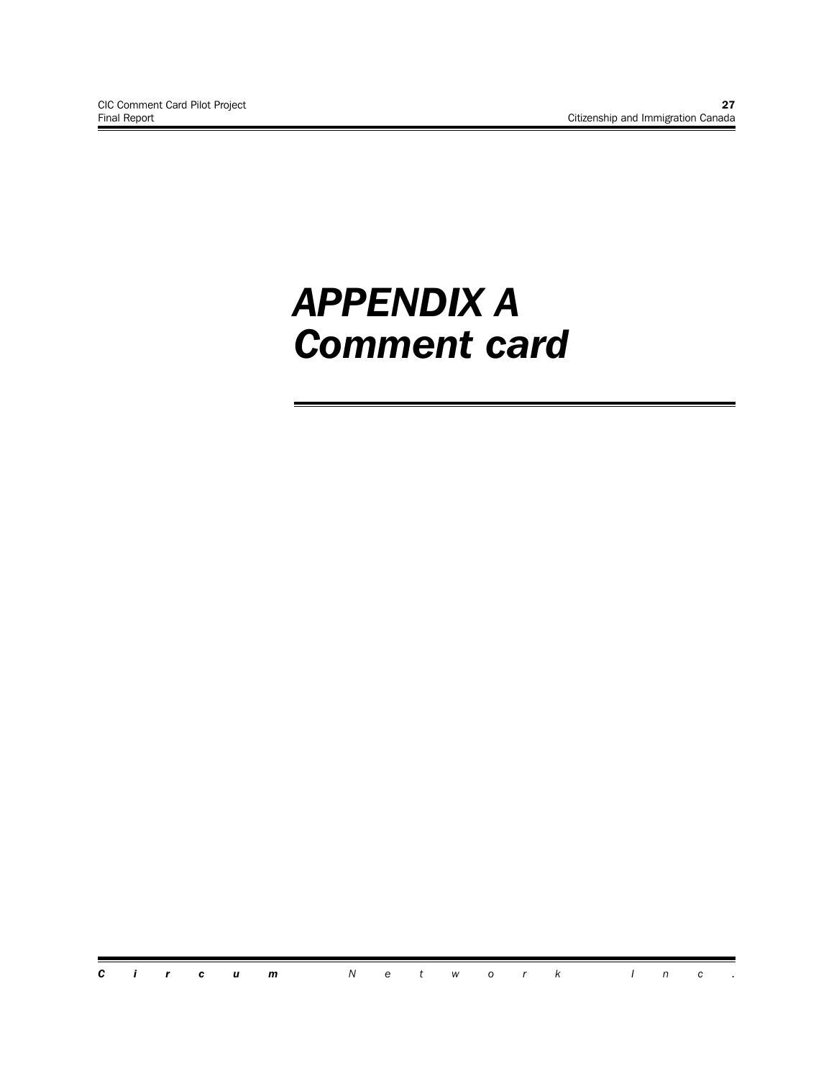# *APPENDIX A Comment card*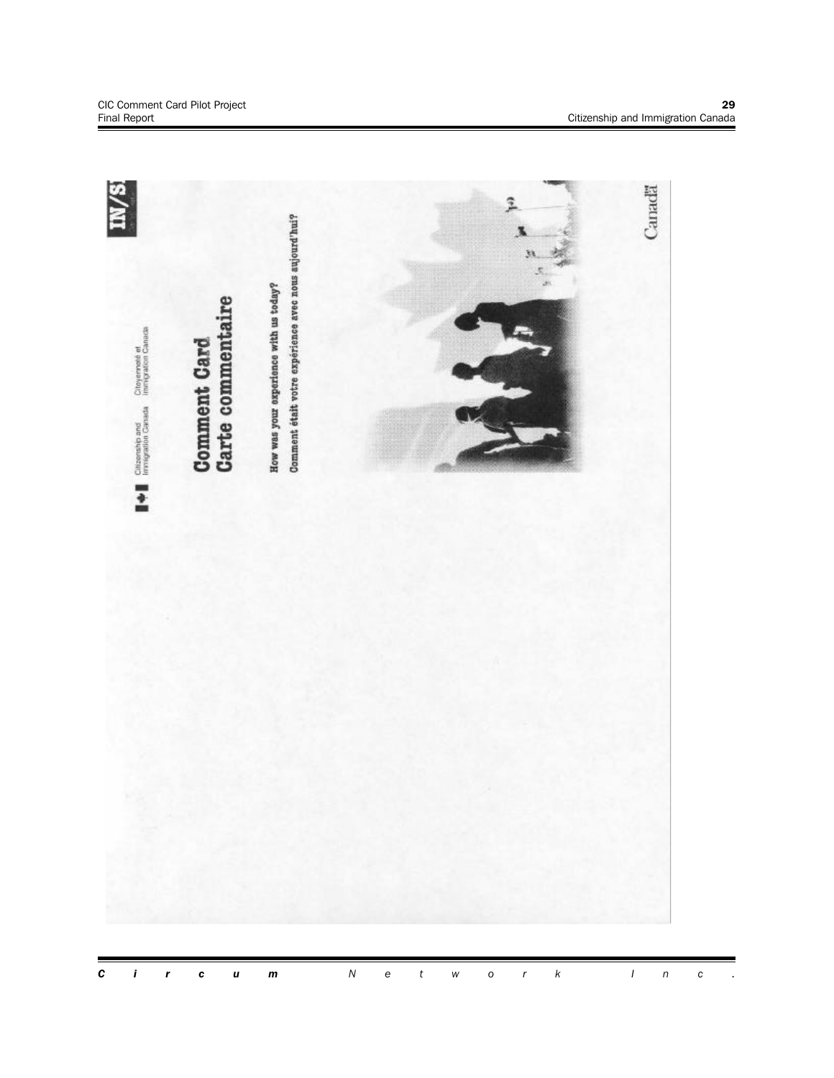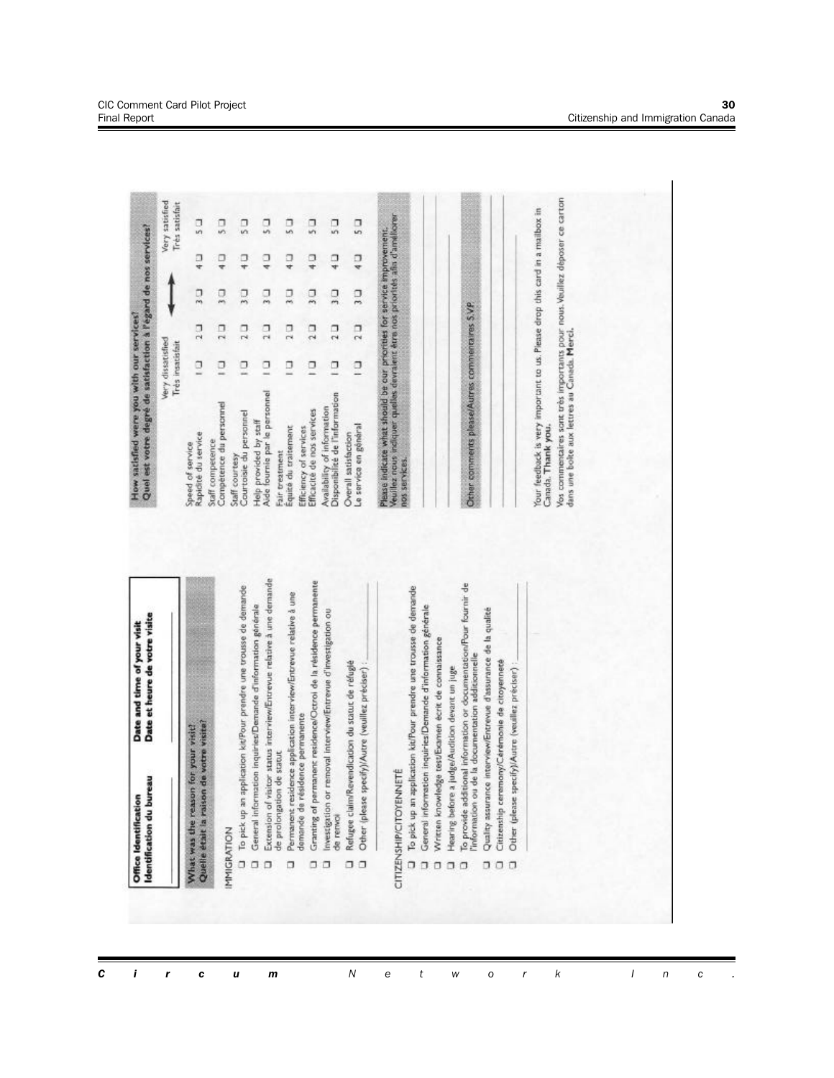| eau<br>Identification du bur<br>Office Identification                                         | Date et heure de votre visite<br>Date and time of your visit                                                                                                                             | Quel est votre degré de satisfaction à l'égard de nos services?<br>How satisfied were you with our services?                                                                                                                    |                                       |               |               |                  |                                  |
|-----------------------------------------------------------------------------------------------|------------------------------------------------------------------------------------------------------------------------------------------------------------------------------------------|---------------------------------------------------------------------------------------------------------------------------------------------------------------------------------------------------------------------------------|---------------------------------------|---------------|---------------|------------------|----------------------------------|
|                                                                                               |                                                                                                                                                                                          |                                                                                                                                                                                                                                 | Very dissatisfied<br>Très insatisfait |               |               |                  | Very satisfied<br>Très satisfait |
| Quelle était la raison de votre visite?<br>What was the reason for your visit?                |                                                                                                                                                                                          | Rapidité du service<br>Speed of service                                                                                                                                                                                         | σ                                     | $\frac{1}{2}$ | ă             | σ<br>÷           | $\frac{1}{2}$                    |
|                                                                                               |                                                                                                                                                                                          | Compétence du personnel<br>Staff competence                                                                                                                                                                                     | σ                                     | π<br>$\sim$   | $\frac{1}{2}$ | Ξ<br>÷           | $\overline{5}$                   |
| MMIGRATION<br>٥                                                                               | To pick up an application kit/Pour prendre une trousse de demande                                                                                                                        | Courtoisie du personnel<br>Staff courtesy                                                                                                                                                                                       | σ                                     | $\frac{1}{2}$ | $\frac{1}{2}$ | Ξ<br>₩           | $\frac{1}{2}$                    |
| α<br>σ                                                                                        | Extension of visitor status interview/Entrevue relative à une demande<br>General information inquiries/Demande d'information générale                                                    | Aide fournie par le personnel<br>Help provided by staff                                                                                                                                                                         | σ                                     | $\frac{1}{2}$ | $\frac{1}{2}$ | ្នុ              | $\frac{1}{2}$                    |
| de prolongation de statut<br>Ω                                                                | Permanent residence application interview/Entrevue relative à une                                                                                                                        | Equité du traitement<br>Fair treatment                                                                                                                                                                                          | π                                     | $\frac{1}{2}$ | $\frac{1}{2}$ | ⋥                | Ľ,                               |
| demande de résidence permanente<br>α                                                          | Granting of permanent residence/Octrol de la résidence permanente                                                                                                                        | Efficacité de nos services<br>Efficiency of services                                                                                                                                                                            | σ                                     | $\frac{1}{2}$ | $\frac{1}{2}$ | ্ব               | $\overline{5}$                   |
| Investigation or<br>de renvol<br>α                                                            | removal interview/Entrevue d'investigation ou                                                                                                                                            | Disponibilité de l'information<br>Availability of information                                                                                                                                                                   | σ                                     | 211           | Ξ,            | $\frac{\Box}{4}$ | Ľ,                               |
| α<br>σ                                                                                        | Refugee claim/Revendication du statut de réfugié<br>Other (please specify)/Autre (veuillez préciser) :                                                                                   | Le service en général<br>Overall satisfaction                                                                                                                                                                                   | $\Box$                                | $\frac{1}{2}$ | $\frac{1}{2}$ | ă                | $\frac{1}{2}$                    |
| Hearing before a judge/Audition devant un juge<br>CITIZENSHIP/CITOYENNETÉ<br>σ<br>σ<br>σ<br>σ | To pick up an application kit/Pour prendre une trousse de demande<br>General information inquiries/Demande d'information générale<br>Written knowledge test/Examen écrit de connaissance | Please indicate what should be our proofdes for service improvement.<br>Veuillez nous indiquer qualles devratent être nos priorités ain d'améliorer<br><b>NOS SERVICES</b>                                                      |                                       |               |               |                  |                                  |
| σ                                                                                             | To provide additional information or documentation/Pour fournir de<br>l'information ou de la documentation additionnelle                                                                 | Other comments please/Autres commentaires S.V.P.                                                                                                                                                                                |                                       |               |               |                  |                                  |
| ü<br>σ                                                                                        | Quality assurance interview/Entrevue d'assurance de la qualité<br>Citizenship ceremony/Carámonie de citoyenneté                                                                          |                                                                                                                                                                                                                                 |                                       |               |               |                  |                                  |
| $\Box$                                                                                        | Other (please specify)/Autre (vouillez préciser) ;                                                                                                                                       | Vos commentaires sont três importants pour nous Veuillez déposer ce carton<br>dans une boîte aux lettres au Canada Merci.<br>Your feedback is very important to us. Please drop this card in a mailbox in<br>Canada. Thank you. |                                       |               |               |                  |                                  |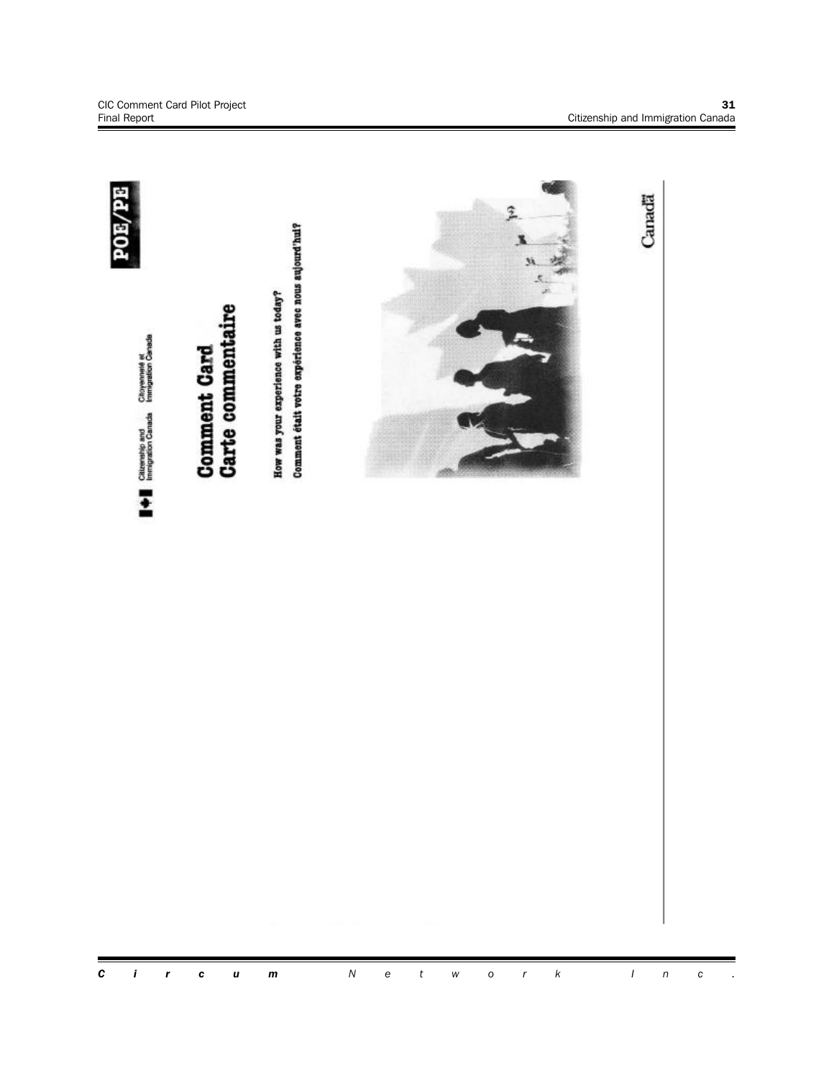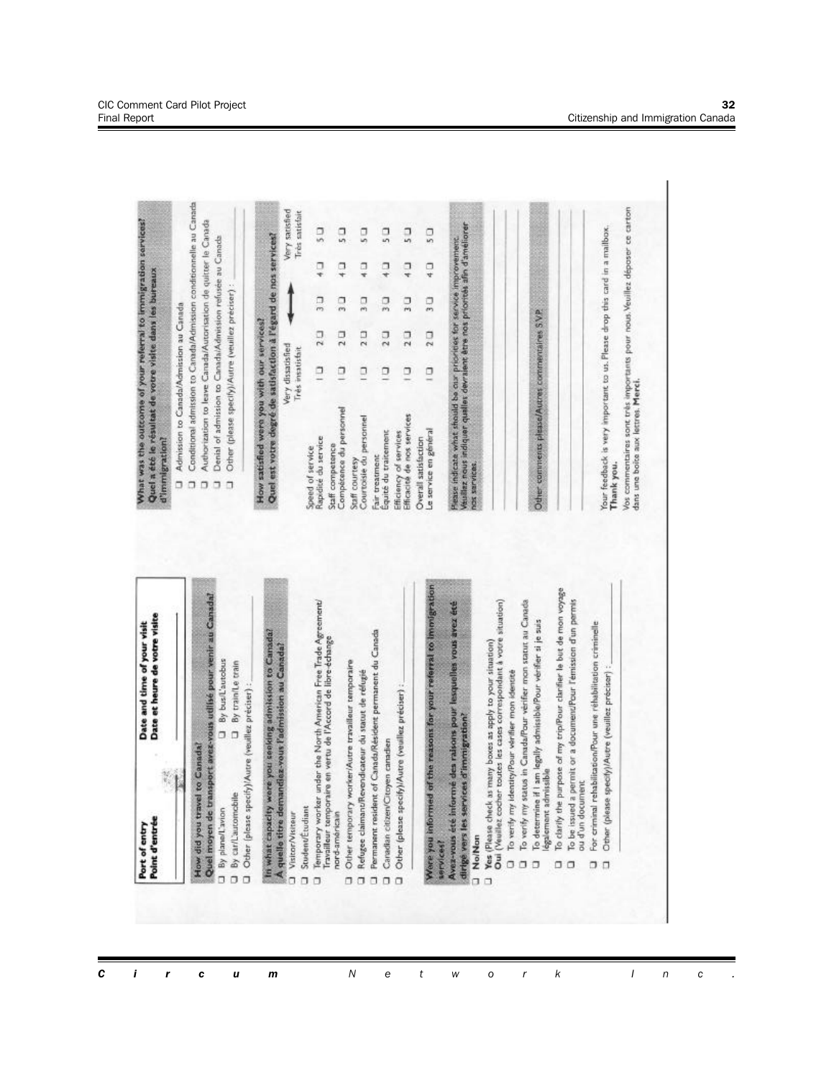

CIC Comment Card Pilot Project **32** Final Report Citizenship and Immigration Canada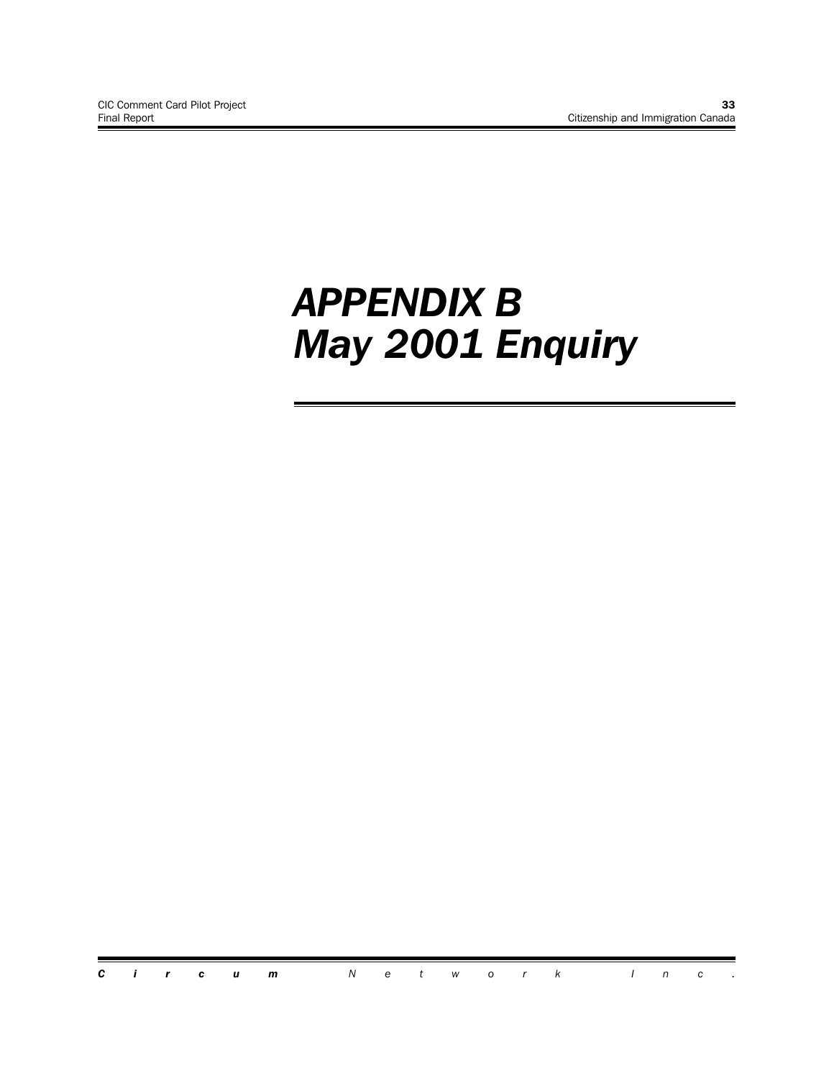# *APPENDIX B May 2001 Enquiry*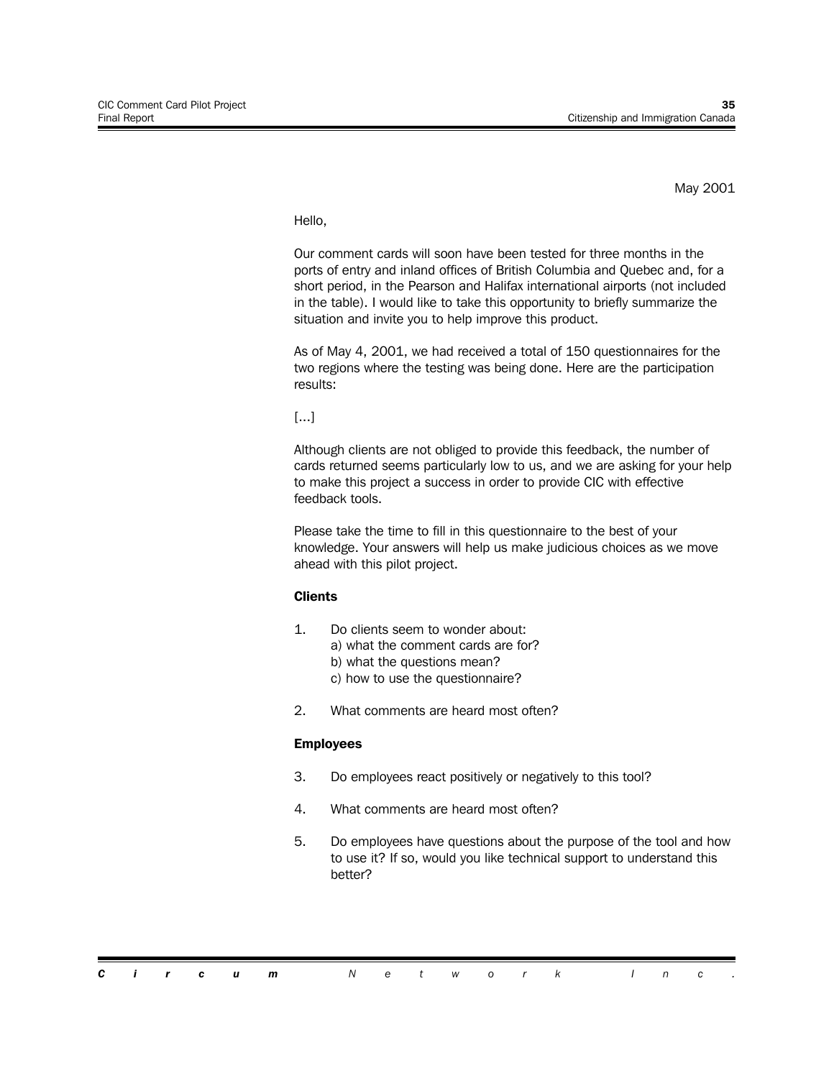May 2001

Hello,

Our comment cards will soon have been tested for three months in the ports of entry and inland offices of British Columbia and Quebec and, for a short period, in the Pearson and Halifax international airports (not included in the table). I would like to take this opportunity to briefly summarize the situation and invite you to help improve this product.

As of May 4, 2001, we had received a total of 150 questionnaires for the two regions where the testing was being done. Here are the participation results:

[...]

Although clients are not obliged to provide this feedback, the number of cards returned seems particularly low to us, and we are asking for your help to make this project a success in order to provide CIC with effective feedback tools.

Please take the time to fill in this questionnaire to the best of your knowledge. Your answers will help us make judicious choices as we move ahead with this pilot project.

### **Clients**

- 1. Do clients seem to wonder about:
	- a) what the comment cards are for?
	- b) what the questions mean?
	- c) how to use the questionnaire?
- 2. What comments are heard most often?

### **Employees**

- 3. Do employees react positively or negatively to this tool?
- 4. What comments are heard most often?
- 5. Do employees have questions about the purpose of the tool and how to use it? If so, would you like technical support to understand this better?

|  |  | <b>Circum</b> Network Inc. |  |  |  |  |  |  |
|--|--|----------------------------|--|--|--|--|--|--|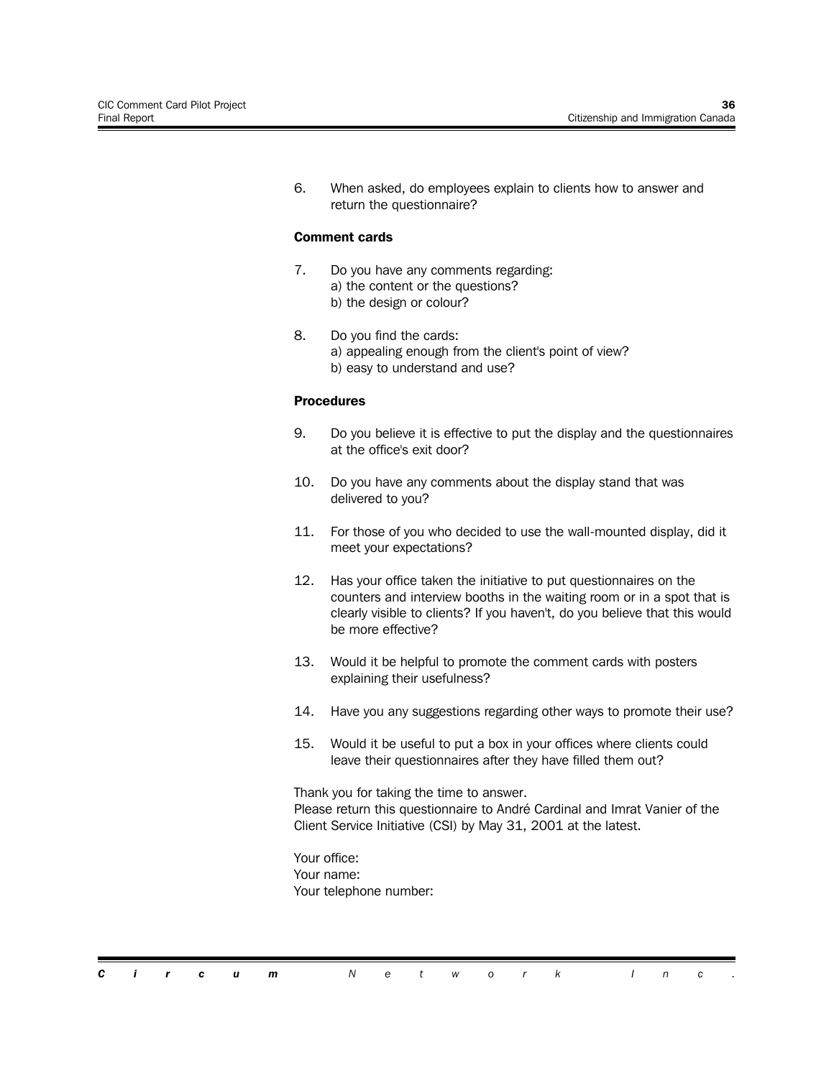6. When asked, do employees explain to clients how to answer and return the questionnaire?

#### **Comment cards**

- 7. Do you have any comments regarding: a) the content or the questions? b) the design or colour?
- 8. Do you find the cards: a) appealing enough from the client's point of view? b) easy to understand and use?

#### **Procedures**

- 9. Do you believe it is effective to put the display and the questionnaires at the office's exit door?
- 10. Do you have any comments about the display stand that was delivered to you?
- 11. For those of you who decided to use the wall-mounted display, did it meet your expectations?
- 12. Has your office taken the initiative to put questionnaires on the counters and interview booths in the waiting room or in a spot that is clearly visible to clients? If you haven't, do you believe that this would be more effective?
- 13. Would it be helpful to promote the comment cards with posters explaining their usefulness?
- 14. Have you any suggestions regarding other ways to promote their use?
- 15. Would it be useful to put a box in your offices where clients could leave their questionnaires after they have filled them out?

Thank you for taking the time to answer. Please return this questionnaire to André Cardinal and Imrat Vanier of the Client Service Initiative (CSI) by May 31, 2001 at the latest.

Your office: Your name: Your telephone number: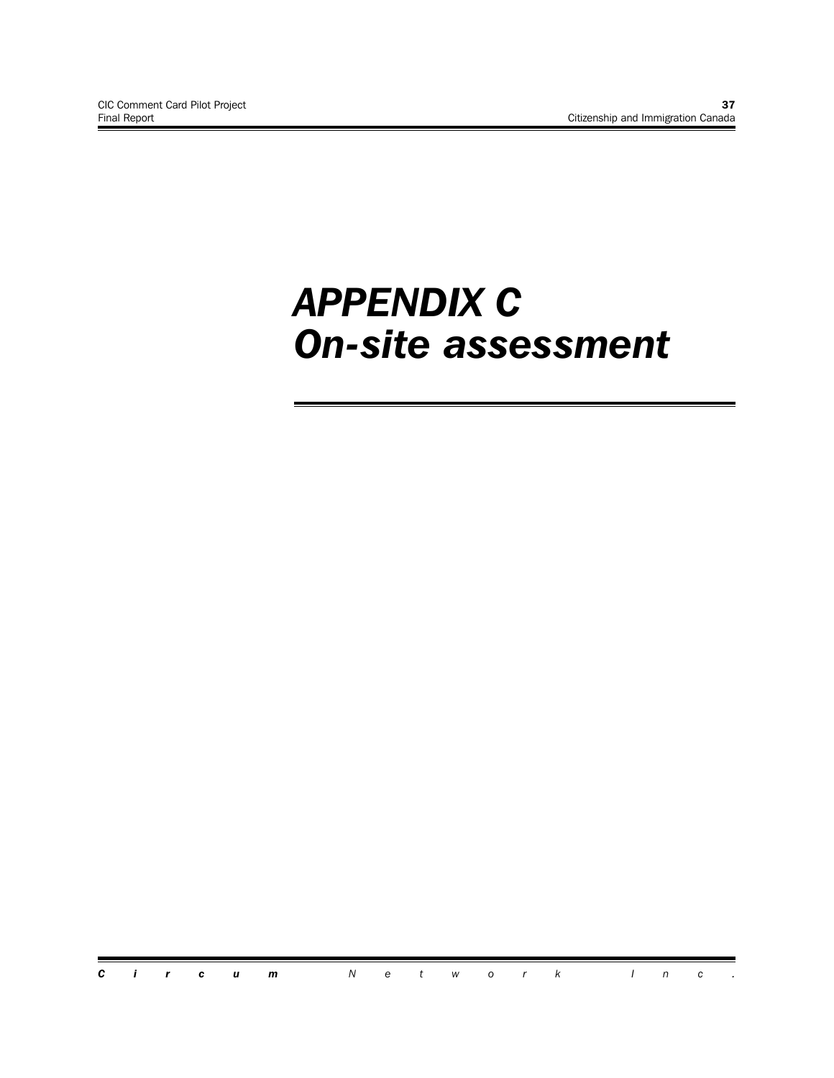# *APPENDIX C On-site assessment*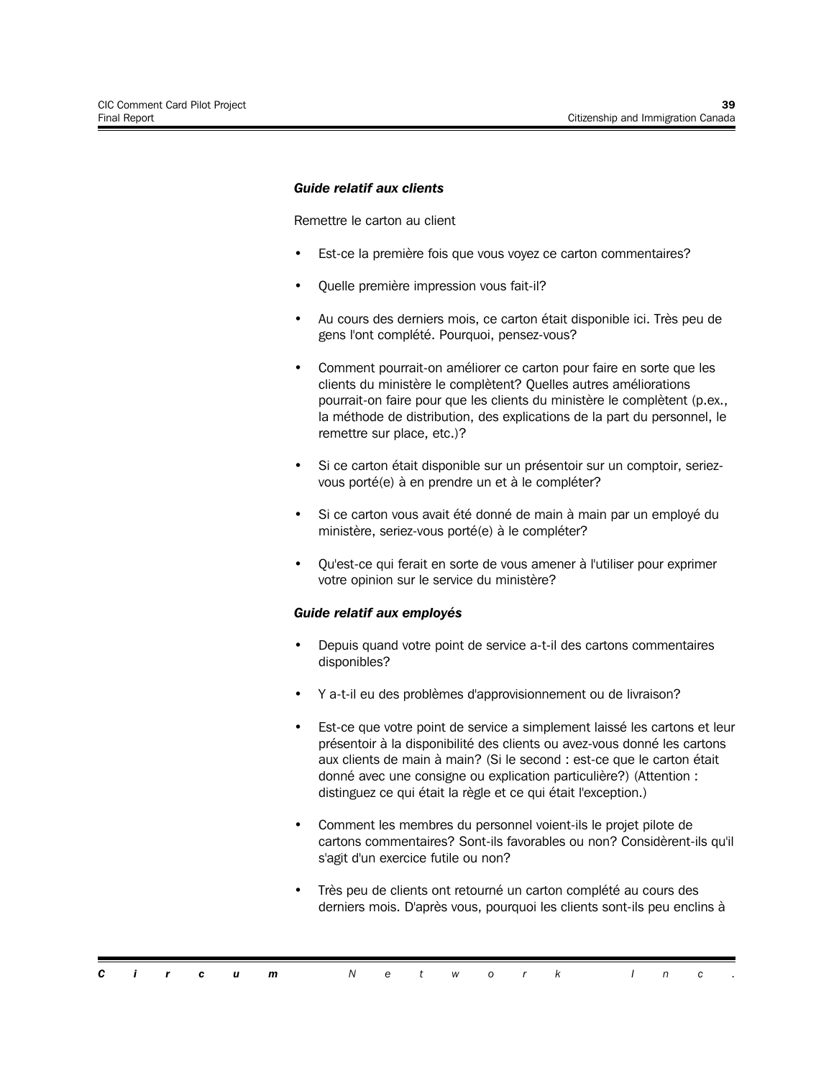#### *Guide relatif aux clients*

Remettre le carton au client

- Est-ce la première fois que vous voyez ce carton commentaires?
- Quelle première impression vous fait-il?
- Au cours des derniers mois, ce carton était disponible ici. Très peu de gens l'ont complété. Pourquoi, pensez-vous?
- Comment pourrait-on améliorer ce carton pour faire en sorte que les clients du ministère le complètent? Quelles autres améliorations pourrait-on faire pour que les clients du ministère le complètent (p.ex., la méthode de distribution, des explications de la part du personnel, le remettre sur place, etc.)?
- Si ce carton était disponible sur un présentoir sur un comptoir, seriezvous porté(e) à en prendre un et à le compléter?
- Si ce carton vous avait été donné de main à main par un employé du ministère, seriez-vous porté(e) à le compléter?
- Qu'est-ce qui ferait en sorte de vous amener à l'utiliser pour exprimer votre opinion sur le service du ministère?

#### *Guide relatif aux employés*

- Depuis quand votre point de service a-t-il des cartons commentaires disponibles?
- Y a-t-il eu des problèmes d'approvisionnement ou de livraison?
- Est-ce que votre point de service a simplement laissé les cartons et leur présentoir à la disponibilité des clients ou avez-vous donné les cartons aux clients de main à main? (Si le second : est-ce que le carton était donné avec une consigne ou explication particulière?) (Attention : distinguez ce qui était la règle et ce qui était l'exception.)
- Comment les membres du personnel voient-ils le projet pilote de cartons commentaires? Sont-ils favorables ou non? Considèrent-ils qu'il s'agit d'un exercice futile ou non?
- Très peu de clients ont retourné un carton complété au cours des derniers mois. D'après vous, pourquoi les clients sont-ils peu enclins à

|  |  | <b>Circum</b> Network Inc. |  |  |  |  |  |  |
|--|--|----------------------------|--|--|--|--|--|--|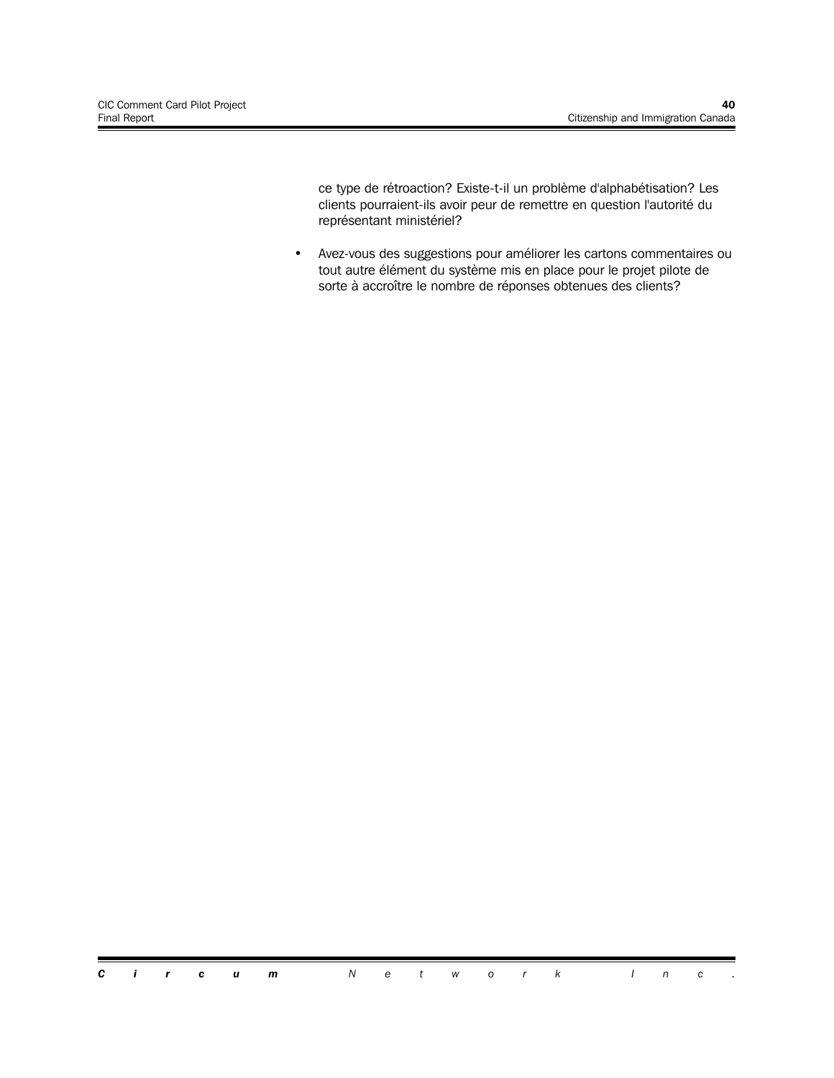ce type de rétroaction? Existe-t-il un problème d'alphabétisation? Les clients pourraient-ils avoir peur de remettre en question l'autorité du représentant ministériel?

• Avez-vous des suggestions pour améliorer les cartons commentaires ou tout autre élément du système mis en place pour le projet pilote de sorte à accroître le nombre de réponses obtenues des clients?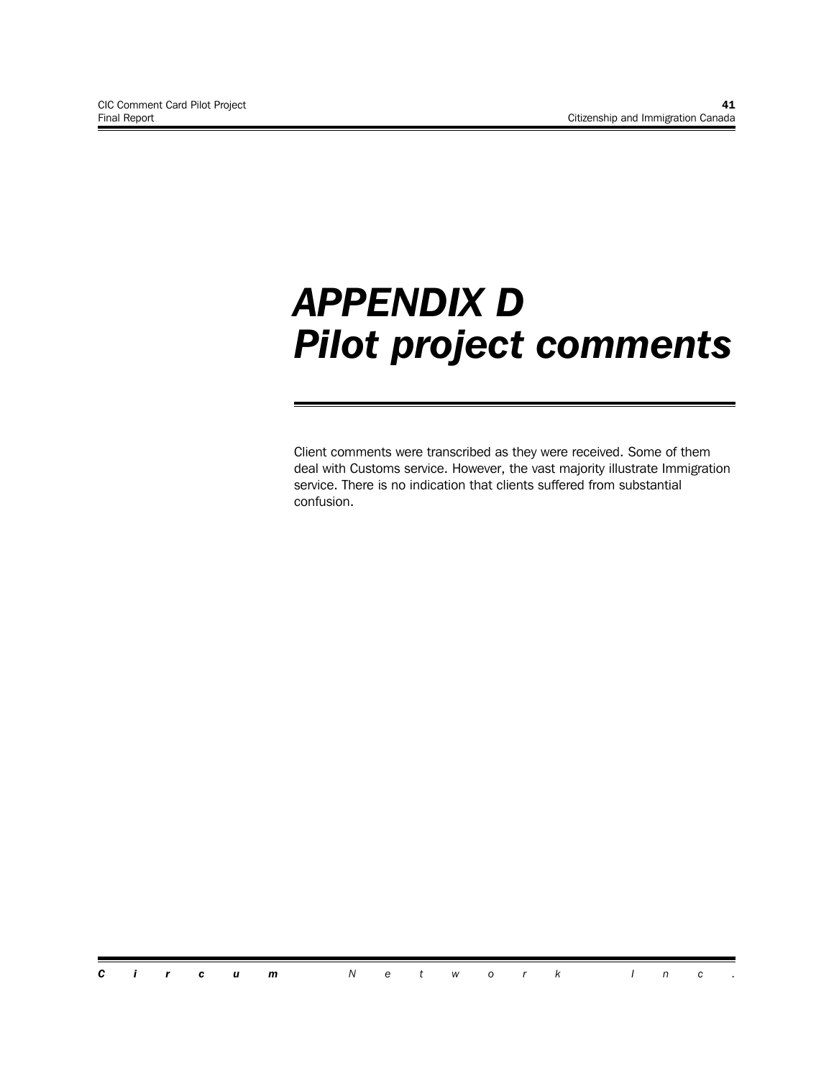# *APPENDIX D Pilot project comments*

Client comments were transcribed as they were received. Some of them deal with Customs service. However, the vast majority illustrate Immigration service. There is no indication that clients suffered from substantial confusion.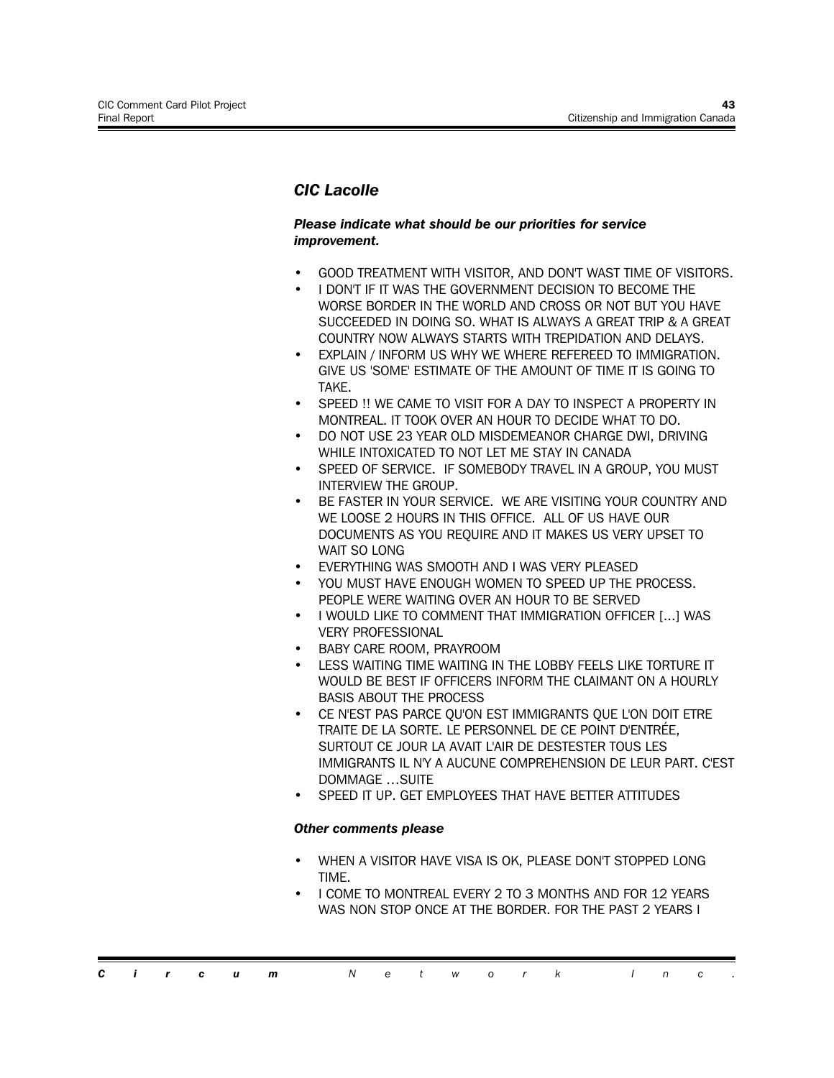# *CIC Lacolle*

#### *Please indicate what should be our priorities for service improvement.*

- GOOD TREATMENT WITH VISITOR, AND DON'T WAST TIME OF VISITORS.
- I DON'T IF IT WAS THE GOVERNMENT DECISION TO BECOME THE WORSE BORDER IN THE WORLD AND CROSS OR NOT BUT YOU HAVE SUCCEEDED IN DOING SO. WHAT IS ALWAYS A GREAT TRIP & A GREAT COUNTRY NOW ALWAYS STARTS WITH TREPIDATION AND DELAYS.
- EXPLAIN / INFORM US WHY WE WHERE REFEREED TO IMMIGRATION. GIVE US 'SOME' ESTIMATE OF THE AMOUNT OF TIME IT IS GOING TO TAKE.
- SPEED !! WE CAME TO VISIT FOR A DAY TO INSPECT A PROPERTY IN MONTREAL. IT TOOK OVER AN HOUR TO DECIDE WHAT TO DO.
- DO NOT USE 23 YEAR OLD MISDEMEANOR CHARGE DWI, DRIVING WHILE INTOXICATED TO NOT LET ME STAY IN CANADA
- SPEED OF SERVICE. IF SOMEBODY TRAVEL IN A GROUP, YOU MUST INTERVIEW THE GROUP.
- BE FASTER IN YOUR SERVICE. WE ARE VISITING YOUR COUNTRY AND WE LOOSE 2 HOURS IN THIS OFFICE. ALL OF US HAVE OUR DOCUMENTS AS YOU REQUIRE AND IT MAKES US VERY UPSET TO WAIT SO LONG
- EVERYTHING WAS SMOOTH AND I WAS VERY PLEASED
- YOU MUST HAVE ENOUGH WOMEN TO SPEED UP THE PROCESS. PEOPLE WERE WAITING OVER AN HOUR TO BE SERVED
- I WOULD LIKE TO COMMENT THAT IMMIGRATION OFFICER [...] WAS VERY PROFESSIONAL
- BABY CARE ROOM, PRAYROOM
- LESS WAITING TIME WAITING IN THE LOBBY FEELS LIKE TORTURE IT WOULD BE BEST IF OFFICERS INFORM THE CLAIMANT ON A HOURLY BASIS ABOUT THE PROCESS
- CE N'EST PAS PARCE QU'ON EST IMMIGRANTS QUE L'ON DOIT ETRE TRAITE DE LA SORTE. LE PERSONNEL DE CE POINT D'ENTRÉE, SURTOUT CE JOUR LA AVAIT L'AIR DE DESTESTER TOUS LES IMMIGRANTS IL N'Y A AUCUNE COMPREHENSION DE LEUR PART. C'EST DOMMAGE …SUITE
- SPEED IT UP. GET EMPLOYEES THAT HAVE BETTER ATTITUDES

- WHEN A VISITOR HAVE VISA IS OK, PLEASE DON'T STOPPED LONG TIME.
- I COME TO MONTREAL EVERY 2 TO 3 MONTHS AND FOR 12 YEARS WAS NON STOP ONCE AT THE BORDER. FOR THE PAST 2 YEARS I

|  |  | <b>Circum</b> Network Inc. |  |  |  |  |  |  |
|--|--|----------------------------|--|--|--|--|--|--|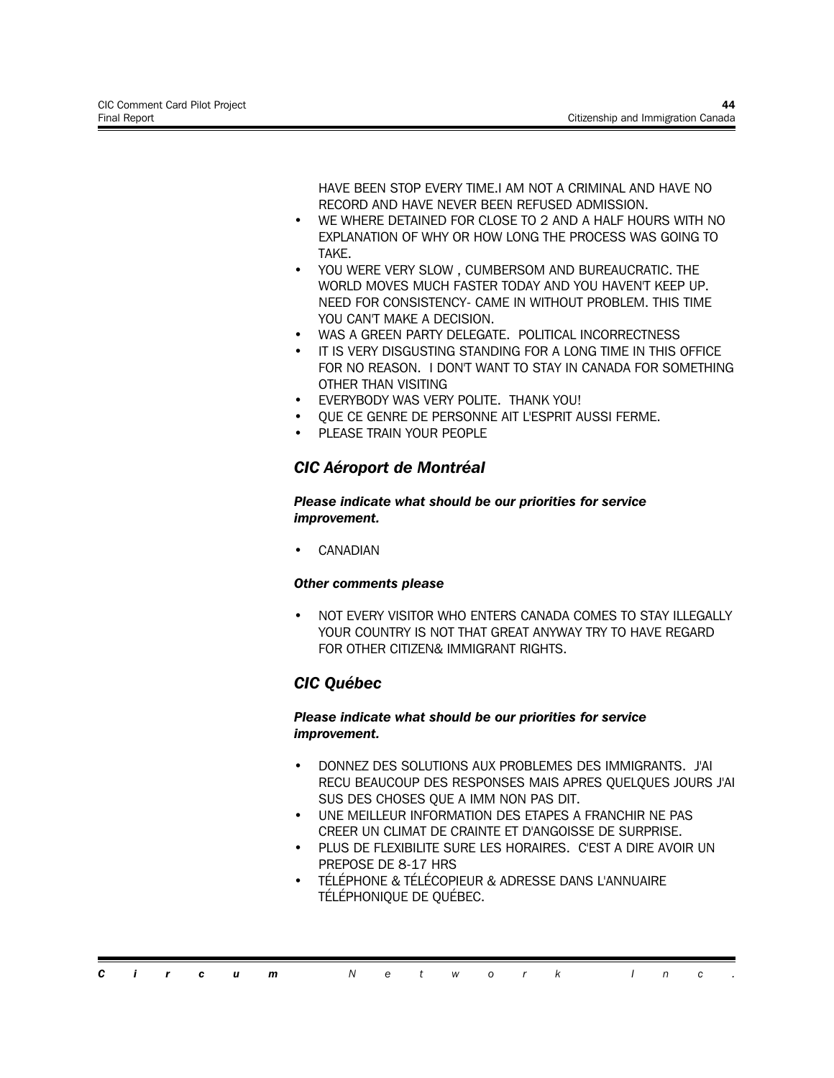HAVE BEEN STOP EVERY TIME.I AM NOT A CRIMINAL AND HAVE NO RECORD AND HAVE NEVER BEEN REFUSED ADMISSION.

- WE WHERE DETAINED FOR CLOSE TO 2 AND A HALF HOURS WITH NO EXPLANATION OF WHY OR HOW LONG THE PROCESS WAS GOING TO TAKE.
- YOU WERE VERY SLOW, CUMBERSOM AND BUREAUCRATIC. THE WORLD MOVES MUCH FASTER TODAY AND YOU HAVEN'T KEEP UP. NEED FOR CONSISTENCY- CAME IN WITHOUT PROBLEM. THIS TIME YOU CAN'T MAKE A DECISION.
- WAS A GREEN PARTY DELEGATE. POLITICAL INCORRECTNESS
- IT IS VERY DISGUSTING STANDING FOR A LONG TIME IN THIS OFFICE FOR NO REASON. I DON'T WANT TO STAY IN CANADA FOR SOMETHING OTHER THAN VISITING
- EVERYBODY WAS VERY POLITE. THANK YOU!
- QUE CE GENRE DE PERSONNE AIT L'ESPRIT AUSSI FERME.
- PLEASE TRAIN YOUR PEOPLE

# *CIC Aéroport de Montréal*

*Please indicate what should be our priorities for service improvement.*

**CANADIAN** 

#### *Other comments please*

• NOT EVERY VISITOR WHO ENTERS CANADA COMES TO STAY ILLEGALLY YOUR COUNTRY IS NOT THAT GREAT ANYWAY TRY TO HAVE REGARD FOR OTHER CITIZEN& IMMIGRANT RIGHTS.

# *CIC Québec*

#### *Please indicate what should be our priorities for service improvement.*

- DONNEZ DES SOLUTIONS AUX PROBLEMES DES IMMIGRANTS. J'AI RECU BEAUCOUP DES RESPONSES MAIS APRES QUELQUES JOURS J'AI SUS DES CHOSES QUE A IMM NON PAS DIT.
- UNE MEILLEUR INFORMATION DES ETAPES A FRANCHIR NE PAS CREER UN CLIMAT DE CRAINTE ET D'ANGOISSE DE SURPRISE.
- PLUS DE FLEXIBILITE SURE LES HORAIRES. C'EST A DIRE AVOIR UN PREPOSE DE 8-17 HRS
- TÉLÉPHONE & TÉLÉCOPIEUR & ADRESSE DANS L'ANNUAIRE TÉLÉPHONIQUE DE QUÉBEC.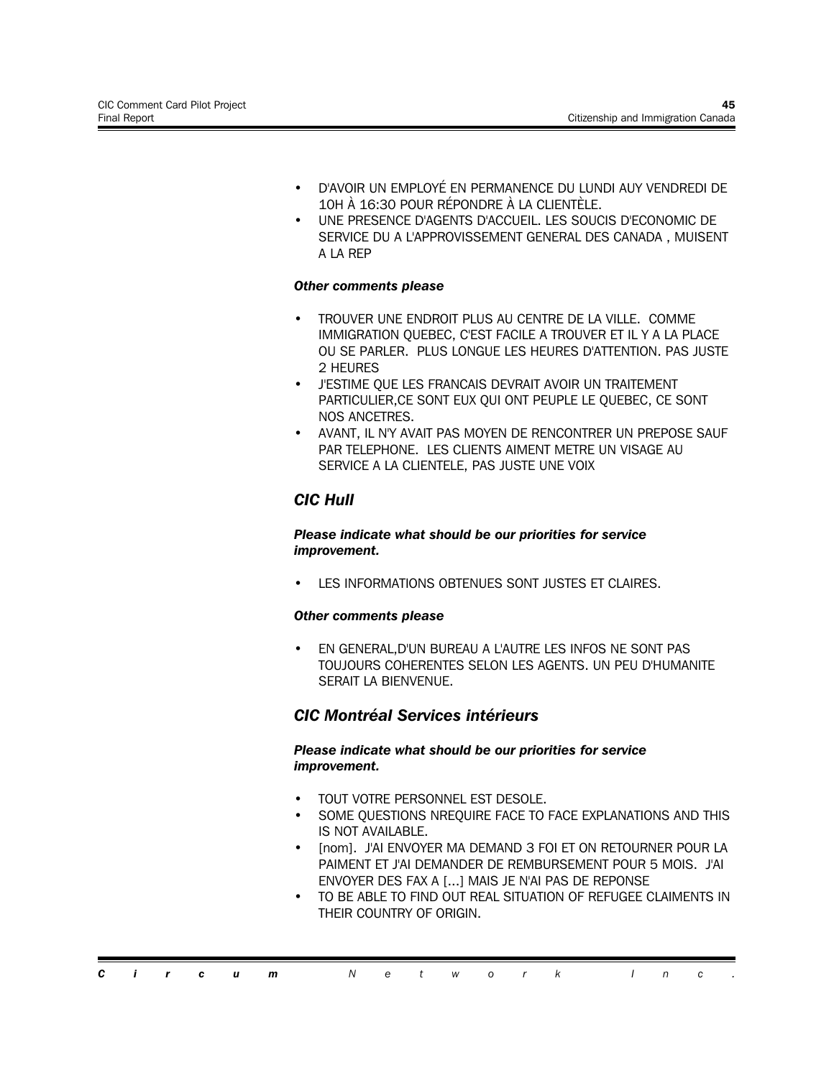- D'AVOIR UN EMPLOYÉ EN PERMANENCE DU LUNDI AUY VENDREDI DE 10H À 16:30 POUR RÉPONDRE À LA CLIENTÈLE.
- UNE PRESENCE D'AGENTS D'ACCUEIL. LES SOUCIS D'ECONOMIC DE SERVICE DU A L'APPROVISSEMENT GENERAL DES CANADA , MUISENT A LA REP

- TROUVER UNE ENDROIT PLUS AU CENTRE DE LA VILLE. COMME IMMIGRATION QUEBEC, C'EST FACILE A TROUVER ET IL Y A LA PLACE OU SE PARLER. PLUS LONGUE LES HEURES D'ATTENTION. PAS JUSTE 2 HEURES
- J'ESTIME QUE LES FRANCAIS DEVRAIT AVOIR UN TRAITEMENT PARTICULIER,CE SONT EUX QUI ONT PEUPLE LE QUEBEC, CE SONT NOS ANCETRES.
- AVANT, IL N'Y AVAIT PAS MOYEN DE RENCONTRER UN PREPOSE SAUF PAR TELEPHONE. LES CLIENTS AIMENT METRE UN VISAGE AU SERVICE A LA CLIENTELE, PAS JUSTE UNE VOIX

# *CIC Hull*

#### *Please indicate what should be our priorities for service improvement.*

LES INFORMATIONS OBTENUES SONT JUSTES ET CLAIRES.

#### *Other comments please*

• EN GENERAL,D'UN BUREAU A L'AUTRE LES INFOS NE SONT PAS TOUJOURS COHERENTES SELON LES AGENTS. UN PEU D'HUMANITE SERAIT LA BIENVENUE.

# *CIC Montréal Services intérieurs*

#### *Please indicate what should be our priorities for service improvement.*

- TOUT VOTRE PERSONNEL EST DESOLE.
- SOME QUESTIONS NREQUIRE FACE TO FACE EXPLANATIONS AND THIS IS NOT AVAILABLE.
- [nom]. J'AI ENVOYER MA DEMAND 3 FOI ET ON RETOURNER POUR LA PAIMENT ET J'AI DEMANDER DE REMBURSEMENT POUR 5 MOIS. J'AI ENVOYER DES FAX A [...] MAIS JE N'AI PAS DE REPONSE
- TO BE ABLE TO FIND OUT REAL SITUATION OF REFUGEE CLAIMENTS IN THEIR COUNTRY OF ORIGIN.

|  |  | <b>Circum</b> Network Inc. |  |  |  |  |  |  |
|--|--|----------------------------|--|--|--|--|--|--|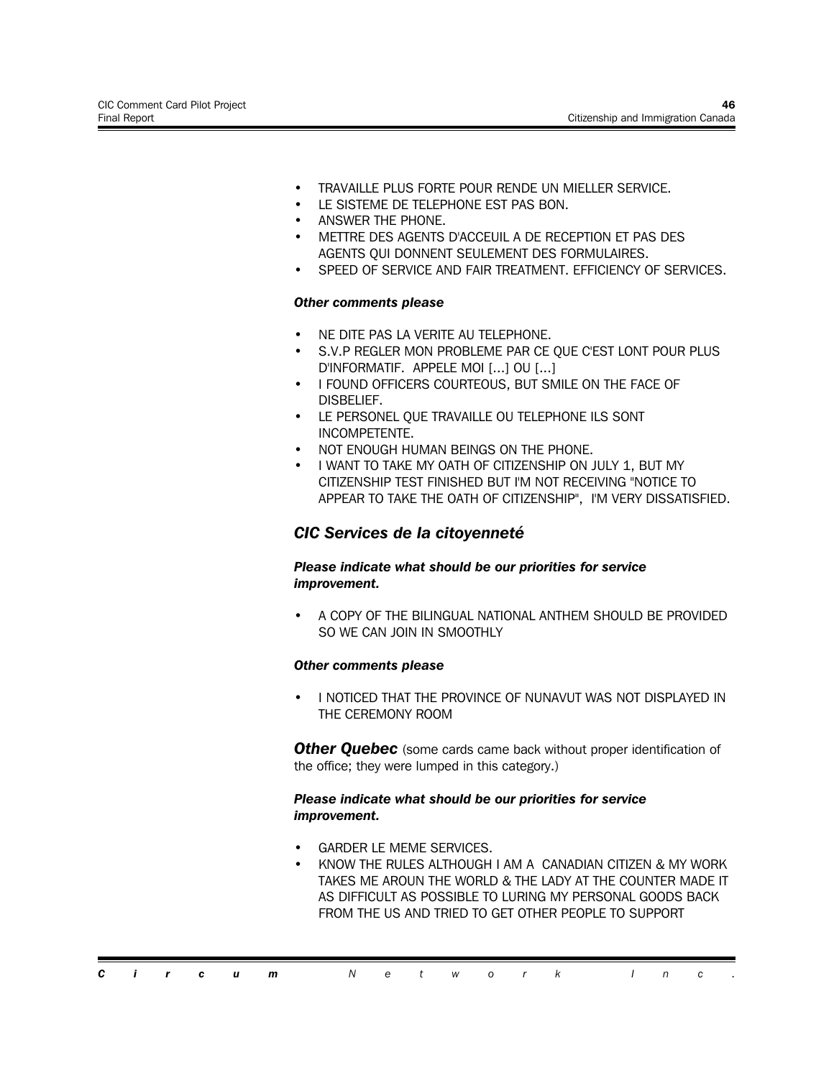- TRAVAILLE PLUS FORTE POUR RENDE UN MIELLER SERVICE.
- LE SISTEME DE TELEPHONE EST PAS BON.
- ANSWER THE PHONE.
- METTRE DES AGENTS D'ACCEUIL A DE RECEPTION ET PAS DES AGENTS QUI DONNENT SEULEMENT DES FORMULAIRES.
- SPEED OF SERVICE AND FAIR TREATMENT. EFFICIENCY OF SERVICES.

- NE DITE PAS LA VERITE AU TELEPHONE.
- S.V.P REGLER MON PROBLEME PAR CE QUE C'EST LONT POUR PLUS D'INFORMATIF. APPELE MOI [...] OU [...]
- I FOUND OFFICERS COURTEOUS, BUT SMILE ON THE FACE OF DISBELIEF.
- LE PERSONEL QUE TRAVAILLE OU TELEPHONE ILS SONT INCOMPETENTE.
- NOT ENOUGH HUMAN BEINGS ON THE PHONE.
- I WANT TO TAKE MY OATH OF CITIZENSHIP ON JULY 1, BUT MY CITIZENSHIP TEST FINISHED BUT I'M NOT RECEIVING "NOTICE TO APPEAR TO TAKE THE OATH OF CITIZENSHIP", I'M VERY DISSATISFIED.

### *CIC Services de la citoyenneté*

#### *Please indicate what should be our priorities for service improvement.*

• A COPY OF THE BILINGUAL NATIONAL ANTHEM SHOULD BE PROVIDED SO WE CAN JOIN IN SMOOTHLY

#### *Other comments please*

• I NOTICED THAT THE PROVINCE OF NUNAVUT WAS NOT DISPLAYED IN THE CEREMONY ROOM

**Other Quebec** (some cards came back without proper identification of the office; they were lumped in this category.)

#### *Please indicate what should be our priorities for service improvement.*

- GARDER LE MEME SERVICES.
- KNOW THE RULES ALTHOUGH I AM A CANADIAN CITIZEN & MY WORK TAKES ME AROUN THE WORLD & THE LADY AT THE COUNTER MADE IT AS DIFFICULT AS POSSIBLE TO LURING MY PERSONAL GOODS BACK FROM THE US AND TRIED TO GET OTHER PEOPLE TO SUPPORT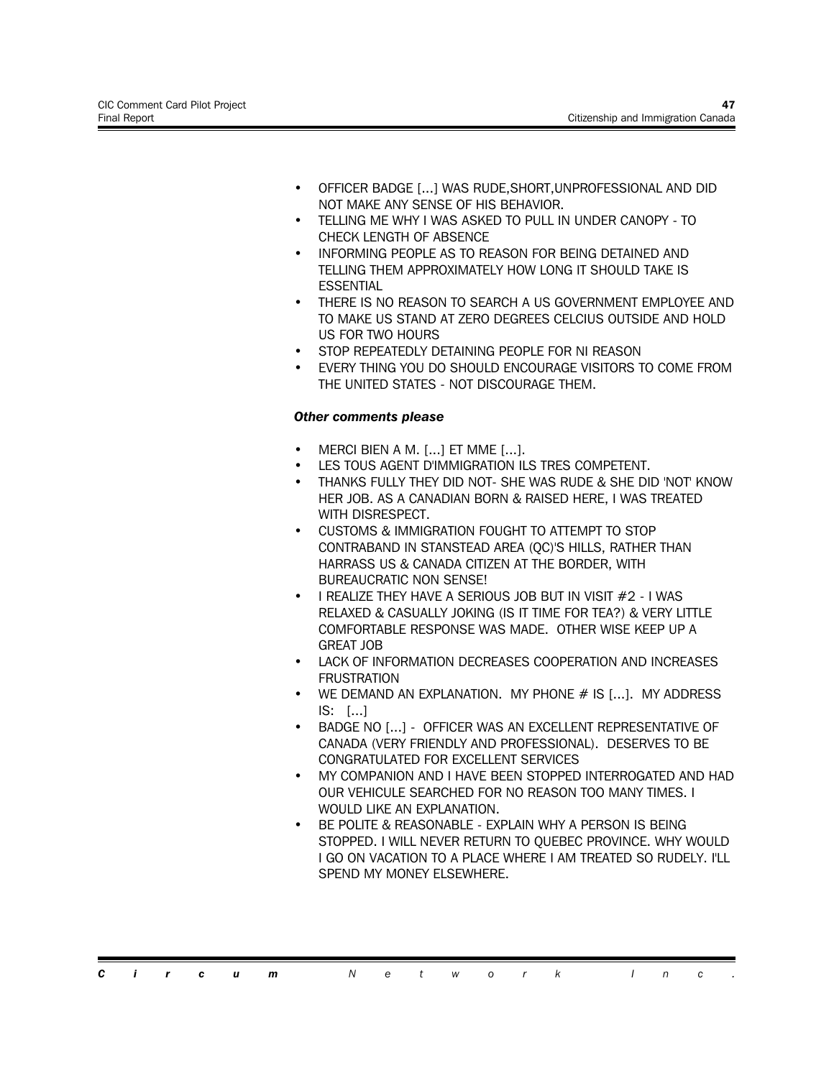- OFFICER BADGE [...] WAS RUDE,SHORT,UNPROFESSIONAL AND DID NOT MAKE ANY SENSE OF HIS BEHAVIOR.
- TELLING ME WHY I WAS ASKED TO PULL IN UNDER CANOPY TO CHECK LENGTH OF ABSENCE
- INFORMING PEOPLE AS TO REASON FOR BEING DETAINED AND TELLING THEM APPROXIMATELY HOW LONG IT SHOULD TAKE IS **ESSENTIAL**
- THERE IS NO REASON TO SEARCH A US GOVERNMENT EMPLOYEE AND TO MAKE US STAND AT ZERO DEGREES CELCIUS OUTSIDE AND HOLD US FOR TWO HOURS
- STOP REPEATEDLY DETAINING PEOPLE FOR NI REASON
- EVERY THING YOU DO SHOULD ENCOURAGE VISITORS TO COME FROM THE UNITED STATES - NOT DISCOURAGE THEM.

- MERCI BIEN A M. [...] ET MME [...].
- LES TOUS AGENT D'IMMIGRATION ILS TRES COMPETENT.
- THANKS FULLY THEY DID NOT- SHE WAS RUDE & SHE DID 'NOT' KNOW HER JOB. AS A CANADIAN BORN & RAISED HERE, I WAS TREATED WITH DISRESPECT.
- CUSTOMS & IMMIGRATION FOUGHT TO ATTEMPT TO STOP CONTRABAND IN STANSTEAD AREA (QC)'S HILLS, RATHER THAN HARRASS US & CANADA CITIZEN AT THE BORDER, WITH BUREAUCRATIC NON SENSE!
- I REALIZE THEY HAVE A SERIOUS JOB BUT IN VISIT #2 I WAS RELAXED & CASUALLY JOKING (IS IT TIME FOR TEA?) & VERY LITTLE COMFORTABLE RESPONSE WAS MADE. OTHER WISE KEEP UP A GREAT JOB
- LACK OF INFORMATION DECREASES COOPERATION AND INCREASES **FRUSTRATION**
- $\bullet$  WE DEMAND AN EXPLANATION. MY PHONE  $\#$  IS [...]. MY ADDRESS IS: [...]
- BADGE NO [...] OFFICER WAS AN EXCELLENT REPRESENTATIVE OF CANADA (VERY FRIENDLY AND PROFESSIONAL). DESERVES TO BE CONGRATULATED FOR EXCELLENT SERVICES
- MY COMPANION AND I HAVE BEEN STOPPED INTERROGATED AND HAD OUR VEHICULE SEARCHED FOR NO REASON TOO MANY TIMES. I WOULD LIKE AN EXPLANATION.
- BE POLITE & REASONABLE EXPLAIN WHY A PERSON IS BEING STOPPED. I WILL NEVER RETURN TO QUEBEC PROVINCE. WHY WOULD I GO ON VACATION TO A PLACE WHERE I AM TREATED SO RUDELY. I'LL SPEND MY MONEY ELSEWHERE.

*Circum Network Inc .*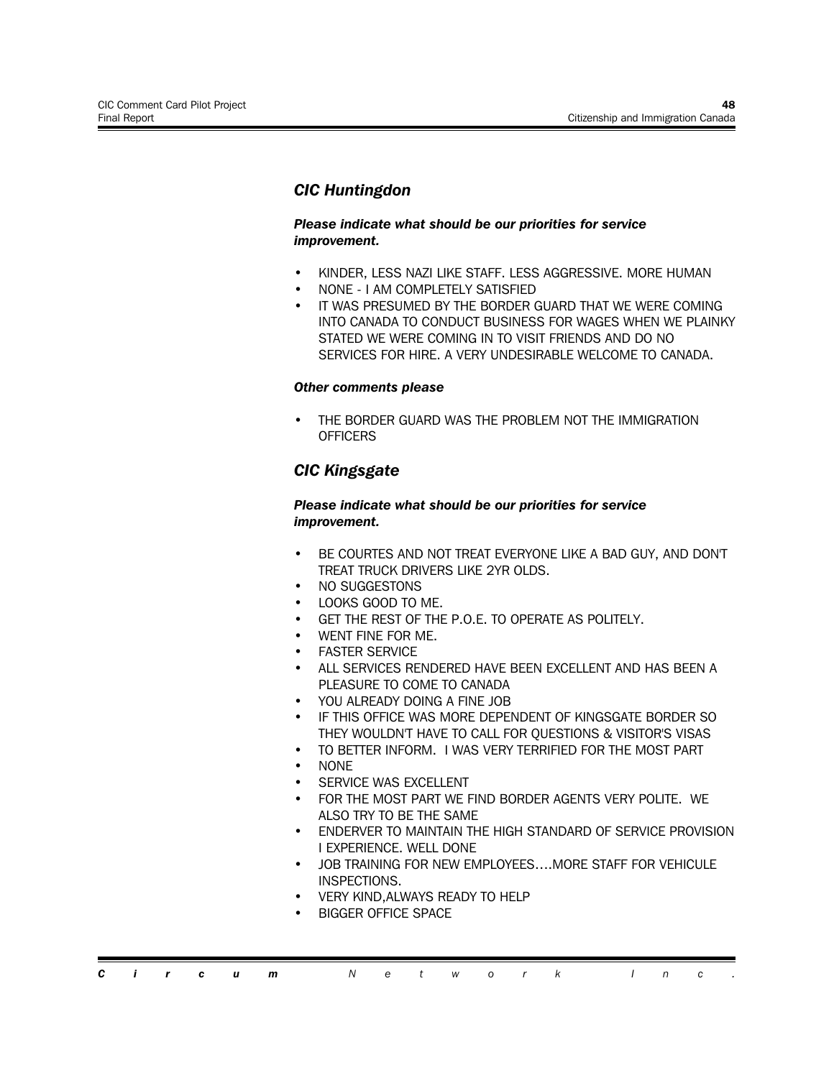# *CIC Huntingdon*

#### *Please indicate what should be our priorities for service improvement.*

- KINDER, LESS NAZI LIKE STAFF. LESS AGGRESSIVE. MORE HUMAN
- NONE I AM COMPLETELY SATISFIED
- IT WAS PRESUMED BY THE BORDER GUARD THAT WE WERE COMING INTO CANADA TO CONDUCT BUSINESS FOR WAGES WHEN WE PLAINKY STATED WE WERE COMING IN TO VISIT FRIENDS AND DO NO SERVICES FOR HIRE. A VERY UNDESIRABLE WELCOME TO CANADA.

#### *Other comments please*

• THE BORDER GUARD WAS THE PROBLEM NOT THE IMMIGRATION **OFFICERS** 

# *CIC Kingsgate*

#### *Please indicate what should be our priorities for service improvement.*

- BE COURTES AND NOT TREAT EVERYONE LIKE A BAD GUY, AND DON'T TREAT TRUCK DRIVERS LIKE 2YR OLDS.
- NO SUGGESTONS
- LOOKS GOOD TO ME.
- GET THE REST OF THE P.O.E. TO OPERATE AS POLITELY.
- WENT FINE FOR ME.
- **FASTER SERVICE**
- ALL SERVICES RENDERED HAVE BEEN EXCELLENT AND HAS BEEN A PLEASURE TO COME TO CANADA
- YOU ALREADY DOING A FINE JOB
- IF THIS OFFICE WAS MORE DEPENDENT OF KINGSGATE BORDER SO THEY WOULDN'T HAVE TO CALL FOR QUESTIONS & VISITOR'S VISAS
- TO BETTER INFORM. I WAS VERY TERRIFIED FOR THE MOST PART
- NONE
- SERVICE WAS EXCELLENT
- FOR THE MOST PART WE FIND BORDER AGENTS VERY POLITE. WE ALSO TRY TO BE THE SAME
- ENDERVER TO MAINTAIN THE HIGH STANDARD OF SERVICE PROVISION I EXPERIENCE. WELL DONE
- JOB TRAINING FOR NEW EMPLOYEES….MORE STAFF FOR VEHICULE INSPECTIONS.
- VERY KIND,ALWAYS READY TO HELP
- BIGGER OFFICE SPACE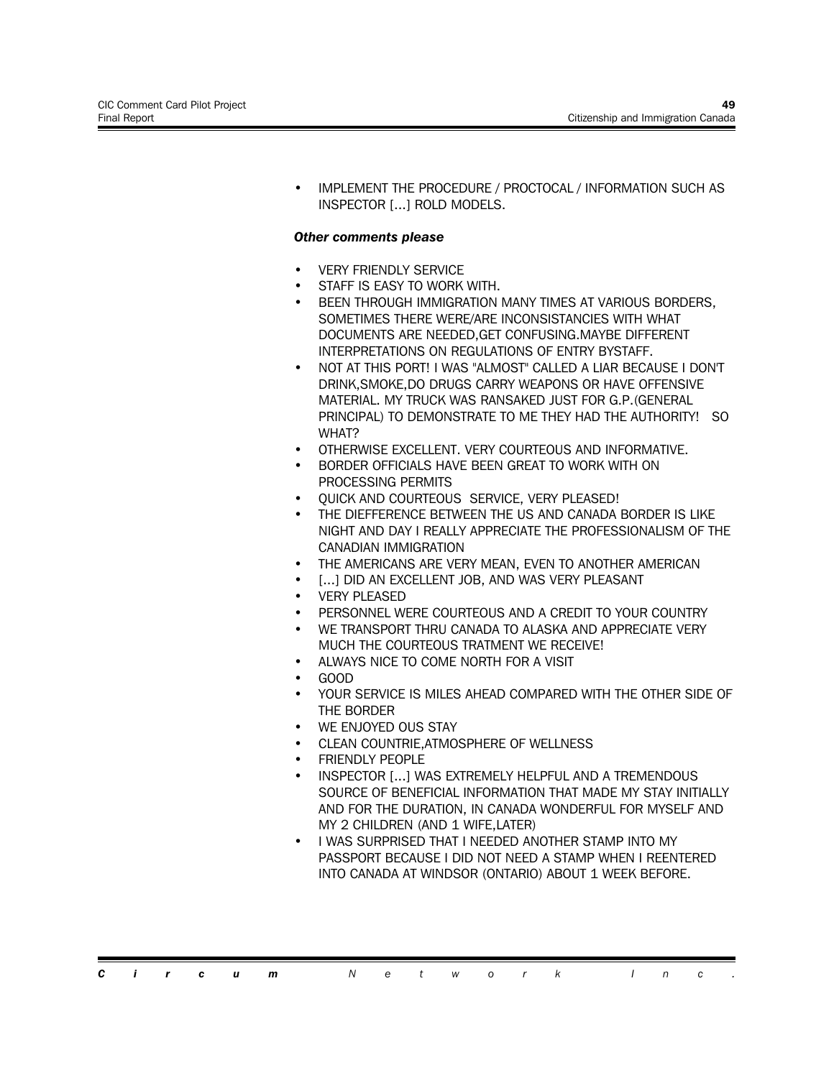• IMPLEMENT THE PROCEDURE / PROCTOCAL / INFORMATION SUCH AS INSPECTOR [...] ROLD MODELS.

#### *Other comments please*

- **VERY FRIENDLY SERVICE**
- STAFF IS EASY TO WORK WITH.
- BEEN THROUGH IMMIGRATION MANY TIMES AT VARIOUS BORDERS. SOMETIMES THERE WERE/ARE INCONSISTANCIES WITH WHAT DOCUMENTS ARE NEEDED,GET CONFUSING.MAYBE DIFFERENT INTERPRETATIONS ON REGULATIONS OF ENTRY BYSTAFF.
- NOT AT THIS PORT! I WAS "ALMOST" CALLED A LIAR BECAUSE I DON'T DRINK,SMOKE,DO DRUGS CARRY WEAPONS OR HAVE OFFENSIVE MATERIAL. MY TRUCK WAS RANSAKED JUST FOR G.P.(GENERAL PRINCIPAL) TO DEMONSTRATE TO ME THEY HAD THE AUTHORITY! SO WHAT?
- OTHERWISE EXCELLENT. VERY COURTEOUS AND INFORMATIVE.
- BORDER OFFICIALS HAVE BEEN GREAT TO WORK WITH ON PROCESSING PERMITS
- QUICK AND COURTEOUS SERVICE, VERY PLEASED!
- THE DIEFFERENCE BETWEEN THE US AND CANADA BORDER IS LIKE NIGHT AND DAY I REALLY APPRECIATE THE PROFESSIONALISM OF THE CANADIAN IMMIGRATION
- THE AMERICANS ARE VERY MEAN, EVEN TO ANOTHER AMERICAN
- [...] DID AN EXCELLENT JOB, AND WAS VERY PLEASANT
- **VERY PLEASED**
- PERSONNEL WERE COURTEOUS AND A CREDIT TO YOUR COUNTRY
- WE TRANSPORT THRU CANADA TO ALASKA AND APPRECIATE VERY MUCH THE COURTEOUS TRATMENT WE RECEIVE!
- ALWAYS NICE TO COME NORTH FOR A VISIT
- GOOD
- YOUR SERVICE IS MILES AHEAD COMPARED WITH THE OTHER SIDE OF THE BORDER
- WE ENJOYED OUS STAY
- CLEAN COUNTRIE,ATMOSPHERE OF WELLNESS
- FRIENDLY PEOPLE
- INSPECTOR [...] WAS EXTREMELY HELPFUL AND A TREMENDOUS SOURCE OF BENEFICIAL INFORMATION THAT MADE MY STAY INITIALLY AND FOR THE DURATION, IN CANADA WONDERFUL FOR MYSELF AND MY 2 CHILDREN (AND 1 WIFE,LATER)
- I WAS SURPRISED THAT I NEEDED ANOTHER STAMP INTO MY PASSPORT BECAUSE I DID NOT NEED A STAMP WHEN I REENTERED INTO CANADA AT WINDSOR (ONTARIO) ABOUT 1 WEEK BEFORE.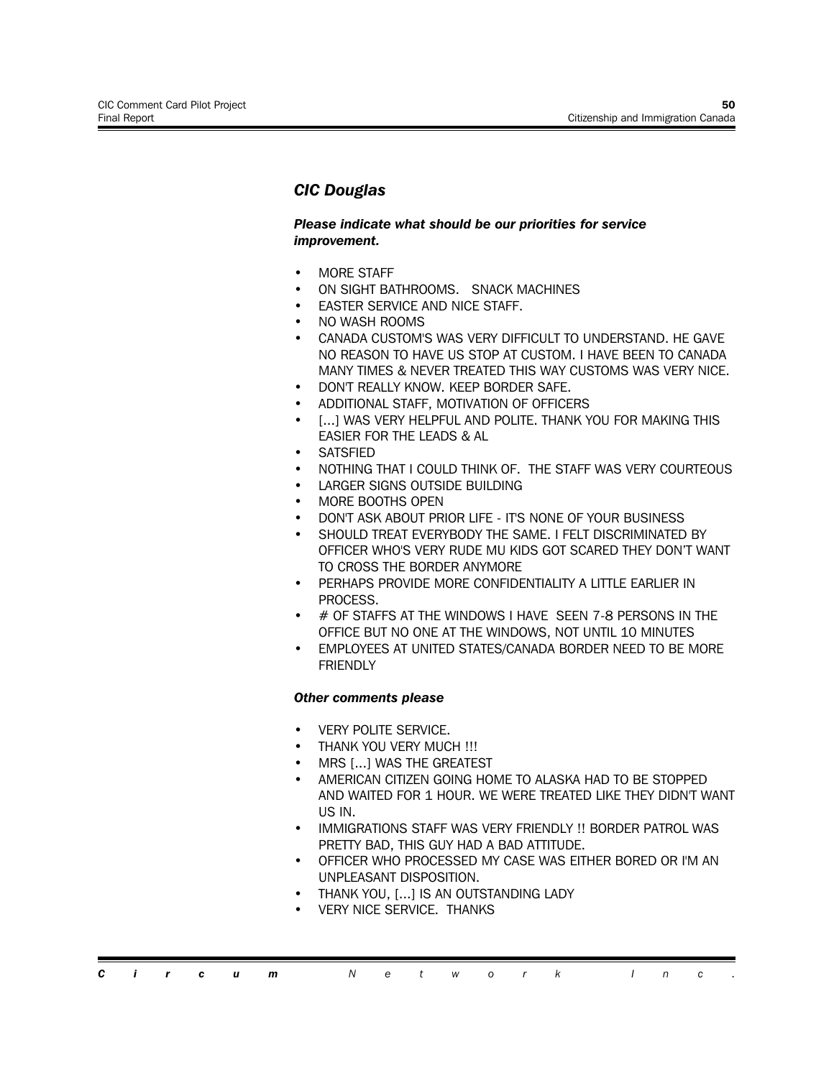# *CIC Douglas*

#### *Please indicate what should be our priorities for service improvement.*

- MORE STAFF
- ON SIGHT BATHROOMS. SNACK MACHINES
- **EASTER SERVICE AND NICE STAFF.**
- NO WASH ROOMS
- CANADA CUSTOM'S WAS VERY DIFFICULT TO UNDERSTAND. HE GAVE NO REASON TO HAVE US STOP AT CUSTOM. I HAVE BEEN TO CANADA MANY TIMES & NEVER TREATED THIS WAY CUSTOMS WAS VERY NICE.
- DON'T REALLY KNOW. KEEP BORDER SAFE.
- ADDITIONAL STAFF, MOTIVATION OF OFFICERS
- [...] WAS VERY HELPFUL AND POLITE. THANK YOU FOR MAKING THIS EASIER FOR THE LEADS & AL
- **SATSFIFD**
- NOTHING THAT I COULD THINK OF. THE STAFF WAS VERY COURTEOUS
- LARGER SIGNS OUTSIDE BUILDING
- MORE BOOTHS OPEN
- DON'T ASK ABOUT PRIOR LIFE IT'S NONE OF YOUR BUSINESS
- SHOULD TREAT EVERYBODY THE SAME. I FELT DISCRIMINATED BY OFFICER WHO'S VERY RUDE MU KIDS GOT SCARED THEY DON'T WANT TO CROSS THE BORDER ANYMORE
- PERHAPS PROVIDE MORE CONFIDENTIALITY A LITTLE EARLIER IN PROCESS.
- # OF STAFFS AT THE WINDOWS I HAVE SEEN 7-8 PERSONS IN THE OFFICE BUT NO ONE AT THE WINDOWS, NOT UNTIL 10 MINUTES
- EMPLOYEES AT UNITED STATES/CANADA BORDER NEED TO BE MORE **FRIENDLY**

- VERY POLITE SERVICE.
- THANK YOU VERY MUCH !!!
- MRS [...] WAS THE GREATEST
- AMERICAN CITIZEN GOING HOME TO ALASKA HAD TO BE STOPPED AND WAITED FOR 1 HOUR. WE WERE TREATED LIKE THEY DIDN'T WANT US IN.
- IMMIGRATIONS STAFF WAS VERY FRIENDLY !! BORDER PATROL WAS PRETTY BAD, THIS GUY HAD A BAD ATTITUDE.
- OFFICER WHO PROCESSED MY CASE WAS EITHER BORED OR I'M AN UNPLEASANT DISPOSITION.
- THANK YOU, [...] IS AN OUTSTANDING LADY
- VERY NICE SERVICE. THANKS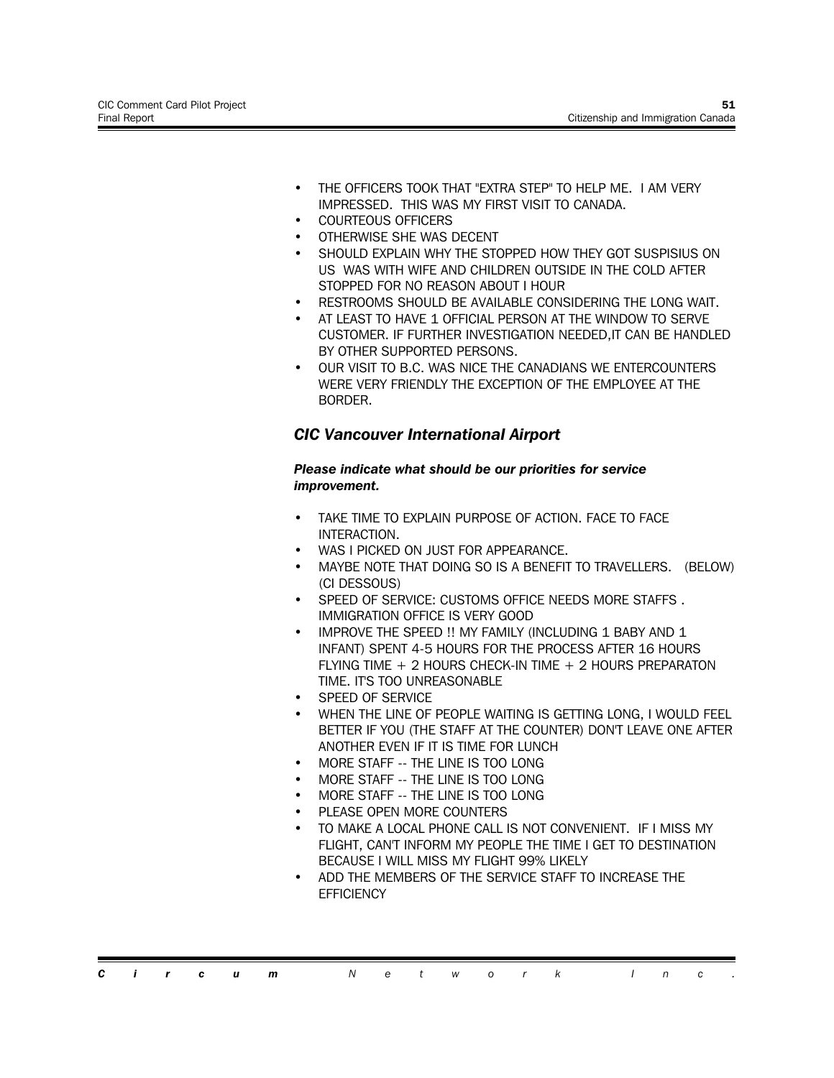- THE OFFICERS TOOK THAT "EXTRA STEP" TO HELP ME. I AM VERY IMPRESSED. THIS WAS MY FIRST VISIT TO CANADA.
- COURTEOUS OFFICERS
- OTHERWISE SHE WAS DECENT
- SHOULD EXPLAIN WHY THE STOPPED HOW THEY GOT SUSPISIUS ON US WAS WITH WIFE AND CHILDREN OUTSIDE IN THE COLD AFTER STOPPED FOR NO REASON ABOUT I HOUR
- RESTROOMS SHOULD BE AVAILABLE CONSIDERING THE LONG WAIT.
- AT LEAST TO HAVE 1 OFFICIAL PERSON AT THE WINDOW TO SERVE CUSTOMER. IF FURTHER INVESTIGATION NEEDED,IT CAN BE HANDLED BY OTHER SUPPORTED PERSONS.
- OUR VISIT TO B.C. WAS NICE THE CANADIANS WE ENTERCOUNTERS WERE VERY FRIENDLY THE EXCEPTION OF THE EMPLOYEE AT THE BORDER.

# *CIC Vancouver International Airport*

#### *Please indicate what should be our priorities for service improvement.*

- TAKE TIME TO EXPLAIN PURPOSE OF ACTION. FACE TO FACE INTERACTION.
- WAS I PICKED ON JUST FOR APPEARANCE.
- MAYBE NOTE THAT DOING SO IS A BENEFIT TO TRAVELLERS. (BELOW) (CI DESSOUS)
- SPEED OF SERVICE: CUSTOMS OFFICE NEEDS MORE STAFFS. IMMIGRATION OFFICE IS VERY GOOD
- IMPROVE THE SPEED !! MY FAMILY (INCLUDING 1 BABY AND 1 INFANT) SPENT 4-5 HOURS FOR THE PROCESS AFTER 16 HOURS FLYING TIME + 2 HOURS CHECK-IN TIME + 2 HOURS PREPARATON TIME. IT'S TOO UNREASONABLE
- SPEED OF SERVICE
- WHEN THE LINE OF PEOPLE WAITING IS GETTING LONG, I WOULD FEEL BETTER IF YOU (THE STAFF AT THE COUNTER) DON'T LEAVE ONE AFTER ANOTHER EVEN IF IT IS TIME FOR LUNCH
- MORE STAFF -- THE LINE IS TOO LONG
- MORE STAFF -- THE LINE IS TOO LONG
- MORE STAFF -- THE LINE IS TOO LONG
- PLEASE OPEN MORE COUNTERS
- TO MAKE A LOCAL PHONE CALL IS NOT CONVENIENT. IF I MISS MY FLIGHT, CAN'T INFORM MY PEOPLE THE TIME I GET TO DESTINATION BECAUSE I WILL MISS MY FLIGHT 99% LIKELY
- ADD THE MEMBERS OF THE SERVICE STAFF TO INCREASE THE **EFFICIENCY**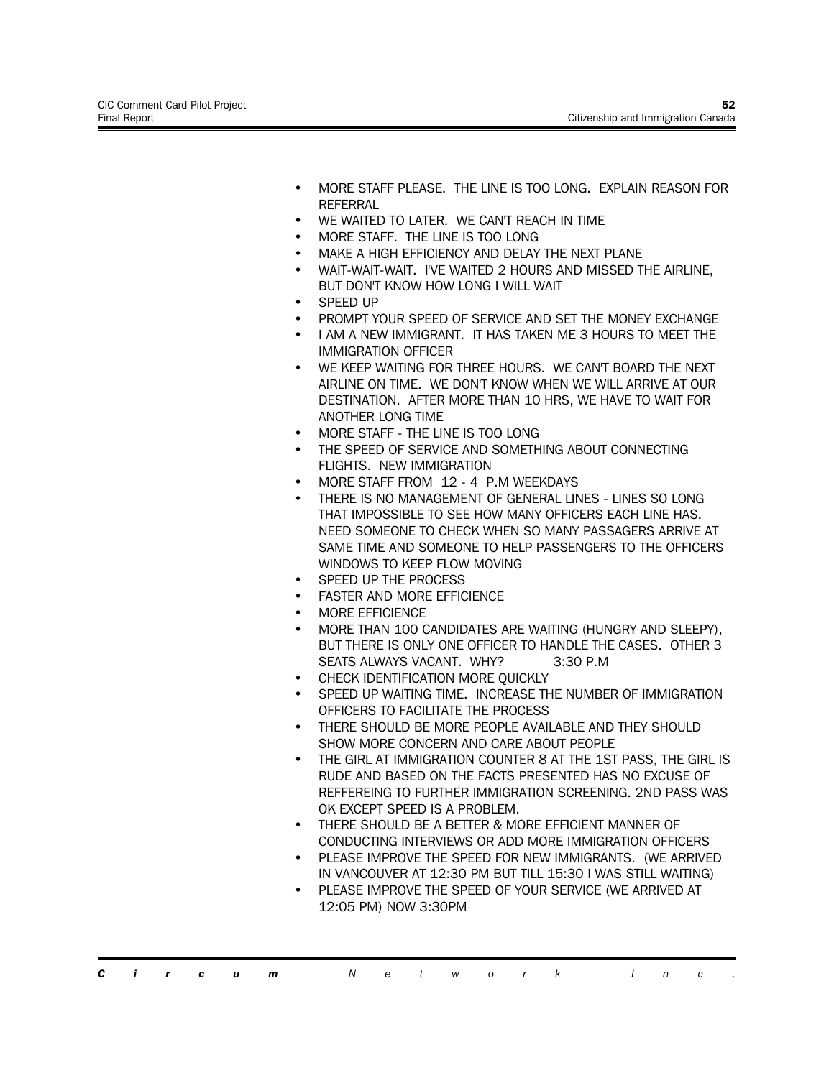- MORE STAFF PLEASE. THE LINE IS TOO LONG. EXPLAIN REASON FOR **REFERRAL**
- WE WAITED TO LATER. WE CAN'T REACH IN TIME
- MORE STAFF. THE LINE IS TOO LONG
- MAKE A HIGH EFFICIENCY AND DELAY THE NEXT PLANE
- WAIT-WAIT-WAIT. I'VE WAITED 2 HOURS AND MISSED THE AIRLINE, BUT DON'T KNOW HOW LONG I WILL WAIT
- SPEED UP
- PROMPT YOUR SPEED OF SERVICE AND SET THE MONEY EXCHANGE
- I AM A NEW IMMIGRANT. IT HAS TAKEN ME 3 HOURS TO MEET THE IMMIGRATION OFFICER
- WE KEEP WAITING FOR THREE HOURS. WE CAN'T BOARD THE NEXT AIRLINE ON TIME. WE DON'T KNOW WHEN WE WILL ARRIVE AT OUR DESTINATION. AFTER MORE THAN 10 HRS, WE HAVE TO WAIT FOR ANOTHER LONG TIME
- MORE STAFF THE LINE IS TOO LONG
- THE SPEED OF SERVICE AND SOMETHING ABOUT CONNECTING FLIGHTS. NEW IMMIGRATION
- MORE STAFF FROM 12 4 P.M WEEKDAYS
- THERE IS NO MANAGEMENT OF GENERAL LINES LINES SO LONG THAT IMPOSSIBLE TO SEE HOW MANY OFFICERS EACH LINE HAS. NEED SOMEONE TO CHECK WHEN SO MANY PASSAGERS ARRIVE AT SAME TIME AND SOMEONE TO HELP PASSENGERS TO THE OFFICERS WINDOWS TO KEEP FLOW MOVING
- SPEED UP THE PROCESS
- **FASTER AND MORE EFFICIENCE**
- MORE EFFICIENCE
- MORE THAN 100 CANDIDATES ARE WAITING (HUNGRY AND SLEEPY), BUT THERE IS ONLY ONE OFFICER TO HANDLE THE CASES. OTHER 3 SEATS ALWAYS VACANT. WHY? 3:30 P.M
- CHECK IDENTIFICATION MORE OUICKLY
- SPEED UP WAITING TIME. INCREASE THE NUMBER OF IMMIGRATION OFFICERS TO FACILITATE THE PROCESS
- THERE SHOULD BE MORE PEOPLE AVAILABLE AND THEY SHOULD SHOW MORE CONCERN AND CARE ABOUT PEOPLE
- THE GIRL AT IMMIGRATION COUNTER 8 AT THE 1ST PASS, THE GIRL IS RUDE AND BASED ON THE FACTS PRESENTED HAS NO EXCUSE OF REFFEREING TO FURTHER IMMIGRATION SCREENING. 2ND PASS WAS OK EXCEPT SPEED IS A PROBLEM.
- THERE SHOULD BE A BETTER & MORE EFFICIENT MANNER OF CONDUCTING INTERVIEWS OR ADD MORE IMMIGRATION OFFICERS
- PLEASE IMPROVE THE SPEED FOR NEW IMMIGRANTS. (WE ARRIVED IN VANCOUVER AT 12:30 PM BUT TILL 15:30 I WAS STILL WAITING)
- PLEASE IMPROVE THE SPEED OF YOUR SERVICE (WE ARRIVED AT 12:05 PM) NOW 3:30PM

*Circum Network Inc .*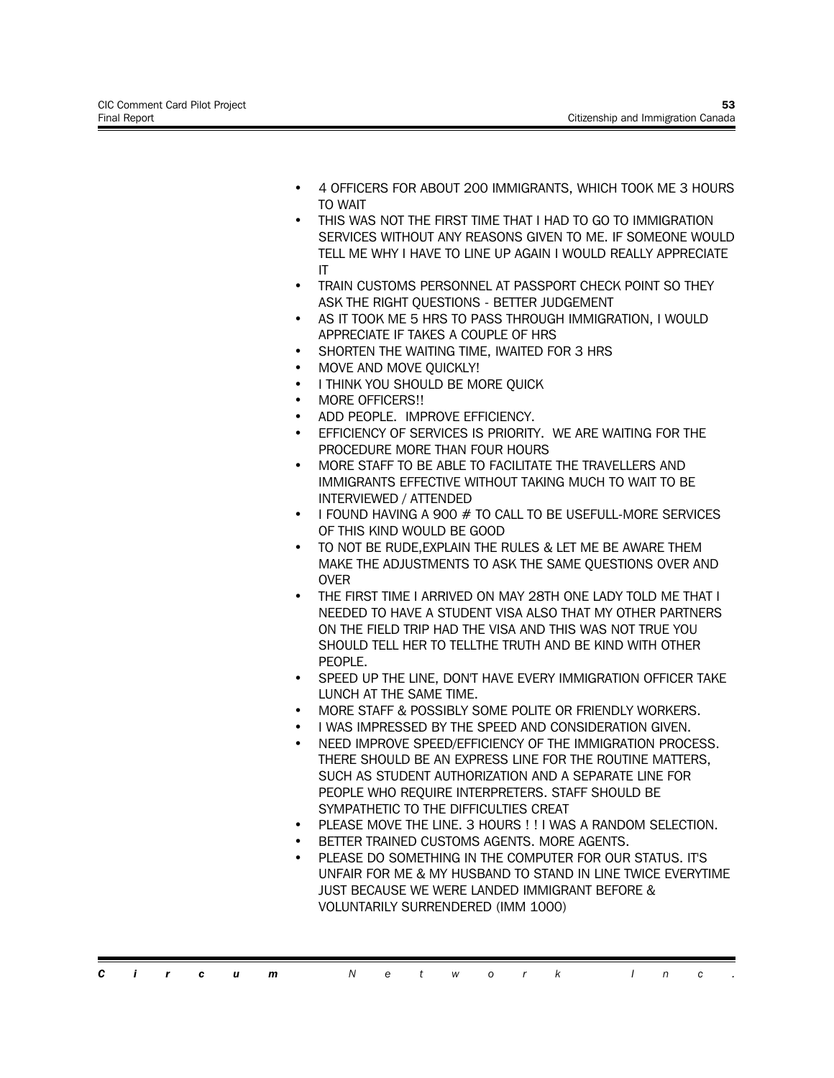- 4 OFFICERS FOR ABOUT 200 IMMIGRANTS, WHICH TOOK ME 3 HOURS TO WAIT
- THIS WAS NOT THE FIRST TIME THAT I HAD TO GO TO IMMIGRATION SERVICES WITHOUT ANY REASONS GIVEN TO ME. IF SOMEONE WOULD TELL ME WHY I HAVE TO LINE UP AGAIN I WOULD REALLY APPRECIATE IT
- TRAIN CUSTOMS PERSONNEL AT PASSPORT CHECK POINT SO THEY ASK THE RIGHT QUESTIONS - BETTER JUDGEMENT
- AS IT TOOK ME 5 HRS TO PASS THROUGH IMMIGRATION, I WOULD APPRECIATE IF TAKES A COUPLE OF HRS
- SHORTEN THE WAITING TIME, IWAITED FOR 3 HRS
- MOVE AND MOVE QUICKLY!
- I THINK YOU SHOULD BE MORE QUICK
- MORE OFFICERS!!
- ADD PEOPLE. IMPROVE EFFICIENCY.
- EFFICIENCY OF SERVICES IS PRIORITY. WE ARE WAITING FOR THE PROCEDURE MORE THAN FOUR HOURS
- MORE STAFF TO BE ABLE TO FACILITATE THE TRAVELLERS AND IMMIGRANTS EFFECTIVE WITHOUT TAKING MUCH TO WAIT TO BE INTERVIEWED / ATTENDED
- I FOUND HAVING A 900 # TO CALL TO BE USEFULL-MORE SERVICES OF THIS KIND WOULD BE GOOD
- TO NOT BE RUDE, EXPLAIN THE RULES & LET ME BE AWARE THEM MAKE THE ADJUSTMENTS TO ASK THE SAME QUESTIONS OVER AND OVER
- THE FIRST TIME I ARRIVED ON MAY 28TH ONE LADY TOLD ME THAT I NEEDED TO HAVE A STUDENT VISA ALSO THAT MY OTHER PARTNERS ON THE FIELD TRIP HAD THE VISA AND THIS WAS NOT TRUE YOU SHOULD TELL HER TO TELLTHE TRUTH AND BE KIND WITH OTHER PFOPLE.
- SPEED UP THE LINE, DON'T HAVE EVERY IMMIGRATION OFFICER TAKE LUNCH AT THE SAME TIME.
- MORE STAFF & POSSIBLY SOME POLITE OR FRIENDLY WORKERS.
- I WAS IMPRESSED BY THE SPEED AND CONSIDERATION GIVEN.
- NEED IMPROVE SPEED/EFFICIENCY OF THE IMMIGRATION PROCESS. THERE SHOULD BE AN EXPRESS LINE FOR THE ROUTINE MATTERS, SUCH AS STUDENT AUTHORIZATION AND A SEPARATE LINE FOR PEOPLE WHO REQUIRE INTERPRETERS. STAFF SHOULD BE SYMPATHETIC TO THE DIFFICULTIES CREAT
- PLEASE MOVE THE LINE. 3 HOURS ! ! I WAS A RANDOM SELECTION.
- BETTER TRAINED CUSTOMS AGENTS. MORE AGENTS.
- PLEASE DO SOMETHING IN THE COMPUTER FOR OUR STATUS. IT'S UNFAIR FOR ME & MY HUSBAND TO STAND IN LINE TWICE EVERYTIME JUST BECAUSE WE WERE LANDED IMMIGRANT BEFORE & VOLUNTARILY SURRENDERED (IMM 1000)

*Circum Network Inc .*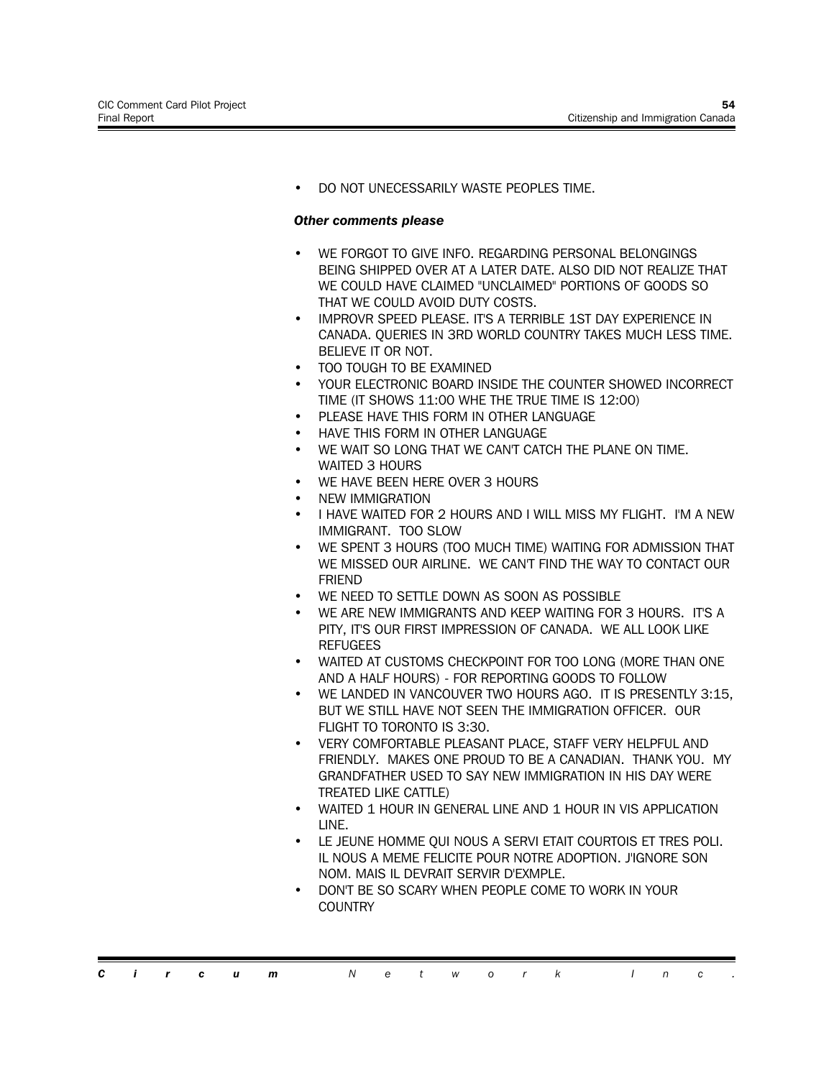• DO NOT UNECESSARILY WASTE PEOPLES TIME.

- WE FORGOT TO GIVE INFO. REGARDING PERSONAL BELONGINGS BEING SHIPPED OVER AT A LATER DATE. ALSO DID NOT REALIZE THAT WE COULD HAVE CLAIMED "UNCLAIMED" PORTIONS OF GOODS SO THAT WE COULD AVOID DUTY COSTS.
- IMPROVR SPEED PLEASE. IT'S A TERRIBLE 1ST DAY EXPERIENCE IN CANADA. QUERIES IN 3RD WORLD COUNTRY TAKES MUCH LESS TIME. BELIEVE IT OR NOT.
- TOO TOUGH TO BE EXAMINED
- YOUR ELECTRONIC BOARD INSIDE THE COUNTER SHOWED INCORRECT TIME (IT SHOWS 11:00 WHE THE TRUE TIME IS 12:00)
- PLEASE HAVE THIS FORM IN OTHER LANGUAGE
- HAVE THIS FORM IN OTHER LANGUAGE
- WE WAIT SO LONG THAT WE CAN'T CATCH THE PLANE ON TIME. WAITED 3 HOURS
- WE HAVE BEEN HERE OVER 3 HOURS
- NEW IMMIGRATION
- I HAVE WAITED FOR 2 HOURS AND I WILL MISS MY FLIGHT. I'M A NEW IMMIGRANT. TOO SLOW
- WE SPENT 3 HOURS (TOO MUCH TIME) WAITING FOR ADMISSION THAT WE MISSED OUR AIRLINE. WE CAN'T FIND THE WAY TO CONTACT OUR **FRIEND**
- WE NEED TO SETTLE DOWN AS SOON AS POSSIBLE
- WE ARE NEW IMMIGRANTS AND KEEP WAITING FOR 3 HOURS. IT'S A PITY, IT'S OUR FIRST IMPRESSION OF CANADA. WE ALL LOOK LIKE REFUGEES
- WAITED AT CUSTOMS CHECKPOINT FOR TOO LONG (MORE THAN ONE AND A HALF HOURS) - FOR REPORTING GOODS TO FOLLOW
- WE LANDED IN VANCOUVER TWO HOURS AGO. IT IS PRESENTLY 3:15, BUT WE STILL HAVE NOT SEEN THE IMMIGRATION OFFICER. OUR FLIGHT TO TORONTO IS 3:30.
- VERY COMFORTABLE PLEASANT PLACE, STAFF VERY HELPFUL AND FRIENDLY. MAKES ONE PROUD TO BE A CANADIAN. THANK YOU. MY GRANDFATHER USED TO SAY NEW IMMIGRATION IN HIS DAY WERE TREATED LIKE CATTLE)
- WAITED 1 HOUR IN GENERAL LINE AND 1 HOUR IN VIS APPLICATION LINE.
- LE JEUNE HOMME QUI NOUS A SERVI ETAIT COURTOIS ET TRES POLI. IL NOUS A MEME FELICITE POUR NOTRE ADOPTION. J'IGNORE SON NOM. MAIS IL DEVRAIT SERVIR D'EXMPLE.
- DON'T BE SO SCARY WHEN PEOPLE COME TO WORK IN YOUR **COUNTRY**

```
Circum Network Inc .
```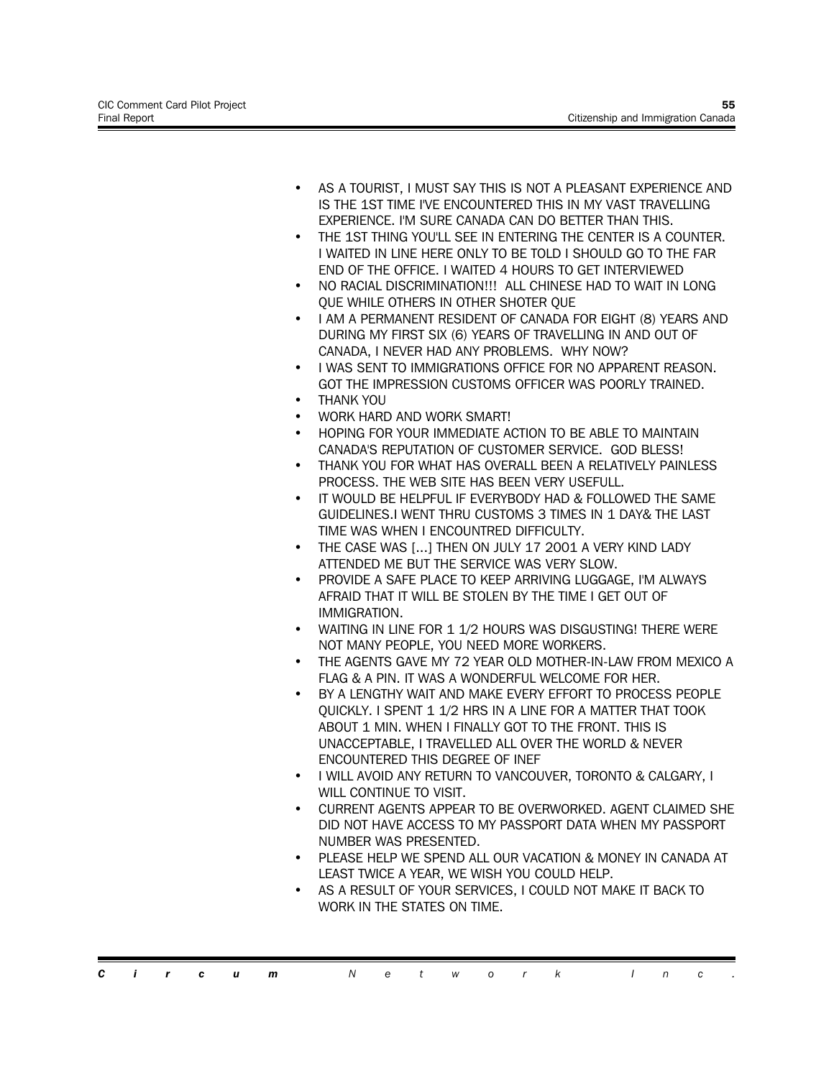- AS A TOURIST, I MUST SAY THIS IS NOT A PLEASANT EXPERIENCE AND IS THE 1ST TIME I'VE ENCOUNTERED THIS IN MY VAST TRAVELLING EXPERIENCE. I'M SURE CANADA CAN DO BETTER THAN THIS.
- THE 1ST THING YOU'LL SEE IN ENTERING THE CENTER IS A COUNTER. I WAITED IN LINE HERE ONLY TO BE TOLD I SHOULD GO TO THE FAR END OF THE OFFICE. I WAITED 4 HOURS TO GET INTERVIEWED
- NO RACIAL DISCRIMINATION!!! ALL CHINESE HAD TO WAIT IN LONG QUE WHILE OTHERS IN OTHER SHOTER QUE
- I AM A PERMANENT RESIDENT OF CANADA FOR EIGHT (8) YEARS AND DURING MY FIRST SIX (6) YEARS OF TRAVELLING IN AND OUT OF CANADA, I NEVER HAD ANY PROBLEMS. WHY NOW?
- I WAS SENT TO IMMIGRATIONS OFFICE FOR NO APPARENT REASON. GOT THE IMPRESSION CUSTOMS OFFICER WAS POORLY TRAINED.
- THANK YOU
- WORK HARD AND WORK SMART!
- HOPING FOR YOUR IMMEDIATE ACTION TO BE ABLE TO MAINTAIN CANADA'S REPUTATION OF CUSTOMER SERVICE. GOD BLESS!
- THANK YOU FOR WHAT HAS OVERALL BEEN A RELATIVELY PAINLESS PROCESS. THE WEB SITE HAS BEEN VERY USEFULL.
- IT WOULD BE HELPFUL IF EVERYBODY HAD & FOLLOWED THE SAME GUIDELINES.I WENT THRU CUSTOMS 3 TIMES IN 1 DAY& THE LAST TIME WAS WHEN I ENCOUNTRED DIFFICULTY.
- THE CASE WAS [...] THEN ON JULY 17 2001 A VERY KIND LADY ATTENDED ME BUT THE SERVICE WAS VERY SLOW.
- PROVIDE A SAFE PLACE TO KEEP ARRIVING LUGGAGE, I'M ALWAYS AFRAID THAT IT WILL BE STOLEN BY THE TIME I GET OUT OF IMMIGRATION.
- WAITING IN LINE FOR 1 1/2 HOURS WAS DISGUSTING! THERE WERE NOT MANY PEOPLE, YOU NEED MORE WORKERS.
- THE AGENTS GAVE MY 72 YEAR OLD MOTHER-IN-LAW FROM MEXICO A FLAG & A PIN. IT WAS A WONDERFUL WELCOME FOR HER.
- BY A LENGTHY WAIT AND MAKE EVERY EFFORT TO PROCESS PEOPLE QUICKLY. I SPENT 1 1/2 HRS IN A LINE FOR A MATTER THAT TOOK ABOUT 1 MIN. WHEN I FINALLY GOT TO THE FRONT. THIS IS UNACCEPTABLE, I TRAVELLED ALL OVER THE WORLD & NEVER ENCOUNTERED THIS DEGREE OF INEF
- I WILL AVOID ANY RETURN TO VANCOUVER, TORONTO & CALGARY, I WILL CONTINUE TO VISIT.
- CURRENT AGENTS APPEAR TO BE OVERWORKED. AGENT CLAIMED SHE DID NOT HAVE ACCESS TO MY PASSPORT DATA WHEN MY PASSPORT NUMBER WAS PRESENTED.
- PLEASE HELP WE SPEND ALL OUR VACATION & MONEY IN CANADA AT LEAST TWICE A YEAR, WE WISH YOU COULD HELP.
- AS A RESULT OF YOUR SERVICES, I COULD NOT MAKE IT BACK TO WORK IN THE STATES ON TIME.

*Circum Network Inc .*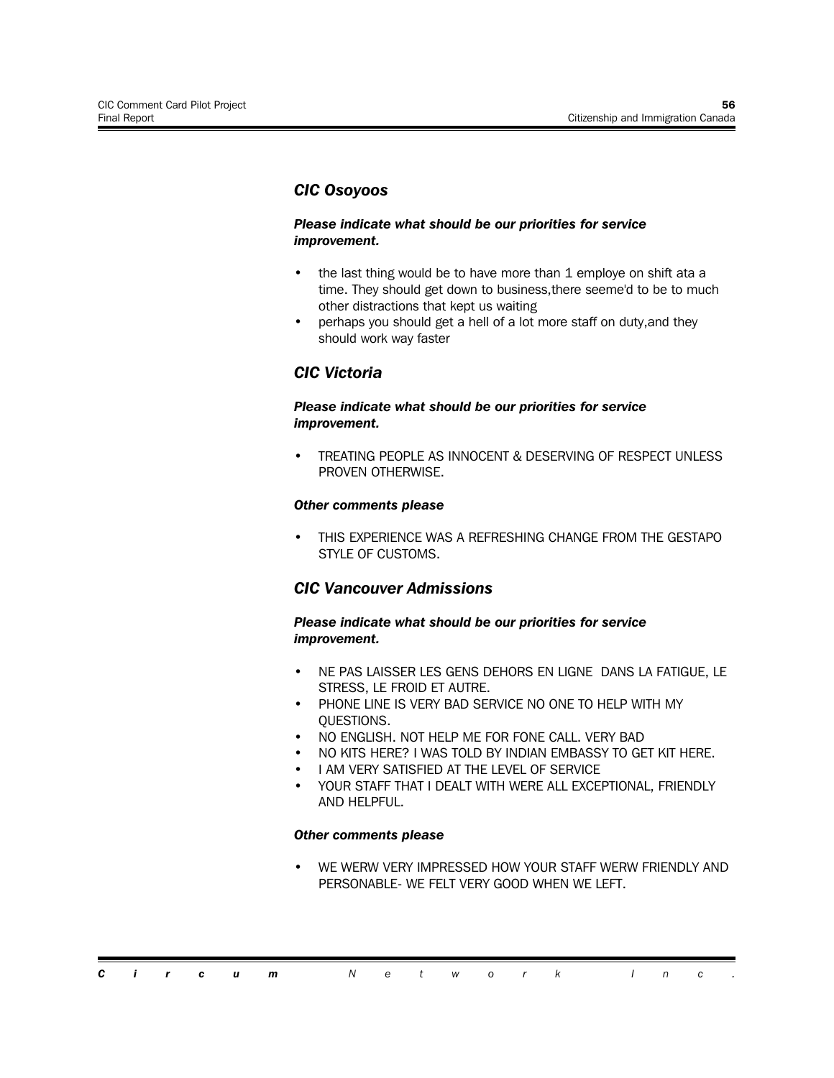### *CIC Osoyoos*

#### *Please indicate what should be our priorities for service improvement.*

- the last thing would be to have more than 1 employe on shift ata a time. They should get down to business,there seeme'd to be to much other distractions that kept us waiting
- perhaps you should get a hell of a lot more staff on duty,and they should work way faster

### *CIC Victoria*

#### *Please indicate what should be our priorities for service improvement.*

• TREATING PEOPLE AS INNOCENT & DESERVING OF RESPECT UNLESS PROVEN OTHERWISE.

#### *Other comments please*

• THIS EXPERIENCE WAS A REFRESHING CHANGE FROM THE GESTAPO STYLE OF CUSTOMS.

### *CIC Vancouver Admissions*

#### *Please indicate what should be our priorities for service improvement.*

- NE PAS LAISSER LES GENS DEHORS EN LIGNE DANS LA FATIGUE, LE STRESS, LE FROID ET AUTRE.
- PHONE LINE IS VERY BAD SERVICE NO ONE TO HELP WITH MY QUESTIONS.
- NO ENGLISH. NOT HELP ME FOR FONE CALL. VERY BAD
- NO KITS HERE? I WAS TOLD BY INDIAN EMBASSY TO GET KIT HERE.
- I AM VERY SATISFIED AT THE LEVEL OF SERVICE
- YOUR STAFF THAT I DEALT WITH WERE ALL EXCEPTIONAL, FRIENDLY AND HELPFUL.

#### *Other comments please*

WE WERW VERY IMPRESSED HOW YOUR STAFF WERW FRIENDLY AND PERSONABLE- WE FELT VERY GOOD WHEN WE LEFT.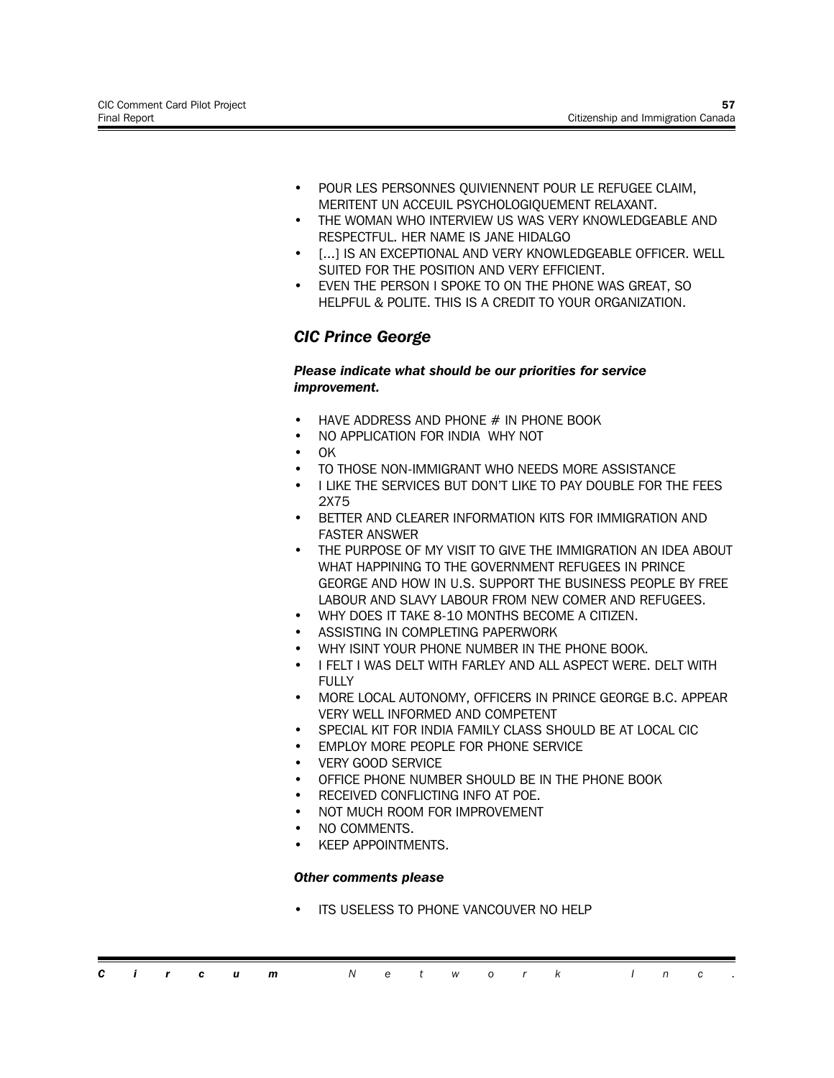- POUR LES PERSONNES QUIVIENNENT POUR LE REFUGEE CLAIM, MERITENT UN ACCEUIL PSYCHOLOGIQUEMENT RELAXANT.
- THE WOMAN WHO INTERVIEW US WAS VERY KNOWLEDGEABLE AND RESPECTFUL. HER NAME IS JANE HIDALGO
- [...] IS AN EXCEPTIONAL AND VERY KNOWLEDGEABLE OFFICER. WELL SUITED FOR THE POSITION AND VERY EFFICIENT.
- EVEN THE PERSON I SPOKE TO ON THE PHONE WAS GREAT, SO HELPFUL & POLITE. THIS IS A CREDIT TO YOUR ORGANIZATION.

# *CIC Prince George*

#### *Please indicate what should be our priorities for service improvement.*

- HAVE ADDRESS AND PHONE # IN PHONE BOOK
- NO APPLICATION FOR INDIA WHY NOT
- OK
- TO THOSE NON-IMMIGRANT WHO NEEDS MORE ASSISTANCE
- I LIKE THE SERVICES BUT DON'T LIKE TO PAY DOUBLE FOR THE FEES 2X75
- BETTER AND CLEARER INFORMATION KITS FOR IMMIGRATION AND FASTER ANSWER
- THE PURPOSE OF MY VISIT TO GIVE THE IMMIGRATION AN IDEA ABOUT WHAT HAPPINING TO THE GOVERNMENT REFUGEES IN PRINCE GEORGE AND HOW IN U.S. SUPPORT THE BUSINESS PEOPLE BY FREE LABOUR AND SLAVY LABOUR FROM NEW COMER AND REFUGEES.
- WHY DOES IT TAKE 8-10 MONTHS BECOME A CITIZEN.
- ASSISTING IN COMPLETING PAPERWORK
- WHY ISINT YOUR PHONE NUMBER IN THE PHONE BOOK.
- I FELT I WAS DELT WITH FARLEY AND ALL ASPECT WERE. DELT WITH FULLY
- MORE LOCAL AUTONOMY, OFFICERS IN PRINCE GEORGE B.C. APPEAR VERY WELL INFORMED AND COMPETENT
- SPECIAL KIT FOR INDIA FAMILY CLASS SHOULD BE AT LOCAL CIC
- **EMPLOY MORE PEOPLE FOR PHONE SERVICE**
- **VERY GOOD SERVICE**
- OFFICE PHONE NUMBER SHOULD BE IN THE PHONE BOOK
- RECEIVED CONFLICTING INFO AT POE.
- NOT MUCH ROOM FOR IMPROVEMENT
- NO COMMENTS.
- KEEP APPOINTMENTS.

#### *Other comments please*

**ITS USELESS TO PHONE VANCOUVER NO HELP**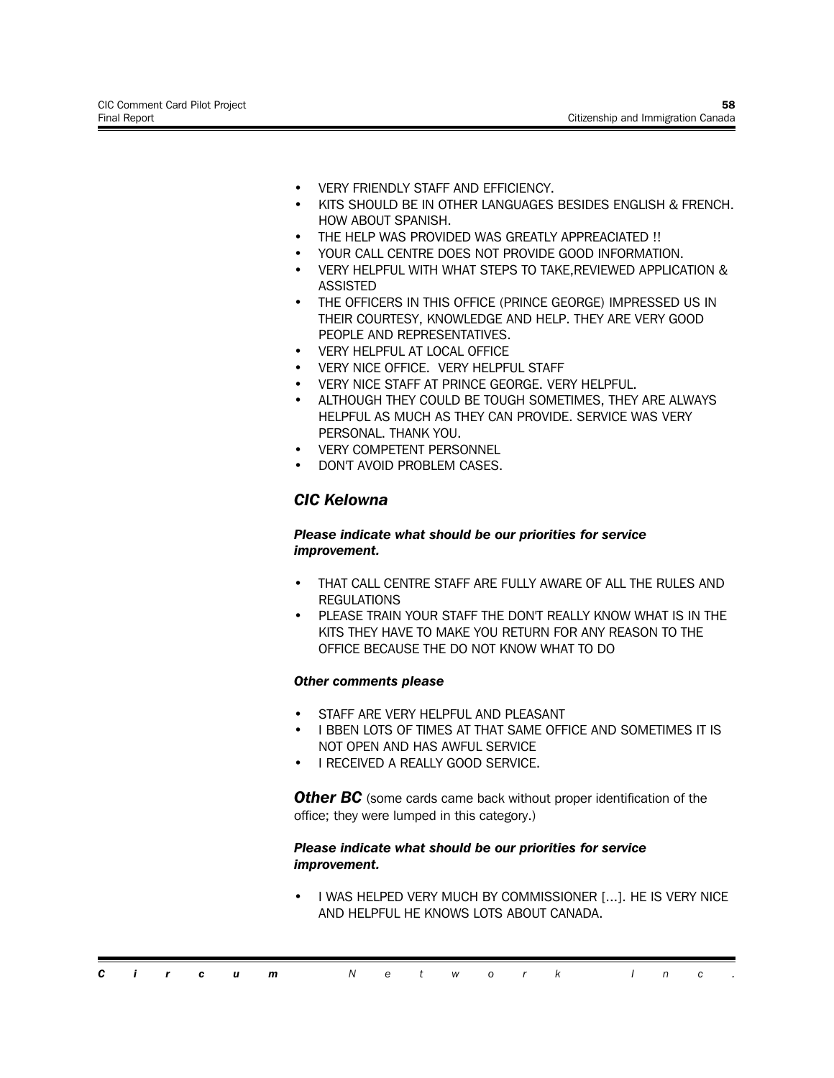- VERY FRIENDLY STAFF AND EFFICIENCY.
- KITS SHOULD BE IN OTHER LANGUAGES BESIDES ENGLISH & FRENCH. HOW ABOUT SPANISH.
- THE HELP WAS PROVIDED WAS GREATLY APPREACIATED !!
- YOUR CALL CENTRE DOES NOT PROVIDE GOOD INFORMATION.
- VERY HELPFUL WITH WHAT STEPS TO TAKE,REVIEWED APPLICATION & ASSISTED
- THE OFFICERS IN THIS OFFICE (PRINCE GEORGE) IMPRESSED US IN THEIR COURTESY, KNOWLEDGE AND HELP. THEY ARE VERY GOOD PEOPLE AND REPRESENTATIVES.
- VERY HELPFUL AT LOCAL OFFICE
- VERY NICE OFFICE. VERY HELPFUL STAFF
- VERY NICE STAFF AT PRINCE GEORGE. VERY HELPFUL.
- ALTHOUGH THEY COULD BE TOUGH SOMETIMES, THEY ARE ALWAYS HELPFUL AS MUCH AS THEY CAN PROVIDE. SERVICE WAS VERY PERSONAL. THANK YOU.
- VERY COMPETENT PERSONNEL
- DON'T AVOID PROBLEM CASES.

### *CIC Kelowna*

#### *Please indicate what should be our priorities for service improvement.*

- THAT CALL CENTRE STAFF ARE FULLY AWARE OF ALL THE RULES AND **REGULATIONS**
- PLEASE TRAIN YOUR STAFF THE DON'T REALLY KNOW WHAT IS IN THE KITS THEY HAVE TO MAKE YOU RETURN FOR ANY REASON TO THE OFFICE BECAUSE THE DO NOT KNOW WHAT TO DO

#### *Other comments please*

- STAFF ARE VERY HELPFUL AND PLEASANT
- I BBEN LOTS OF TIMES AT THAT SAME OFFICE AND SOMETIMES IT IS NOT OPEN AND HAS AWFUL SERVICE
- I RECEIVED A REALLY GOOD SERVICE.

**Other BC** (some cards came back without proper identification of the office; they were lumped in this category.)

#### *Please indicate what should be our priorities for service improvement.*

• I WAS HELPED VERY MUCH BY COMMISSIONER [...]. HE IS VERY NICE AND HELPFUL HE KNOWS LOTS ABOUT CANADA.

|  |  | <b>Circum</b> Network Inc. |  |  |  |  |  |  |
|--|--|----------------------------|--|--|--|--|--|--|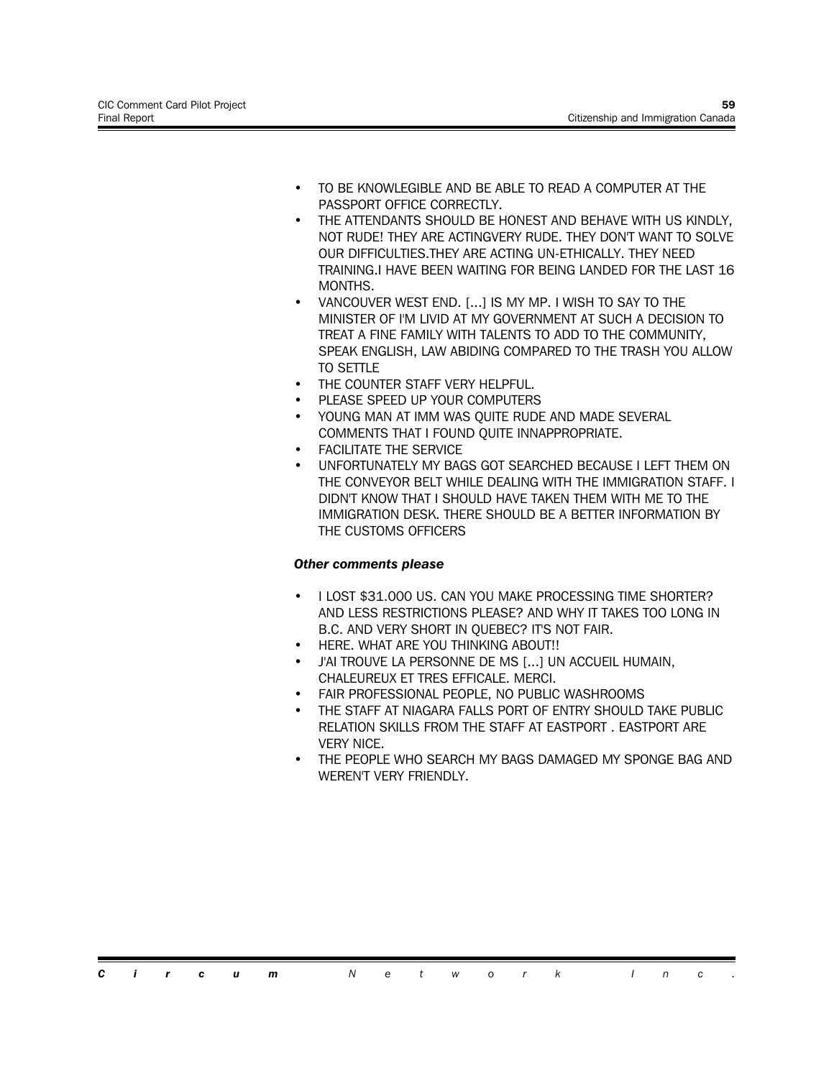- TO BE KNOWLEGIBLE AND BE ABLE TO READ A COMPUTER AT THE PASSPORT OFFICE CORRECTLY.
- THE ATTENDANTS SHOULD BE HONEST AND BEHAVE WITH US KINDLY, NOT RUDE! THEY ARE ACTINGVERY RUDE. THEY DON'T WANT TO SOLVE OUR DIFFICULTIES.THEY ARE ACTING UN-ETHICALLY. THEY NEED TRAINING.I HAVE BEEN WAITING FOR BEING LANDED FOR THE LAST 16 MONTHS.
- VANCOUVER WEST END. [...] IS MY MP. I WISH TO SAY TO THE MINISTER OF I'M LIVID AT MY GOVERNMENT AT SUCH A DECISION TO TREAT A FINE FAMILY WITH TALENTS TO ADD TO THE COMMUNITY, SPEAK ENGLISH, LAW ABIDING COMPARED TO THE TRASH YOU ALLOW TO SETTLE
- THE COUNTER STAFF VERY HELPFUL.
- PLEASE SPEED UP YOUR COMPUTERS
- YOUNG MAN AT IMM WAS QUITE RUDE AND MADE SEVERAL COMMENTS THAT I FOUND QUITE INNAPPROPRIATE.
- **FACILITATE THE SERVICE**
- UNFORTUNATELY MY BAGS GOT SEARCHED BECAUSE I LEFT THEM ON THE CONVEYOR BELT WHILE DEALING WITH THE IMMIGRATION STAFF. I DIDN'T KNOW THAT I SHOULD HAVE TAKEN THEM WITH ME TO THE IMMIGRATION DESK. THERE SHOULD BE A BETTER INFORMATION BY THE CUSTOMS OFFICERS

- I LOST \$31.000 US. CAN YOU MAKE PROCESSING TIME SHORTER? AND LESS RESTRICTIONS PLEASE? AND WHY IT TAKES TOO LONG IN B.C. AND VERY SHORT IN QUEBEC? IT'S NOT FAIR.
- HERE. WHAT ARE YOU THINKING ABOUT!!
- J'AI TROUVE LA PERSONNE DE MS [...] UN ACCUEIL HUMAIN, CHALEUREUX ET TRES EFFICALE. MERCI.
- FAIR PROFESSIONAL PEOPLE, NO PUBLIC WASHROOMS
- THE STAFF AT NIAGARA FALLS PORT OF ENTRY SHOULD TAKE PUBLIC RELATION SKILLS FROM THE STAFF AT EASTPORT . EASTPORT ARE VERY NICE.
- THE PEOPLE WHO SEARCH MY BAGS DAMAGED MY SPONGE BAG AND WEREN'T VERY FRIENDLY.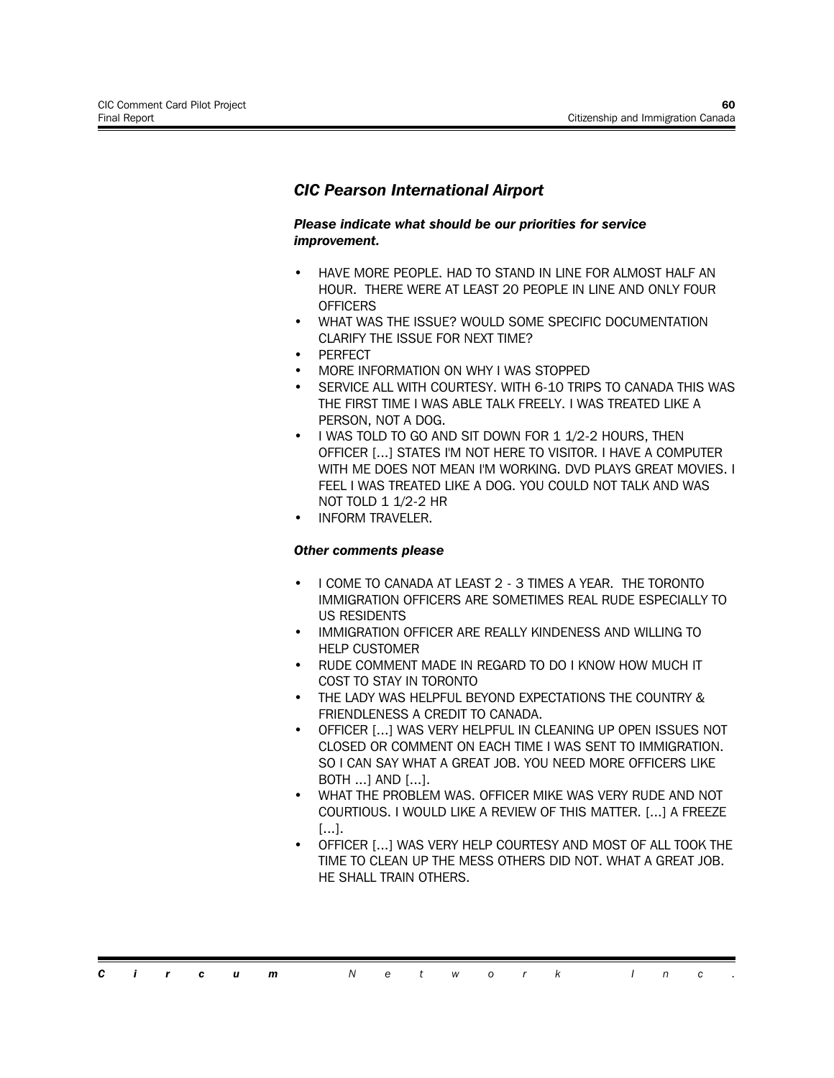# *CIC Pearson International Airport*

#### *Please indicate what should be our priorities for service improvement.*

- HAVE MORE PEOPLE. HAD TO STAND IN LINE FOR ALMOST HALF AN HOUR. THERE WERE AT LEAST 20 PEOPLE IN LINE AND ONLY FOUR **OFFICERS**
- WHAT WAS THE ISSUE? WOULD SOME SPECIFIC DOCUMENTATION CLARIFY THE ISSUE FOR NEXT TIME?
- **PERFECT**
- MORE INFORMATION ON WHY I WAS STOPPED
- SERVICE ALL WITH COURTESY. WITH 6-10 TRIPS TO CANADA THIS WAS THE FIRST TIME I WAS ABLE TALK FREELY. I WAS TREATED LIKE A PERSON, NOT A DOG.
- I WAS TOLD TO GO AND SIT DOWN FOR 1 1/2-2 HOURS, THEN OFFICER [...] STATES I'M NOT HERE TO VISITOR. I HAVE A COMPUTER WITH ME DOES NOT MEAN I'M WORKING. DVD PLAYS GREAT MOVIES. I FEEL I WAS TREATED LIKE A DOG. YOU COULD NOT TALK AND WAS NOT TOLD 1 1/2-2 HR
- INFORM TRAVELER.

- I COME TO CANADA AT LEAST 2 3 TIMES A YEAR. THE TORONTO IMMIGRATION OFFICERS ARE SOMETIMES REAL RUDE ESPECIALLY TO US RESIDENTS
- IMMIGRATION OFFICER ARE REALLY KINDENESS AND WILLING TO HELP CUSTOMER
- RUDE COMMENT MADE IN REGARD TO DO I KNOW HOW MUCH IT COST TO STAY IN TORONTO
- THE LADY WAS HELPFUL BEYOND EXPECTATIONS THE COUNTRY & FRIENDLENESS A CREDIT TO CANADA.
- OFFICER [...] WAS VERY HELPFUL IN CLEANING UP OPEN ISSUES NOT CLOSED OR COMMENT ON EACH TIME I WAS SENT TO IMMIGRATION. SO I CAN SAY WHAT A GREAT JOB. YOU NEED MORE OFFICERS LIKE BOTH ...] AND [...].
- WHAT THE PROBLEM WAS. OFFICER MIKE WAS VERY RUDE AND NOT COURTIOUS. I WOULD LIKE A REVIEW OF THIS MATTER. [...] A FREEZE [...].
- OFFICER [...] WAS VERY HELP COURTESY AND MOST OF ALL TOOK THE TIME TO CLEAN UP THE MESS OTHERS DID NOT. WHAT A GREAT JOB. HE SHALL TRAIN OTHERS.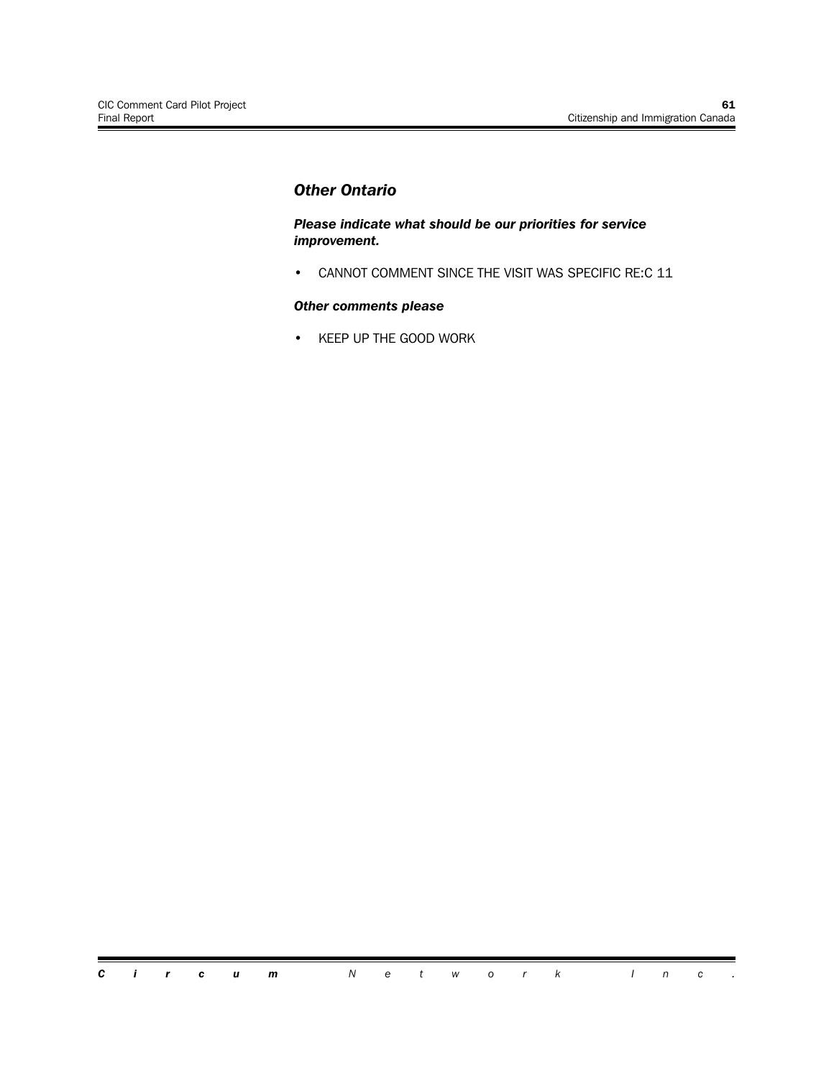# *Other Ontario*

*Please indicate what should be our priorities for service improvement.*

• CANNOT COMMENT SINCE THE VISIT WAS SPECIFIC RE:C 11

#### *Other comments please*

• KEEP UP THE GOOD WORK

*Circum Network Inc .*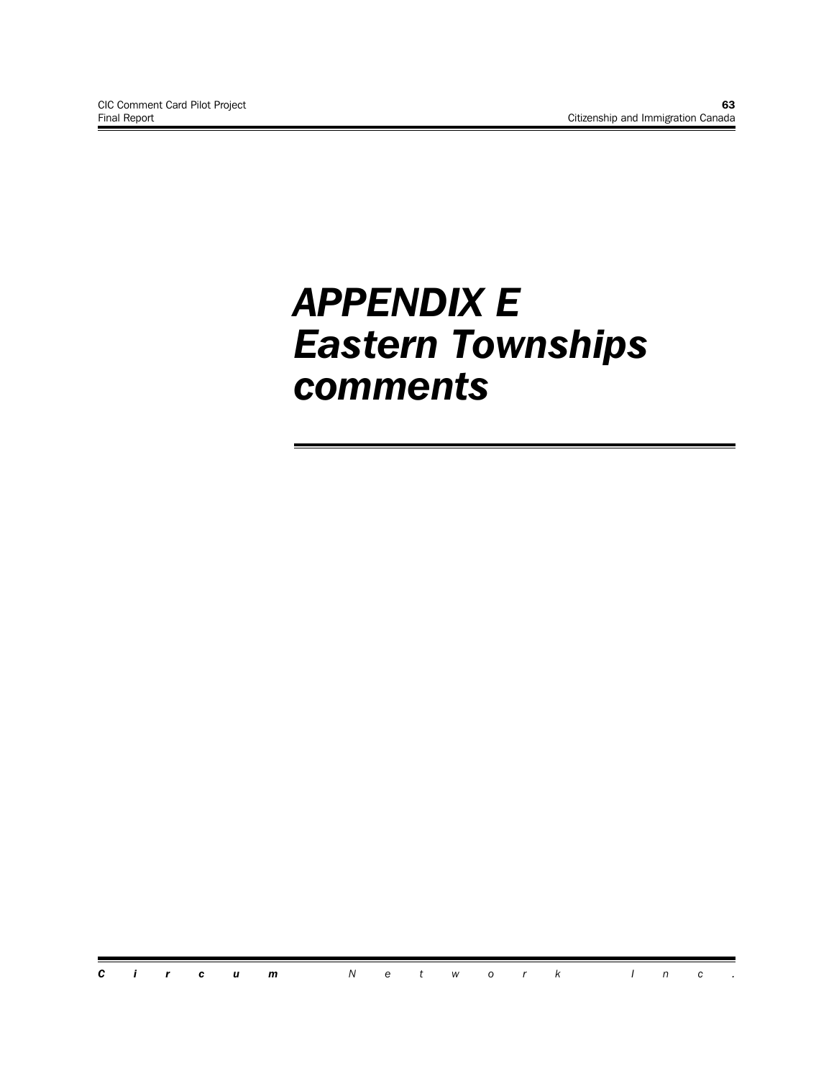# *APPENDIX E Eastern Townships comments*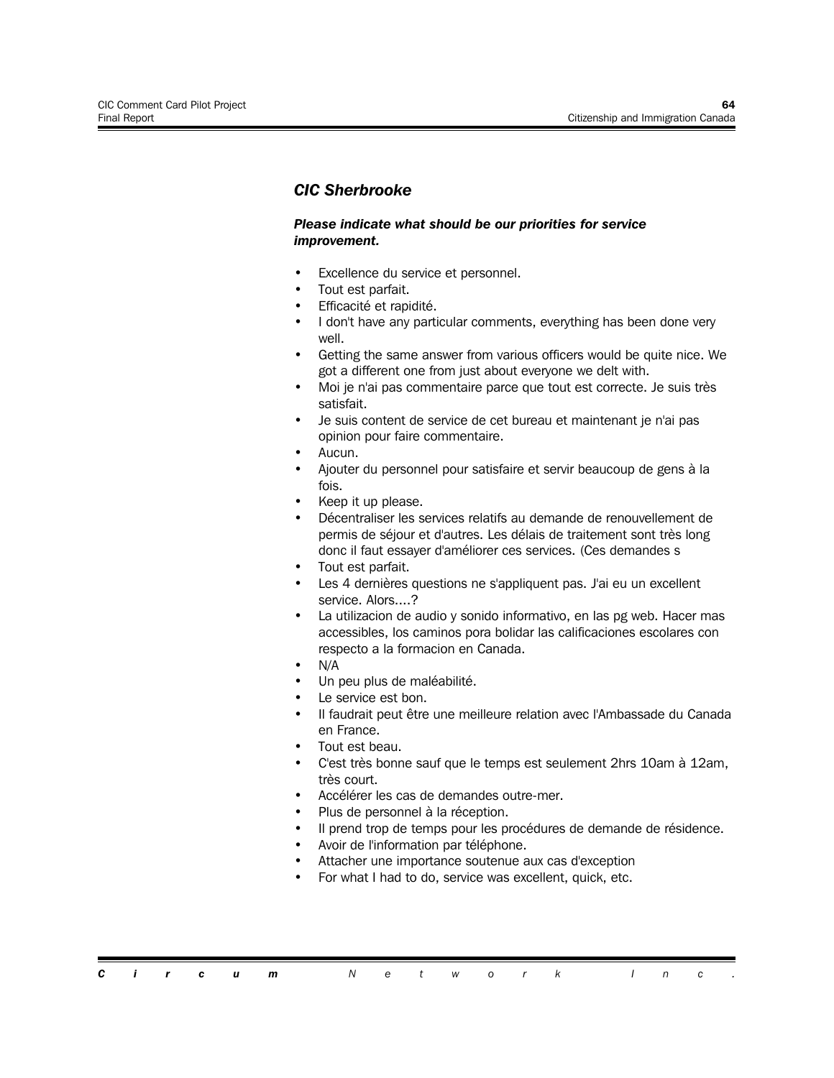# *CIC Sherbrooke*

#### *Please indicate what should be our priorities for service improvement.*

- Excellence du service et personnel.
- Tout est parfait.
- Efficacité et rapidité.
- I don't have any particular comments, everything has been done very well.
- Getting the same answer from various officers would be quite nice. We got a different one from just about everyone we delt with.
- Moi je n'ai pas commentaire parce que tout est correcte. Je suis très satisfait.
- Je suis content de service de cet bureau et maintenant je n'ai pas opinion pour faire commentaire.
- Aucun.
- Ajouter du personnel pour satisfaire et servir beaucoup de gens à la fois.
- Keep it up please.
- Décentraliser les services relatifs au demande de renouvellement de permis de séjour et d'autres. Les délais de traitement sont très long donc il faut essayer d'améliorer ces services. (Ces demandes s
- Tout est parfait.
- Les 4 dernières questions ne s'appliquent pas. J'ai eu un excellent service. Alors....?
- La utilizacion de audio y sonido informativo, en las pg web. Hacer mas accessibles, los caminos pora bolidar las calificaciones escolares con respecto a la formacion en Canada.
- N/A
- Un peu plus de maléabilité.
- Le service est bon.
- Il faudrait peut être une meilleure relation avec l'Ambassade du Canada en France.
- Tout est beau.
- C'est très bonne sauf que le temps est seulement 2hrs 10am à 12am, très court.
- Accélérer les cas de demandes outre-mer.
- Plus de personnel à la réception.
- Il prend trop de temps pour les procédures de demande de résidence.
- Avoir de l'information par téléphone.
- Attacher une importance soutenue aux cas d'exception
- For what I had to do, service was excellent, quick, etc.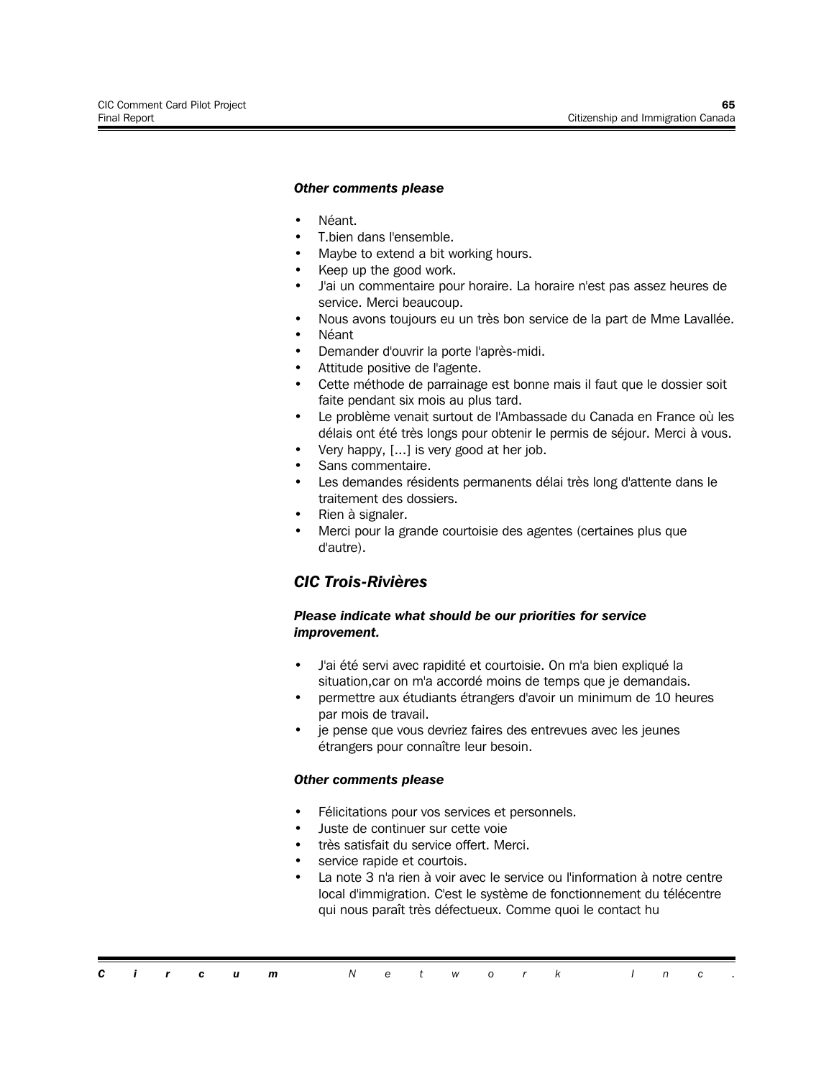#### *Other comments please*

- Néant.
- T.bien dans l'ensemble.
- Maybe to extend a bit working hours.
- Keep up the good work.
- J'ai un commentaire pour horaire. La horaire n'est pas assez heures de service. Merci beaucoup.
- Nous avons toujours eu un très bon service de la part de Mme Lavallée.
- Néant
- Demander d'ouvrir la porte l'après-midi.
- Attitude positive de l'agente.
- Cette méthode de parrainage est bonne mais il faut que le dossier soit faite pendant six mois au plus tard.
- Le problème venait surtout de l'Ambassade du Canada en France où les délais ont été très longs pour obtenir le permis de séjour. Merci à vous.
- Very happy, [...] is very good at her job.
- Sans commentaire.
- Les demandes résidents permanents délai très long d'attente dans le traitement des dossiers.
- Rien à signaler.
- Merci pour la grande courtoisie des agentes (certaines plus que d'autre).

## *CIC Trois-Rivières*

## *Please indicate what should be our priorities for service improvement.*

- J'ai été servi avec rapidité et courtoisie. On m'a bien expliqué la situation,car on m'a accordé moins de temps que je demandais.
- permettre aux étudiants étrangers d'avoir un minimum de 10 heures par mois de travail.
- je pense que vous devriez faires des entrevues avec les jeunes étrangers pour connaître leur besoin.

#### *Other comments please*

- Félicitations pour vos services et personnels.
- Juste de continuer sur cette voie
- très satisfait du service offert. Merci.
- service rapide et courtois.
- La note 3 n'a rien à voir avec le service ou l'information à notre centre local d'immigration. C'est le système de fonctionnement du télécentre qui nous paraît très défectueux. Comme quoi le contact hu

*Circum Network Inc .*